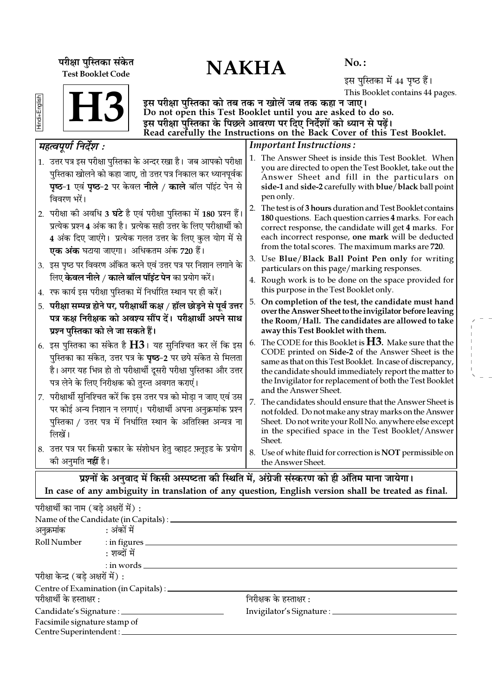परीक्षा पुस्तिका संकेत<br>———————————————————— Test Booklet Code

 $No.$ :

इस पुस्तिका में 44 पृष्ठ हैं। This Booklet contains 44 pages.

**H3** 

इस परीक्षा पुस्तिका को तब तक न खोलें जब तक कहा न जाए। Do not open this Test Booklet until you are asked to do so. इस परीक्षा पस्तिका के पिछले आवरण पर दिए निर्देशों को ध्यान से पढें। Read carefully the Instructions on the Back Cover of this Test Booklet.

#### Important Instructions : 1. The Answer Sheet is inside this Test Booklet. When you are directed to open the Test Booklet, take out the Answer Sheet and fill in the particulars on side-1 and side-2 carefully with blue/black ball point pen only. 2. The test is of 3 hours duration and Test Booklet contains 180 questions. Each question carries 4 marks. For each correct response, the candidate will get 4 marks. For each incorrect response, one mark will be deducted from the total scores. The maximum marks are 720. 3. Use Blue/Black Ball Point Pen only for writing particulars on this page/marking responses. 4. Rough work is to be done on the space provided for this purpose in the Test Booklet only. 5. On completion of the test, the candidate must hand over the Answer Sheet to the invigilator before leaving the Room/Hall. The candidates are allowed to take away this Test Booklet with them. 6. The CODE for this Booklet is  $H3$ . Make sure that the CODE printed on Side-2 of the Answer Sheet is the same as that on this Test Booklet. In case of discrepancy, the candidate should immediately report the matter to the Invigilator for replacement of both the Test Booklet and the Answer Sheet. 7. The candidates should ensure that the Answer Sheet is not folded. Do not make any stray marks on the Answer Sheet. Do not write your Roll No. anywhere else except in the specified space in the Test Booklet/Answer Sheet. 8. Use of white fluid for correction is NOT permissible on the Answer Sheet. *◊"àfl¬Íáʸ ÁŸŒ¸‡Ê —* 1. उत्तर पत्र इस परीक्षा पुस्तिका के अन्दर रखा है। जब आपको परीक्षा पुस्तिका खोलने को कहा जाए, तो उत्तर पत्र निकाल कर ध्यानपूर्वक **पृष्ठ-1 एवं पृष्ठ-2 पर केवल नीले / काले बॉल पॉइंट पेन से** विवरण भरें। 2. परीक्षा की अवधि 3 **घंटे** है एवं परीक्षा पुस्तिका में 180 प्रश्न हैं। प्रत्येक प्रश्न 4 अंक का है। प्रत्येक सही उत्तर के लिए परीक्षार्थी को 4 अंक दिए जाएंगे। प्रत्येक गलत उत्तर के लिए कुल योग में से <mark>एक अंक</mark> घटाया जाएगा। अधिकतम अंक 720 हैं। 3. इस पृष्ठ पर विवरण अंकित करने एवं उत्तर पत्र पर निशान लगाने के िलए **केवल नीले / काले बॉल पॉइंट पेन** का प्रयोग करें। 4. *रफ* कार्य इस परीक्षा पुस्तिका में निर्धारित स्थान पर ही करें। 5. परीक्षा सम्पन्न होने पर, परीक्षार्थी कक्ष / हॉल छोड़ने से पूर्व <del>उ</del>त्तर पत्र कक्ष निरीक्षक को अवश्य सौंप दें। परीक्षार्थी अपने साथ **प्रश्न पुस्तिका को ले जा सकते हैं।** 6. इस पुस्तिका का संकेत है  ${\rm H}3$ । यह सुनिश्चित कर लें कि इस पुस्तिका का संकेत, उत्तर पत्र के **पृष्ठ**−2 पर छपे संकेत से मिलता है। अगर यह भिन्न हो तो परीक्षार्थी दूसरी परीक्षा पुस्तिका और उत्तर पत्र लेने के लिए निरीक्षक को तुरन्त अवगत कराएं। 7. परीक्षार्थी सुनिश्चित करें कि इस उत्तर पत्र को मोड़ा न जाए एवं उस पर कोई अन्य निशान न लगाएं। परीक्षार्थी अपना अनुक्रमांक प्रश्न पस्तिका / उत्तर पत्र में निर्धारित स्थान के अतिरिक्त अन्यत्र ना  $\overrightarrow{m}$ यें । 8. उत्तर पत्र पर किसी प्रकार के संशोधन हेतु व्हाइट फ़्लूइड के प्रयोग ेकी अनुमति **नहीं** है।

प्रश्नों के अनुवाद में किसी अस्पष्टता की स्थिति में, अंग्रेजी संस्करण को ही अंतिम माना जायेगा। In case of any ambiguity in translation of any question, English version shall be treated as final.

| परीक्षार्थी का नाम (बडे अक्षरों में) : |                                                 |                                     |  |
|----------------------------------------|-------------------------------------------------|-------------------------------------|--|
|                                        | Name of the Candidate (in Capitals) : _________ |                                     |  |
| अनुक्रमांक : अंकों में                 |                                                 |                                     |  |
|                                        | Roll Number : in figures                        |                                     |  |
|                                        | : शब्दों में                                    |                                     |  |
|                                        | $:$ in words $\_\_$                             |                                     |  |
| परीक्षा केन्द्र (बड़े अक्षरों में) :   |                                                 |                                     |  |
|                                        | Centre of Examination (in Capitals) : ______    |                                     |  |
| परीक्षार्थी के हस्ताक्षर :             |                                                 | निरीक्षक के हस्ताक्षर :             |  |
|                                        |                                                 | Invigilator's Signature : _________ |  |
| Facsimile signature stamp of           |                                                 |                                     |  |
| Centre Superintendent : ____           |                                                 |                                     |  |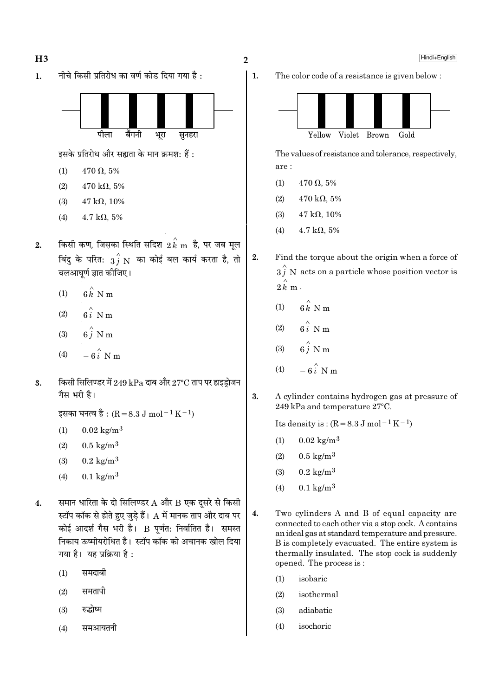

- रुद्धोष्म  $(3)$
- समआयतनी  $(4)$

 $\overline{2}$ 

 $2.$ 

Hindi+English





The values of resistance and tolerance, respectively, are:

- $470 \Omega, 5\%$  $(1)$
- $(2)$  $470 \text{ k}\Omega, 5\%$
- $(3)$  $47 k\Omega$ . 10%
- $4.7 \text{ k}\Omega, 5\%$  $(4)$
- Find the torque about the origin when a force of  $3\hat{j}$  N acts on a particle whose position vector is  $2\hat{k}$  m.
	- $6k$  N m  $(1)$
	- $(2)$
	- $(3)$
	- $\stackrel{\wedge}{\mathbf{a}}$   $\stackrel{\wedge}{\mathbf{b}}$   $\stackrel{\wedge}{\mathbf{b}}$  $(4)$
- $\overline{3}$ . A cylinder contains hydrogen gas at pressure of 249 kPa and temperature 27°C.

Its density is:  $(R = 8.3 J \text{ mol}^{-1} \text{K}^{-1})$ 

- $0.02 \text{ kg/m}^3$  $(1)$
- $0.5 \text{ kg/m}^3$  $(2)$
- $0.2 \text{ kg/m}^3$  $(3)$
- $0.1 \text{ kg/m}^3$  $(4)$
- 4. Two cylinders A and B of equal capacity are connected to each other via a stop cock. A contains an ideal gas at standard temperature and pressure. B is completely evacuated. The entire system is thermally insulated. The stop cock is suddenly opened. The process is:
	- $(1)$ isobaric
	- isothermal  $(2)$
	- $(3)$ adiabatic
	- isochoric  $(4)$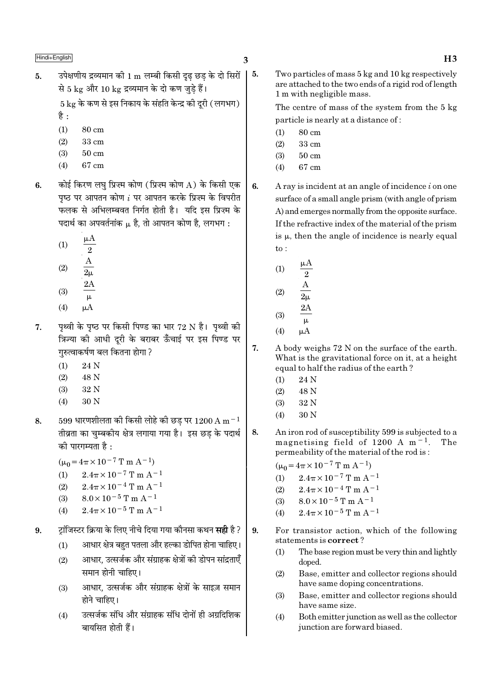उपेक्षणीय द्रव्यमान की 1 m लम्बी किसी दढ छड के दो सिरों  $\vert 5.$  $\overline{5}$ . से 5 kg और 10 kg द्रव्यमान के दो कण जड़े हैं।

> $5 \text{ kg}$  के कण से इस निकाय के संहति केन्द्र की दुरी (लगभग) है $:$

- 
- $(1)$ 80 cm
- $(2)$ 33 cm  $(3)$  $50 \text{ cm}$
- 67 cm  $(4)$
- कोई किरण लघु प्रिज्म कोण (प्रिज्म कोण A) के किसी एक 6. पष्ठ पर आपतन कोण  $i$  पर आपतन करके प्रिज़्म के विपरीत फलक से अभिलम्बवत निर्गत होती है। यदि इस प्रिज्म के पदार्थ का अपवर्तनांक µ है. तो आपतन कोण है. लगभग :
	- $(1)$  $(2)$
	-
	- $(3)$
	- $(4)$  $\mu A$
- पथ्वी के पष्ठ पर किसी पिण्ड का भार 72 N है। पथ्वी की  $\overline{7}$ . त्रिज्या की आधी दुरी के बराबर ऊँचाई पर इस पिण्ड पर गरुत्वाकर्षण बल कितना होगा ?
	- $(1)$ 24 N
	- $(2)$ 48 N
	- $(3)$ 32 N
	- $(4)$ 30 N
- $599$  धारणशीलता की किसी लोहे की छड पर  $1200 \text{ A m}^{-1}$ 8. तीव्रता का चुम्बकीय क्षेत्र लगाया गया है। इस छड के पदार्थ की पारगम्यता है :
	- $(\mu_0 = 4\pi \times 10^{-7} \text{ T m A}^{-1})$
	- $(1)$  $2.4\pi \times 10^{-7}$  T m A<sup>-1</sup>
	- $2.4\pi \times 10^{-4}$  T m A<sup>-1</sup>  $(2)$
	- $8.0 \times 10^{-5}$  T m A<sup>-1</sup>  $(3)$
	- $2.4\pi \times 10^{-5}$  T m A<sup>-1</sup>  $(4)$
- टांजिस्टर क्रिया के लिए नीचे दिया गया कौनसा कथन **सही** है ?  $9<sub>l</sub>$ 
	- आधार क्षेत्र बहुत पतला और हल्का डोपित होना चाहिए।  $(1)$
	- आधार, उत्सर्जक और संग्राहक क्षेत्रों की डोपन सांद्रताएँ  $(2)$ समान होनी चाहिए।
	- आधार, उत्सर्जक और संग्राहक क्षेत्रों के साइज़ समान  $(3)$ होने चाहिए।
	- उत्सर्जक संधि और संग्राहक संधि दोनों ही अग्रदिशिक  $(4)$ बायसित होती हैं।

Two particles of mass 5 kg and 10 kg respectively are attached to the two ends of a rigid rod of length 1 m with negligible mass.

The centre of mass of the system from the 5 kg particle is nearly at a distance of:

- $(1)$ 80 cm
- $(2)$ 33 cm
- $50 \text{ cm}$  $(3)$
- $(4)$ 67 cm
- A ray is incident at an angle of incidence i on one surface of a small angle prism (with angle of prism A) and emerges normally from the opposite surface. If the refractive index of the material of the prism is  $\mu$ , then the angle of incidence is nearly equal  $\overline{\text{to}}$ :
	- $(1)$  $\overline{2}$  $(2)$  $(3)$  $(4)$
- $\overline{7}$ . A body weighs 72 N on the surface of the earth. What is the gravitational force on it, at a height equal to half the radius of the earth?
	- 24 N  $(1)$
	- 48 N  $(2)$
	- $(3)$  $32N$
	- 30 N  $(4)$
- An iron rod of susceptibility 599 is subjected to a 8. magnetising field of 1200 A  $m^{-1}$ . The permeability of the material of the rod is:

 $(\mu_0 = 4\pi \times 10^{-7} \text{ T m A}^{-1})$ 

- $2.4\pi \times 10^{-7}$  T m A<sup>-1</sup>  $(1)$
- $2.4\pi \times 10^{-4}$  T m A<sup>-1</sup>  $(2)$
- $8.0\times10^{-5}\,\mathrm{T}$  m A  $^{-1}$  $(3)$
- $2.4\pi \times 10^{-5}$  T m A<sup>-1</sup>  $(4)$
- $9<sub>1</sub>$ For transistor action, which of the following statements is correct?
	- The base region must be very thin and lightly  $(1)$ doped.
	- $(2)$ Base, emitter and collector regions should have same doping concentrations.
	- Base, emitter and collector regions should  $(3)$ have same size.
	- Both emitter junction as well as the collector  $(4)$ junction are forward biased.

6.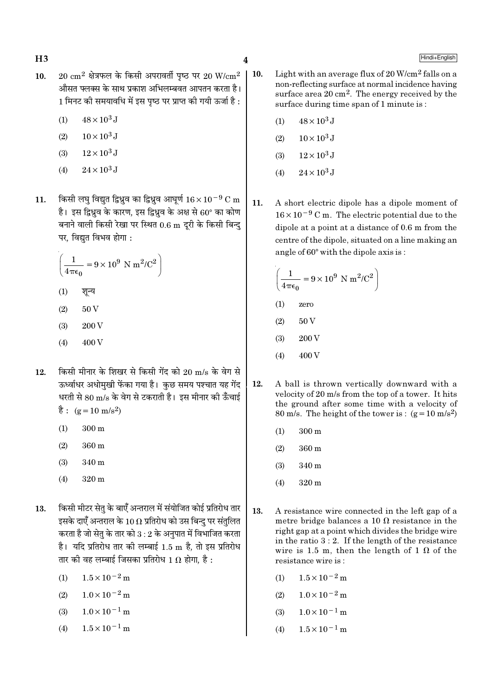$\overline{\mathbf{4}}$ 

- $20 \text{ cm}^2$  क्षेत्रफल के किसी अपरावर्ती पष्ठ पर  $20 \text{ W/cm}^2$  $10.$ औसत फ्लक्स के साथ प्रकाश अभिलम्बवत आपतन करता है। 1 मिनट की समयावधि में इस पृष्ठ पर प्राप्त की गयी ऊर्जा है :
	- $48 \times 10^3$  J  $(1)$
	- $10 \times 10^3$  J  $(2)$
	- $12 \times 10^3$  J  $(3)$
	- $(4)$  $24 \times 10^3$  J
- किसी लघु विद्युत द्विध्नुव का द्विध्नुव आघूर्ण  $16 \times 10^{-9}$  C m 11. है। इस द्विध्नुव के कारण, इस द्विध्नुव के अक्ष से 60° का कोण बनाने वाली किसी रेखा पर स्थित 0.6 m दूरी के किसी बिन्दु पर, विद्युत विभव होगा :

$$
\left(\frac{1}{4\pi\epsilon_0} = 9 \times 10^9 \text{ N m}^2/\text{C}^2\right)
$$

- $(1)$ शून्य
- 50 V  $(2)$
- 200 V  $(3)$
- $(4)$ 400 V
- किसी मीनार के शिखर से किसी गेंद को 20 m/s के वेग से  $12.$ ऊर्ध्वाधर अधोमुखी फेंका गया है। कुछ समय पश्चात यह गेंद धरती से 80 m/s के वेग से टकराती है। इस मीनार की ऊँचाई  $\dot{\vec{g}}$ : (g = 10 m/s<sup>2</sup>)
	- $(1)$  $300 \text{ m}$
	- $(2)$  $360<sub>m</sub>$
	- $(3)$ 340 m
	- $(4)$ 320 m
- किसी मीटर सेतु के बाएँ अन्तराल में संयोजित कोई प्रतिरोध तार 13. इसके दाएँ अन्तराल के 10  $\Omega$  प्रतिरोध को उस बिन्दु पर संतुलित करता है जो सेतृ के तार को  $3:2$  के अनुपात में विभाजित करता है। यदि प्रतिरोध तार की लम्बाई 1.5 m है, तो इस प्रतिरोध तार की वह लम्बाई जिसका प्रतिरोध 1  $\Omega$  होगा. है :
	- $1.5 \times 10^{-2}$  m  $(1)$
	- $1.0 \times 10^{-2}$  m  $(2)$
	- $(3)$  $1.0 \times 10^{-1}$  m
	- $1.5 \times 10^{-1}$  m  $(4)$
- $\vert$  10. Light with an average flux of  $20 \text{ W/cm}^2$  falls on a non-reflecting surface at normal incidence having surface area  $20 \text{ cm}^2$ . The energy received by the surface during time span of 1 minute is:
	- $(1)$  $48 \times 10^3$  J
	- $10 \times 10^3$  J  $(2)$
	- $(3)$  $12 \times 10^3$  J
	- $24 \times 10^3$  J  $(4)$
	- $11.$ A short electric dipole has a dipole moment of  $16 \times 10^{-9}$  C m. The electric potential due to the dipole at a point at a distance of 0.6 m from the centre of the dipole, situated on a line making an angle of 60° with the dipole axis is:

$$
\left(\frac{1}{4\pi\epsilon_0} = 9 \times 10^9 \text{ N m}^2/\text{C}^2\right)
$$

- $(1)$ zero
- 50 V  $(2)$
- $(3)$ 200 V
- 400 V  $(4)$
- 12. A ball is thrown vertically downward with a velocity of 20 m/s from the top of a tower. It hits the ground after some time with a velocity of 80 m/s. The height of the tower is:  $(g=10 \text{ m/s}^2)$ 
	- 300 m  $(1)$
	- $(2)$ 360 m
	- $(3)$ 340 m
	- $(4)$  $320 \text{ m}$
- 13. A resistance wire connected in the left gap of a metre bridge balances a 10  $\Omega$  resistance in the right gap at a point which divides the bridge wire in the ratio  $3:2$ . If the length of the resistance wire is 1.5 m, then the length of 1  $\Omega$  of the resistance wire is:
	- $1.5 \times 10^{-2}$  m  $(1)$
	- $1.0 \times 10^{-2}$  m  $(2)$
	- $1.0 \times 10^{-1}$  m  $(3)$
	- $1.5 \times 10^{-1}$  m  $(4)$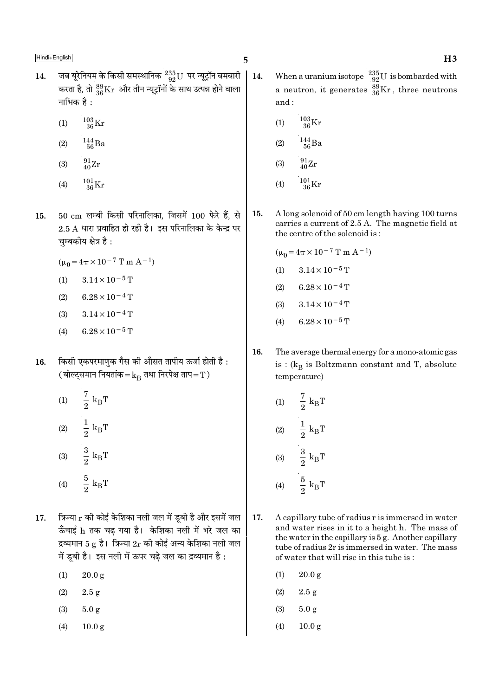- जब यूरेनियम के किसी समस्थानिक  $^{235}_{92}$ U पर न्यूट्रॉन बमबारी | 14. 14. करता है, तो  $^{89}_{36}\rm{Kr}$  और तीन न्यूट्रॉनों के साथ उत्पन्न होने वाला नाभिक है:
	- $^{103}_{36}$ Kr  $(1)$
	- $^{144}_{\phantom{1}56}Ba$  $(2)$
	- $\frac{91}{40}Zr$  $(3)$
	- $\frac{101}{36}\mathrm{Kr}$  $(4)$
- $50 \text{ cm}$  लम्बी किसी परिनालिका, जिसमें  $100 \text{ \text{ }\hat{ } \, \hat{ } \, \hat{ } \, \hat{ }$  हैं, से 15.  $2.5$  A धारा प्रवाहित हो रही है। इस परिनालिका के केन्द्र पर चुम्बकीय क्षेत्र है:

 $(\mu_0 = 4\pi \times 10^{-7} \text{ T m A}^{-1})$ 

- $3.14 \times 10^{-5}$  T  $(1)$
- $6.28 \times 10^{-4}$  T  $(2)$
- $3.14 \times 10^{-4}$  T  $(3)$
- $6.28 \times 10^{-5}$  T  $(4)$
- किसी एकपरमाणुक गैस की औसत तापीय ऊर्जा होती है: 16. (बोल्ट्समान नियतांक $=$  ${\rm k_B}$  तथा निरपेक्ष ताप $=$   ${\rm T}$ )
	- $\frac{7}{2}$  k<sub>B</sub>T  $(1)$ (2)  $\frac{1}{2} k_B T$ (3)  $\frac{3}{2} k_B T$  $rac{5}{2}$  k<sub>B</sub>T  $(4)$
- त्रिज्या  $r$  की कोई केशिका नली जल में डूबी है और इसमें जल 17. ऊँचाई h तक चढ गया है। केशिका नली में भरे जल का द्रव्यमान 5 g है। त्रिज्या  $2r$  की कोई अन्य केशिका नली जल में ड़बी है। इस नली में ऊपर चढे जल का द्रव्यमान है :
	- $(1)$  $20.0 \text{ g}$
	- $(2)$  $2.5 g$
	- $(3)$  $5.0 g$
	- $(4)$  $10.0<sub>g</sub>$
- When a uranium isotope  $\frac{235}{92}U$  is bombarded with a neutron, it generates  $^{39}_{36}\text{Kr}$ , three neutrons and:
	- $\frac{103}{36}\mathrm{Kr}$  $(1)$
	- $\frac{144}{56}$ Ba  $(2)$
	- $^{91}_{40} \text{Zr}$  $(3)$
	- $^{101}_{36}$ Kr  $(4)$
- 15. A long solenoid of 50 cm length having 100 turns carries a current of 2.5 A. The magnetic field at the centre of the solenoid is:

$$
(\mu_0 = 4\pi \times 10^{-7} \text{ T m A}^{-1})
$$

- $3.14\times10^{-5}\,\mathrm{T}$  $(1)$
- $(2)$  $6.28 \times 10^{-4}$  T
- $(3)$  $3.14 \times 10^{-4}$  T
- $6.28 \times 10^{-5}$  T  $(4)$
- 16. The average thermal energy for a mono-atomic gas is :  $(k_B$  is Boltzmann constant and T, absolute temperature)

(1) 
$$
\frac{7}{2}
$$
 k<sub>B</sub>T  
\n(2)  $\frac{1}{2}$  k<sub>B</sub>T  
\n(3)  $\frac{3}{2}$  k<sub>B</sub>T  
\n(4)  $\frac{5}{2}$  k<sub>B</sub>T

- 17. A capillary tube of radius r is immersed in water and water rises in it to a height h. The mass of the water in the capillary is 5 g. Another capillary tube of radius 2r is immersed in water. The mass of water that will rise in this tube is:
	- $(1)$  $20.0 g$
	- $(2)$  $2.5 g$
	- $(3)$  $5.0 g$
	- $(4)$  $10.0<sub>g</sub>$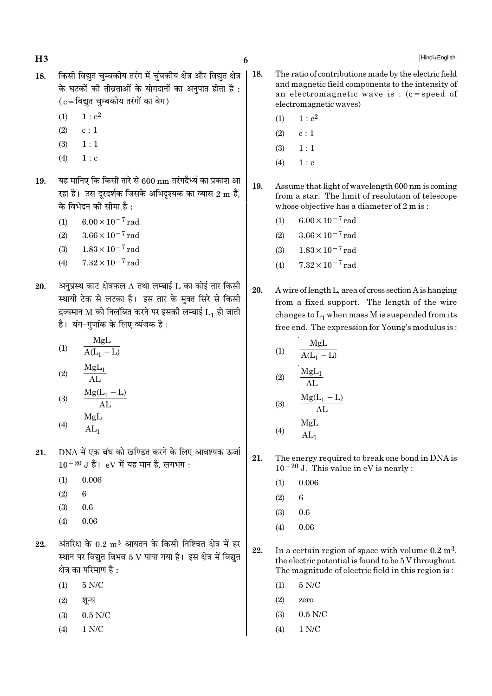$H<sub>3</sub>$ 

- किसी विद्युत चुम्बकीय तरंग में चुंबकीय क्षेत्र और विद्युत क्षेत्र 18. के घटकों की तीव्रताओं के योगदानों का अनुपात होता है:  $(c = \bar{c}$ विद्युत चुम्बकीय तरंगों का वेग)
	- $1 : c<sup>2</sup>$  $(1)$
	- $(2)$  $c:1$
	- $1:1$  $(3)$
	- $(4)$  $1 : c$
- यह मानिए कि किसी तारे से 600 nm तरंगदैर्ध्य का प्रकाश आ 19. रहा है। उस दरदर्शक जिसके अभिदृश्यक का व्यास 2 m है, के विभेदन की सीमा है :
	- $6.00 \times 10^{-7}$  rad  $(1)$
	- $3.66 \times 10^{-7}$  rad  $(2)$
	- $1.83 \times 10^{-7}$  rad  $(3)$
	- $7.32 \times 10^{-7}$  rad  $(4)$
- अनुप्रस्थ काट क्षेत्रफल  $A$  तथा लम्बाई  $L$  का कोई तार किसी 20. स्थायी टेक से लटका है। इस तार के मुक्त सिरे से किसी द्रव्यमान M को निलंबित करने पर इसकी लम्बाई  $\mathrm{L_{1}}$  हो जाती है। यंग-गुणांक के लिए व्यंजक है:
	- MgL  $(1)$  $\overline{A(L_1-L)}$  $MgL_1$  $(2)$  $AT$
	- $\frac{Mg(L_1 L)}{AL}$  $(3)$ MgL
	- $(4)$  $\overline{\text{AL}_{1}}$
- DNA में एक बंध को खण्डित करने के लिए आवश्यक ऊर्जा 21.  $10^{-20}$  J है। eV में यह मान है, लगभग:
	- $0.006$  $(1)$
	- $(2)$  $6\phantom{a}$
	- $(3)$  $0.6$
	- $(4)$  $0.06$
- अंतरिक्ष के  $0.2 \text{ m}^3$  आयतन के किसी निश्चित क्षेत्र में हर 22. स्थान पर विद्युत विभव 5 V पाया गया है। इस क्षेत्र में विद्युत क्षेत्र का परिमाण है :
	- $5 N/C$  $(1)$
	- $(2)$ शन्य
	- $0.5$  N/C  $(3)$
	- $(4)$  $1 N/C$
- $\vert$  18. The ratio of contributions made by the electric field and magnetic field components to the intensity of an electromagnetic wave is:  $(c = speed of$ electromagnetic waves)
	- $1 : c<sup>2</sup>$  $(1)$
	- $(2)$  $\ensuremath{\mathbf{c}}\xspace:1$
	- $(3)$  $1:1$
	- $(4)$  $1 : c$
	- 19. Assume that light of wavelength 600 nm is coming from a star. The limit of resolution of telescope whose objective has a diameter of 2 m is:
		- $6.00 \times 10^{-7}$  rad  $(1)$
		- $3.66 \times 10^{-7}$  rad  $(2)$
		- $1.83 \times 10^{-7}$  rad  $(3)$
		- $7.32 \times 10^{-7}$  rad  $(4)$
	- 20. A wire of length L, area of cross section A is hanging from a fixed support. The length of the wire changes to  $L_1$  when mass M is suspended from its free end. The expression for Young's modulus is:

(1) 
$$
\frac{MgL}{A(L_1 - L)}
$$
  
(2) 
$$
\frac{MgL_1}{AL}
$$
  
(2) 
$$
Mg(L_1 - L)
$$

$$
(3) \quad \frac{\text{AL}}{\text{AL}_1}
$$
\n
$$
(4) \quad \frac{\text{MgL}}{\text{AL}_1}
$$

- 21. The energy required to break one bond in DNA is  $10^{-20}$  J. This value in eV is nearly :
	- 0.006  $(1)$
	- $(2)$  $\mathbf{g}$
	- $(3)$  $0.6$
	- $(4)$ 0.06
- 22. In a certain region of space with volume  $0.2 \text{ m}^3$ , the electric potential is found to be 5 V throughout. The magnitude of electric field in this region is:
	- $5 N/C$  $(1)$
	- $(2)$ zero
	- $0.5$  N/C  $(3)$
	- $(4)$  $1 N/C$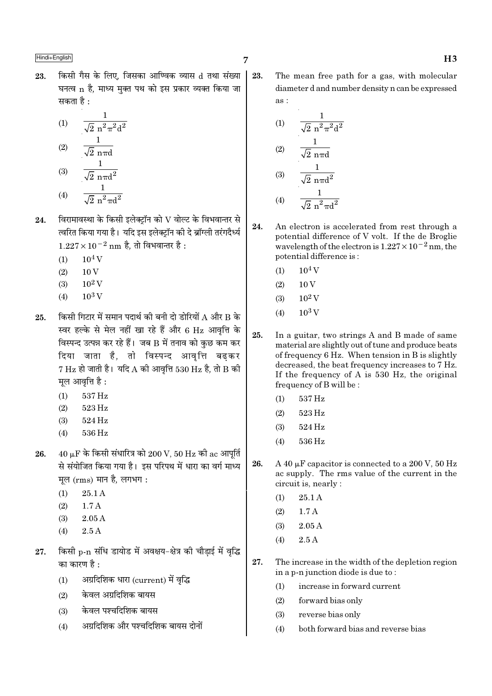किसी गैस के लिए. जिसका आण्विक व्यास d तथा संख्या | 23. घनत्व n है. माध्य मक्त पथ को इस प्रकार व्यक्त किया जा सकता है :

(1) 
$$
\frac{1}{\sqrt{2} n^{2} \pi^{2} d^{2}}
$$
  
(2) 
$$
\frac{1}{\sqrt{2} n \pi d}
$$
  
(3) 
$$
\frac{1}{\sqrt{2} n \pi d^{2}}
$$

- (4)  $\frac{1}{\sqrt{2} n^2 \pi d^2}$
- विरामावस्था के किसी इलेक्ट्रॉन को  ${\rm V}$  वोल्ट के विभवान्तर से 24. त्वरित किया गया है। यदि इस इलेक्टॉन की दे ब्रॉग्ली तरंगदैर्ध्य  $1.227 \times 10^{-2}$  nm है. तो विभवान्तर है:
	- $10<sup>4</sup>$  V  $(1)$
	- $10V$  $(2)$
	- $10^2$  V  $(3)$
	- $10^3$  V  $(4)$
- किसी गिटार में समान पदार्थ की बनी दो डोरियों A और B के 25. स्वर हल्के से मेल नहीं खा रहे हैं और 6 Hz आवृत्ति के विस्पन्द उत्पन्न कर रहे हैं। जब B में तनाव को कुछ कम कर दिया जाता है, तो विस्पन्द आवृत्ति बढ़कर  $7$  Hz हो जाती है। यदि A की आवृत्ति 530 Hz है, तो B की मूल आवृत्ति है:
	- 537 Hz  $(1)$
	- 523 Hz  $(2)$
	- 524 Hz  $(3)$
	- 536 Hz  $(4)$
- $40 \mu$ F के किसी संधारित्र को  $200 \text{ V}$ ,  $50 \text{ Hz}$  की ac आपूर्ति 26. से संयोजित किया गया है। इस परिपथ में धारा का वर्ग माध्य मूल (rms) मान है, लगभग:
	- $(1)$ 25.1 A
	- $1.7A$  $(2)$
	- $(3)$  $2.05A$
	- $2.5A$  $(4)$
- किसी p-n संधि डायोड में अवक्षय-क्षेत्र की चौड़ाई में वृद्धि 27. का कारण है :
	- अग्रदिशिक धारा (current) में वृद्धि  $(1)$
	- केवल अग्रदिशिक बायस  $(2)$
	- केवल पश्चदिशिक बायस  $(3)$
	- अग्रदिशिक और पश्चदिशिक बायस दोनों  $(4)$

23. The mean free path for a gas, with molecular diameter d and number density n can be expressed as:

(1) 
$$
\frac{1}{\sqrt{2} n^2 \pi^2 d^2}
$$
  
\n(2) 
$$
\frac{1}{\sqrt{2} n \pi d}
$$
  
\n(3) 
$$
\frac{1}{\sqrt{2} n \pi d^2}
$$
  
\n(4) 
$$
\frac{1}{\sqrt{2} n^2 \pi d^2}
$$

- 24. An electron is accelerated from rest through a potential difference of V volt. If the de Broglie wavelength of the electron is  $1.227 \times 10^{-2}$  nm, the potential difference is:
	- $10^4$  V  $(1)$
	- $10\,\mathrm{V}$  $(2)$
	- $10^2$  V  $(3)$
	- $10^3$  V  $(4)$
- $2.5^{\circ}$ In a guitar, two strings A and B made of same material are slightly out of tune and produce beats of frequency 6 Hz. When tension in B is slightly decreased, the beat frequency increases to 7 Hz. If the frequency of A is  $530$  Hz, the original frequency of B will be:
	- $537\,\mathrm{Hz}$  $(1)$
	- $(2)$ 523 Hz
	- $(3)$ 524 Hz
	- 536 Hz  $(4)$
- 26. A 40  $\mu$ F capacitor is connected to a 200 V, 50 Hz ac supply. The rms value of the current in the circuit is, nearly :
	- 25.1 A  $(1)$
	- $(2)$  $1.7A$
	- $2.05A$  $(3)$
	- $2.5A$  $(4)$
- 27. The increase in the width of the depletion region in a p-n junction diode is due to:
	- increase in forward current  $(1)$
	- $(2)$ forward bias only
	- reverse bias only  $(3)$
	- both forward bias and reverse bias  $(4)$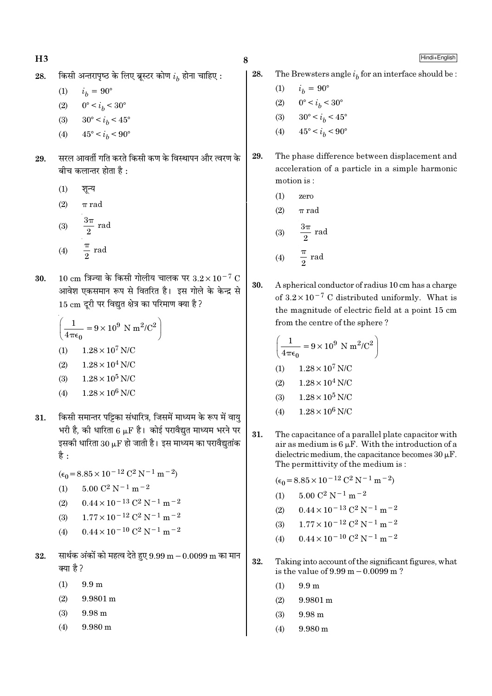$$
\mathbf{H3}
$$

किसी अन्तरापृष्ठ के लिए ब्रूस्टर कोण  $i_h$  होना चाहिए : 28.

$$
(1) \qquad i_b = 90^\circ
$$

- $0^{\circ} < i_b < 30^{\circ}$  $(2)$
- $30^{\circ} < i_h < 45^{\circ}$  $(3)$
- $45^{\circ} < i_h < 90^{\circ}$  $(4)$
- सरल आवर्ती गति करते किसी कण के विस्थापन और त्वरण के 29. बीच कलान्तर होता है :
	- $(1)$ शून्य
	- $(2)$  $\pi$  rad
	- $\frac{3\pi}{2}$  rad  $(3)$  $\frac{\pi}{2}$  rad  $(4)$
- $10 \text{ cm}$  त्रिज्या के किसी गोलीय चालक पर  $3.2 \times 10^{-7} \text{ C}$ 30. आवेश एकसमान रूप से वितरित है। इस गोले के केन्द्र से 15 cm दूरी पर विद्युत क्षेत्र का परिमाण क्या है ?

$$
\left(\frac{1}{4\pi\epsilon_0} = 9 \times 10^9 \text{ N m}^2/\text{C}^2\right)
$$
  
(1) 1.28 × 10<sup>7</sup> N/C  
(2) 1.28 × 10<sup>4</sup> N/C  
(3) 1.28 × 10<sup>5</sup> N/C  
(4) 1.28 × 10<sup>6</sup> N/C

- किसी समान्तर पट्टिका संधारित्र, जिसमें माध्यम के रूप में वायु 31. भरी है. की धारिता 6 LF है। कोई परावैद्यत माध्यम भरने पर इसकी धारिता 30  $\mu$ F हो जाती है। इस माध्यम का परावैद्युतांक है :
	- $(\epsilon_0 = 8.85 \times 10^{-12} \text{ C}^2 \text{ N}^{-1} \text{ m}^{-2})$
	- $5.00 \text{ C}^2 \text{ N}^{-1} \text{ m}^{-2}$  $(1)$
	- $0.44 \times 10^{-13}$  C<sup>2</sup> N<sup>-1</sup> m<sup>-2</sup>  $(2)$
	- $1.77 \times 10^{-12}$  C<sup>2</sup> N<sup>-1</sup> m<sup>-2</sup>  $(3)$
	- $0.44 \times 10^{-10}$  C<sup>2</sup> N<sup>-1</sup> m<sup>-2</sup>  $(4)$
- सार्थक अंकों को महत्व देते हुए 9.99 m  $-0.0099$  m का मान 32. क्या है ?
	- $(1)$  $9.9<sub>m</sub>$
	- 9.9801 m  $(2)$
	- $(3)$  $9.98<sub>m</sub>$
	- $(4)$  $9.980 \text{ m}$

28. The Brewsters angle  $i_h$  for an interface should be:

- $i_h = 90^{\circ}$  $(1)$
- $0^{\circ} < i_b < 30^{\circ}$  $(2)$
- $30^{\circ} < i_b < 45^{\circ}$  $(3)$
- $45^{\circ} < i_h < 90^{\circ}$  $(4)$
- The phase difference between displacement and 29. acceleration of a particle in a simple harmonic motion is:
	- $(1)$ zero
	- $(2)$  $\pi$  rad

$$
(3) \qquad \frac{3\pi}{2} \text{ rad}
$$

$$
(4) \qquad \frac{\pi}{2} \text{ rad}
$$

30. A spherical conductor of radius 10 cm has a charge of  $3.2 \times 10^{-7}$  C distributed uniformly. What is the magnitude of electric field at a point 15 cm from the centre of the sphere?

$$
\left(\frac{1}{4\pi\epsilon_0} = 9 \times 10^9 \text{ N m}^2/\text{C}^2\right)
$$
  
(1) 1.28×10<sup>7</sup> N/C  
(2) 1.28×10<sup>4</sup> N/C  
(3) 1.28×10<sup>5</sup> N/C  
(4) 1.28×10<sup>6</sup> N/C

31. The capacitance of a parallel plate capacitor with air as medium is  $6 \mu$ F. With the introduction of a dielectric medium, the capacitance becomes  $30 \mu$ F. The permittivity of the medium is:

$$
(\epsilon_0 = 8.85 \times 10^{-12} \, \text{C}^2 \, \text{N}^{-1} \, \text{m}^{-2})
$$

- $5.00 C^2 N^{-1} m^{-2}$  $(1)$
- $0.44 \times 10^{-13}$  C<sup>2</sup> N<sup>-1</sup> m<sup>-2</sup>  $(2)$
- $1.77 \times 10^{-12}$  C<sup>2</sup> N<sup>-1</sup> m<sup>-2</sup>  $(3)$
- $0.44 \times 10^{-10}$  C<sup>2</sup> N<sup>-1</sup> m<sup>-2</sup>  $(4)$
- 32. Taking into account of the significant figures, what is the value of  $9.99 \text{ m} - 0.0099 \text{ m}$ ?
	- $(1)$  $9.9<sub>m</sub>$
	- $(2)$  $9.9801 m$
	- $(3)$  $9.98 \text{ m}$
	- $(4)$ 9.980 m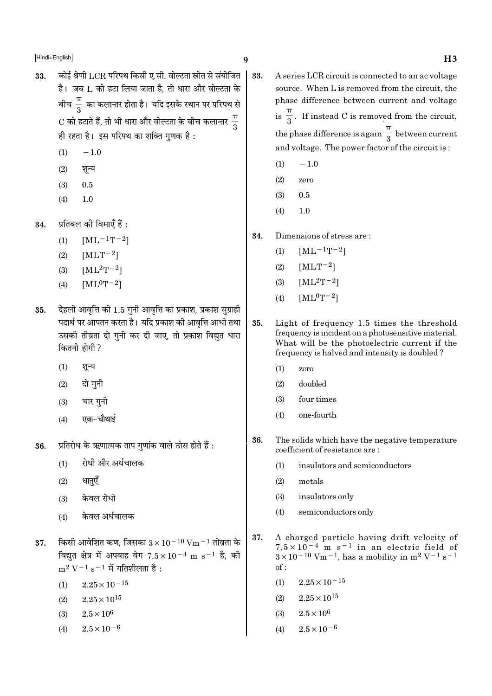$\overline{\text{Hindi+English}}$  and  $\overline{\text{H3}}$ 

- $33.$  कोई श्रेणी  $LCR$  परिपथ किसी ए.सी. वोल्टता स्रोत से संयोजित  $\dot{\tilde{\epsilon}}$ । जब  $L$  को हटा लिया जाता है. तो धारा और वोल्टता के बीच $\:\frac{\pi}{3}\:$  का कलान्तर होता है। यदि इसके स्थान पर परिपथ से  ${\rm C}$  को हटाते हैं, तो भी धारा और वोल्टता के बीच कलान्तर  $\frac{\pi}{3}$ ही रहता है। इस परिपथ का शक्ति गुणक है:
	- $(1)$  −1.0
	- $(2)$  शन्य
	- (3) 0.5
	- $(4)$  1.0
- $34.$  प्रतिबल की विमाएँ हैं :
	- (1)  $[ML^{-1}T^{-2}]$
	- (2)  $[MLT^{-2}]$
	- (3)  $[ML^2T^{-2}]$
	- (4)  $[ML^0T^{-2}]$
- $35.$  देहली आवृत्ति की  $1.5$  गुनी आवृत्ति का प्रकाश, प्रकाश सुग्राही पदार्थ पर आपतन करता है। यदि प्रकाश की आवत्ति आधी तथा उसकी तीव्रता दो गुनी कर दी जाए, तो प्रकाश विद्युत धारा कितनी होगी ?
	- $(1)$  शून्य
	- $(2)$  दो गुनी
	- $(3)$  वार गुनी
	- $(4)$  एक−चौथाई
- $36.$  प्रतिरोध के ऋणात्मक ताप गुणांक वाले ठोस होते हैं :
	- $(1)$  रोधी और अर्धचालक
	- $(2)$  धातएँ
	- $(3)$  केवल रोधी
	- $(4)$  केवल अर्धचालक
- $37.$  किसी आवेशित कण, जिसका  $3 \times 10^{-10}$  Vm $^{-1}$  तीव्रता के विद्युत क्षेत्र में अपवाह वेग 7.5×10<sup>-4</sup> m s<sup>-1</sup> है, की  $m^2$  V<sup>−1</sup> s<sup>−1</sup> में गतिशीलता है:
	- $(1)$  2.25×10<sup>-15</sup>
	- $(2)$  2.25  $\times$  10<sup>15</sup>
	- (3)  $2.5 \times 10^6$
	- (4)  $2.5 \times 10^{-6}$
- 33. A series LCR circuit is connected to an ac voltage source. When L is removed from the circuit, the phase difference between current and voltage  $is \frac{1}{3}$ π . If instead C is removed from the circuit, the phase difference is again  $\frac{1}{3}$ π between current and voltage. The power factor of the circuit is :
	- $(1)$  −1.0
	- (2) zero
	- (3) 0.5
	- (4) 1.0
	- 34. Dimensions of stress are :
		- (1)  $[ML^{-1}T^{-2}]$
		- (2)  $[MLT^{-2}]$
		- (3)  $[ML^2T^{-2}]$
		- (4)  $[ML^0T^{-2}]$
- 35. Light of frequency 1.5 times the threshold frequency is incident on a photosensitive material. What will be the photoelectric current if the frequency is halved and intensity is doubled ?
	- (1) zero
	- (2) doubled
	- (3) four times
	- (4) one-fourth
- 36. The solids which have the negative temperature coefficient of resistance are :
	- (1) insulators and semiconductors
	- (2) metals
	- (3) insulators only
	- (4) semiconductors only
- 37. A charged particle having drift velocity of  $7.5 \times 10^{-4}$  m s<sup>-1</sup> in an electric field of  $3 \times 10^{-10}$  Vm<sup>-1</sup>, has a mobility in m<sup>2</sup> V<sup>-1</sup> s<sup>-1</sup> of :
	- $(1)$  2.25×10<sup>-15</sup>
	- $(2)$  2.25  $\times$  10<sup>15</sup>
	- (3)  $2.5 \times 10^6$
	- (4)  $2.5 \times 10^{-6}$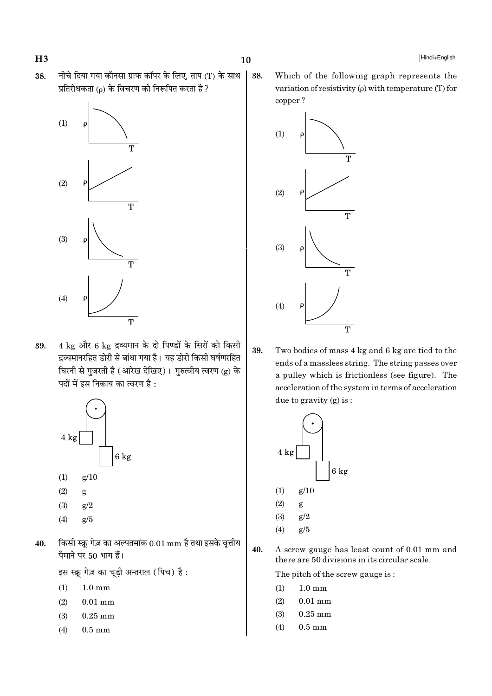38.

 $H3$ 





4 kg और 6 kg द्रव्यमान के दो पिण्डों के सिरों को किसी 39. द्रव्यमानरहित डोरी से बांधा गया है। यह डोरी किसी घर्षणरहित घिरनी से गुजरती है (आरेख देखिए)। गुरुत्वीय त्वरण (g) के पदों में इस निकाय का त्वरण है :



- $(2)$ g
- $(3)$  $g/2$
- $(4)$  $g/5$
- किसी स्क्रू गेज़ का अल्पतमांक  $0.01\,\mathrm{mm}$  है तथा इसके वृत्तीय 40. पैमाने पर 50 भाग हैं।

इस स्क्रू गेज़ का चूड़ी अन्तराल (पिच) है:

- $(1)$  $1.0 \text{ mm}$
- $(2)$  $0.01$  mm
- $(3)$  $0.25$  mm
- $0.5 \text{ mm}$  $(4)$

Which of the following graph represents the variation of resistivity  $(\rho)$  with temperature (T) for copper?



39. Two bodies of mass 4 kg and 6 kg are tied to the ends of a massless string. The string passes over a pulley which is frictionless (see figure). The acceleration of the system in terms of acceleration due to gravity  $(g)$  is:



- $(4)$  $g/5$
- 40. A screw gauge has least count of 0.01 mm and there are 50 divisions in its circular scale.

The pitch of the screw gauge is:

- $(1)$  $1.0 \text{ mm}$
- $(2)$  $0.01$  mm
- $(3)$  $0.25$  mm
- $(4)$  $0.5 \text{ mm}$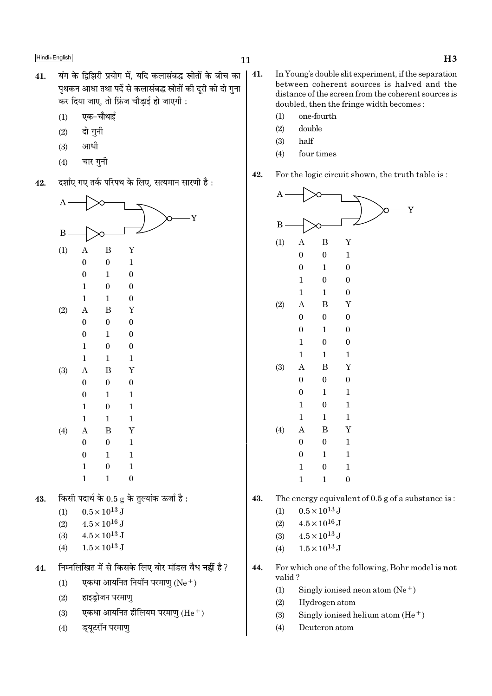43.

44.

- यंग के द्विझिरी प्रयोग में, यदि कलासंबद्ध स्रोतों के बीच का  $41.$ पृथकन आधा तथा पर्दे से कलासंबद्ध स्रोतों की दरी को दो गुना कर दिया जाए, तो फ्रिंज चौड़ाई हो जाएगी :
	- एक-चौथाई  $(1)$
	- दो गनी  $(2)$
	- आधी  $(3)$
	- $(4)$ चार गुनी
- दर्शाए गए तर्क परिपथ के लिए, सत्यमान सारणी है: 42.

| Α   |                  |                                   |                                                          |  |
|-----|------------------|-----------------------------------|----------------------------------------------------------|--|
|     |                  |                                   | Y                                                        |  |
| B   |                  |                                   |                                                          |  |
| (1) | A                | B                                 | Y                                                        |  |
|     | $\boldsymbol{0}$ | $\boldsymbol{0}$                  | $\mathbf 1$                                              |  |
|     | $\boldsymbol{0}$ | $\mathbf 1$                       | $\boldsymbol{0}$                                         |  |
|     | $\mathbf{1}$     | $\boldsymbol{0}$                  | $\boldsymbol{0}$                                         |  |
|     | $\mathbf{1}$     | $\mathbf 1$                       | 0                                                        |  |
| (2) | A                | B                                 | Y                                                        |  |
|     | $\boldsymbol{0}$ | $\boldsymbol{0}$                  | 0                                                        |  |
|     | $\boldsymbol{0}$ | $\mathbf{1}$                      | $\boldsymbol{0}$                                         |  |
|     | $\mathbf{1}$     | $\boldsymbol{0}$                  | 0                                                        |  |
|     | $\mathbf{1}$     | $\mathbf 1$                       | $\mathbf{1}$                                             |  |
| (3) | A                | B                                 | Y                                                        |  |
|     | $\boldsymbol{0}$ | $\boldsymbol{0}$                  | 0                                                        |  |
|     | $\boldsymbol{0}$ | $\mathbf{1}$                      | $\mathbf{1}$                                             |  |
|     | $\mathbf{1}$     | $\boldsymbol{0}$                  | $\mathbf{1}$                                             |  |
|     | $\mathbf{1}$     | $\mathbf 1$                       | $\mathbf{1}$                                             |  |
| (4) | A                | B                                 | Y                                                        |  |
|     | $\boldsymbol{0}$ | $\boldsymbol{0}$                  | $\mathbf{1}$                                             |  |
|     | $\boldsymbol{0}$ | $\mathbf 1$                       | $\mathbf 1$                                              |  |
|     | $\mathbf{1}$     | 0                                 | 1                                                        |  |
|     | $\mathbf{1}$     | $\mathbf{1}$                      | $\boldsymbol{0}$                                         |  |
|     |                  |                                   | किसी पदार्थ के $0.5$ g के तुल्यांक ऊर्जा है :            |  |
| (1) |                  | $0.5 \!\times\! 10^{13}\,{\rm J}$ |                                                          |  |
| (2) |                  | $4.5 \times 10^{16}\,\mathrm{J}$  |                                                          |  |
| (3) |                  | $4.5 \times 10^{13}$ J            |                                                          |  |
| (4) |                  | $1.5 \times 10^{13}$ J            |                                                          |  |
|     |                  |                                   | निम्नलिखित में से किसके लिए बोर मॉडल वैध <b>नहीं</b> है? |  |
| (1) |                  |                                   | एकधा आयनित नियॉन परमाणु (Ne+)                            |  |
| (2) |                  | हाइड्रोजन परमाणु                  |                                                          |  |
| (3) |                  |                                   | एकधा आयनित हीलियम परमाणु (He+)                           |  |
| (4) |                  | ड्यूटरॉन परमाणु                   |                                                          |  |

- $\vert$  41. In Young's double slit experiment, if the separation between coherent sources is halved and the distance of the screen from the coherent sources is doubled, then the fringe width becomes:
	- one-fourth  $(1)$
	- double  $(2)$
	- $(3)$ half
	- four times  $(4)$
	- 42. For the logic circuit shown, the truth table is :



43. The energy equivalent of  $0.5$  g of a substance is:

- $0.5\times10^{13}\,\mathrm{J}$  $(1)$
- $4.5 \times 10^{16}$  J  $(2)$
- $4.5\times10^{13}\,\mathrm{J}$  $(3)$
- $1.5\times10^{13}\,\mathrm{J}$  $(4)$
- 44. For which one of the following, Bohr model is not valid?
	- $(1)$ Singly ionised neon atom  $(Ne^+)$
	- $(2)$ Hydrogen atom
	- $(3)$ Singly ionised helium atom  $(He<sup>+</sup>)$
	- $(4)$ Deuteron atom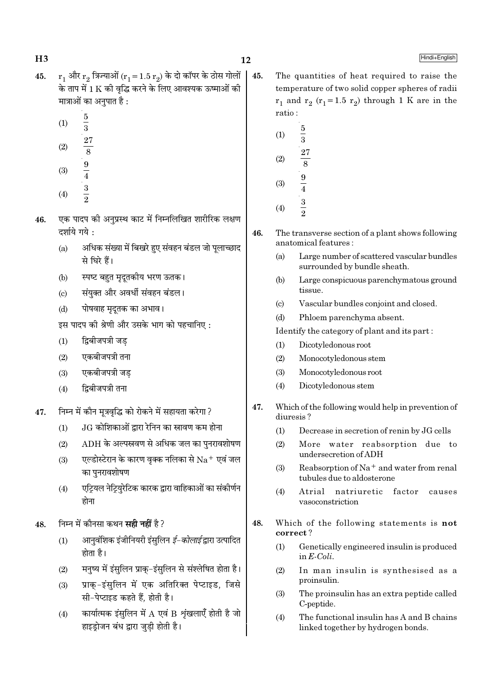- $r_1$  और  $r_2$  त्रिज्याओं ( $r_1 = 1.5 r_2$ ) के दो कॉपर के ठोस गोलों 45. के ताप में 1 K की वद्धि करने के लिए आवश्यक ऊष्माओं की मात्राओं का अनुपात है :
	- $(1)$

 $H<sub>3</sub>$ 

- $(2)$
- $\frac{5}{3}$   $\frac{27}{8}$   $\frac{9}{4}$   $\frac{3}{3}$   $\frac{3}{2}$
- $(3)$
- $(4)$
- एक पादप की अनुप्रस्थ काट में निम्नलिखित शारीरिक लक्षण 46. दर्शाये गये :
	- $(a)$ अधिक संख्या में बिखरे हुए संवहन बंडल जो पुलाच्छाद से घिरे हैं।
	- स्पष्ट बहुत मदतकीय भरण ऊतक।  $(h)$
	- संयुक्त और अवर्धी संवहन बंडल।  $(c)$
	- पोषवाह मृदुतक का अभाव।  $(d)$
	- इस पादप की श्रेणी और उसके भाग को पहचानिए :
	- द्विबीजपत्री जड  $(1)$
	- $(2)$ एकबीजपत्री तना
	- एकबीजपत्री जड  $(3)$
	- दिबीजपत्री तना  $(4)$
- निम्न में कौन मूत्रवृद्धि को रोकने में सहायता करेगा ? 47.
	- .ाG कोशिकाओं द्रारा रेनिन का स्रावण कम होना  $(1)$
	- $ADH$  के अल्पस्रवण से अधिक जल का पुनरावशोषण  $(2)$
	- एल्डोस्टेरान के कारण वृक्क नलिका से  $\rm Na^+$  एवं जल  $(3)$ का पनरावशोषण
	- एट्रियल नेट्रियुरेटिक कारक द्वारा वाहिकाओं का संकीर्णन  $(4)$ होना
- निम्न में कौनसा कथन **सही नहीं** है ? 48.
	- आनवशिक इंजीनियरी इंसुलिन *ई-कोलाई* द्वारा उत्पादित  $(1)$ होता है।
	- मनुष्य में इंसुलिन प्राक्-इंसुलिन से संश्लेषित होता है।  $(2)$
	- प्राक-इंसलिन में एक अतिरिक्त पेप्टाइड, जिसे  $(3)$ सी-पेप्टाइड कहते हैं. होती है।
	- कार्यात्मक इंसुलिन में  $A$  एवं B शृंखलाएँ होती है जो  $(4)$ हाइड़ोजन बंध द्वारा जुडी होती है।
- 45. The quantities of heat required to raise the temperature of two solid copper spheres of radii  $r_1$  and  $r_2$  ( $r_1$ =1.5  $r_2$ ) through 1 K are in the ratio:
	- $\frac{5}{3}$  $(1)$  $(2)$  $\frac{9}{4}$  $\frac{3}{2}$  $(3)$
	- $(4)$
- 46. The transverse section of a plant shows following anatomical features:
	- Large number of scattered vascular bundles  $(a)$ surrounded by bundle sheath.
	- $(b)$ Large conspicuous parenchymatous ground tissue.
	- $\left( \text{c} \right)$ Vascular bundles conjoint and closed.
	- Phloem parenchyma absent.  $(d)$
	- Identify the category of plant and its part:
	- Dicotyledonous root  $(1)$
	- $(2)$ Monocotyledonous stem
	- Monocotyledonous root  $(3)$
	- Dicotyledonous stem  $(4)$
- 47. Which of the following would help in prevention of diuresis?
	- Decrease in secretion of renin by JG cells  $(1)$
	- More water reabsorption due to  $(2)$ undersecretion of ADH
	- $(3)$ Reabsorption of Na<sup>+</sup> and water from renal tubules due to aldosterone
	- Atrial natriuretic factor  $(4)$ causes vasoconstriction
- 48. Which of the following statements is not correct?
	- $(1)$ Genetically engineered insulin is produced in  $E\text{-}Coli.$
	- In man insulin is synthesised as a  $(2)$ proinsulin.
	- The proinsulin has an extra peptide called  $(3)$ C-peptide.
	- $(4)$ The functional insulin has A and B chains linked together by hydrogen bonds.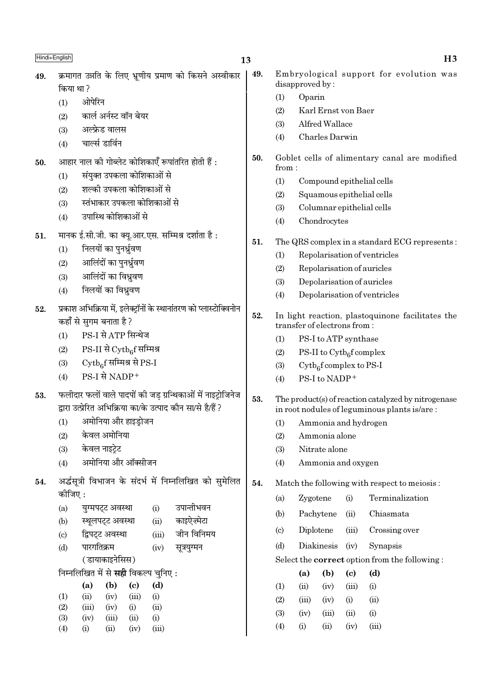| Embryological support for evolution was<br>49.<br>क्रमागत उन्नति के लिए भ्रूणीय प्रमाण को किसने अस्वीकार<br>49.<br>disapproved by:<br>किया था ?<br>Oparin<br>(1)<br>ओपेरिन<br>(1)<br>Karl Ernst von Baer<br>(2)<br>कार्ल अर्नस्ट वॉन बेयर<br>(2)<br>Alfred Wallace<br>(3)<br>अल्फ्रेड वालस<br>(3)<br>Charles Darwin<br>(4)<br>चार्ल्स डार्विन<br>(4)<br>50.<br>Goblet cells of alimentary canal are modified<br>आहार नाल की गोब्लेट कोशिकाएँ रूपांतरित होती हैं :<br>50. |  |
|--------------------------------------------------------------------------------------------------------------------------------------------------------------------------------------------------------------------------------------------------------------------------------------------------------------------------------------------------------------------------------------------------------------------------------------------------------------------------|--|
|                                                                                                                                                                                                                                                                                                                                                                                                                                                                          |  |
|                                                                                                                                                                                                                                                                                                                                                                                                                                                                          |  |
|                                                                                                                                                                                                                                                                                                                                                                                                                                                                          |  |
|                                                                                                                                                                                                                                                                                                                                                                                                                                                                          |  |
|                                                                                                                                                                                                                                                                                                                                                                                                                                                                          |  |
| from:                                                                                                                                                                                                                                                                                                                                                                                                                                                                    |  |
| संयुक्त उपकला कोशिकाओं से<br>(1)<br>(1)<br>Compound epithelial cells                                                                                                                                                                                                                                                                                                                                                                                                     |  |
| शल्की उपकला कोशिकाओं से<br>(2)<br>Squamous epithelial cells<br>(2)                                                                                                                                                                                                                                                                                                                                                                                                       |  |
| स्तंभाकार उपकला कोशिकाओं से<br>(3)<br>Columnar epithelial cells<br>(3)                                                                                                                                                                                                                                                                                                                                                                                                   |  |
| उपास्थि कोशिकाओं से<br>(4)<br>Chondrocytes<br>(4)                                                                                                                                                                                                                                                                                                                                                                                                                        |  |
| मानक ई.सी.जी. का क्यू.आर.एस. सम्मिश्र दर्शाता है:<br>51.                                                                                                                                                                                                                                                                                                                                                                                                                 |  |
| 51.<br>The QRS complex in a standard ECG represents:<br>निलयों का पुनर्ध्रुवण<br>(1)                                                                                                                                                                                                                                                                                                                                                                                     |  |
| Repolarisation of ventricles<br>(1)<br>आलिंदों का पुनर्ध्रुवण<br>(2)                                                                                                                                                                                                                                                                                                                                                                                                     |  |
| Repolarisation of auricles<br>(2)<br>आलिंदों का विध्रुवण<br>(3)                                                                                                                                                                                                                                                                                                                                                                                                          |  |
| Depolarisation of auricles<br>(3)<br>निलयों का विध्रुवण<br>(4)                                                                                                                                                                                                                                                                                                                                                                                                           |  |
| Depolarisation of ventricles<br>(4)                                                                                                                                                                                                                                                                                                                                                                                                                                      |  |
| प्रकाश अभिक्रिया में, इलेक्ट्रॉनों के स्थानांतरण को प्लास्टोक्विनोन<br>52.<br>52.<br>In light reaction, plastoquinone facilitates the<br>कहाँ से सुगम बनाता है ?<br>transfer of electrons from:                                                                                                                                                                                                                                                                          |  |
| PS-I से ATP सिन्थेज<br>(1)<br>(1)<br>PS-I to ATP synthase                                                                                                                                                                                                                                                                                                                                                                                                                |  |
| $PS-II$ से $\mathrm{Cytb}_6$ f सम्मिश्र<br>(2)<br>PS-II to $\mathrm{Cytb}_6$ f complex<br>(2)                                                                                                                                                                                                                                                                                                                                                                            |  |
| $\mathrm{Cytb}_6$ f सम्मिश्र से PS-I<br>(3)<br>$Cytb_6f$ complex to PS-I<br>(3)                                                                                                                                                                                                                                                                                                                                                                                          |  |
| PS-I से NADP+<br>(4)<br>PS-I to NADP+<br>(4)                                                                                                                                                                                                                                                                                                                                                                                                                             |  |
| फलीदार फलों वाले पादपों की जड़ ग्रन्थिकाओं में नाइट्रोजिनेज<br>53.<br>53.<br>The product(s) of reaction catalyzed by nitrogenase<br>द्वारा उत्प्रेरित अभिक्रिया का/के उत्पाद कौन सा/से है/हैं ?<br>in root nodules of leguminous plants is/are:                                                                                                                                                                                                                          |  |
| अमोनिया और हाइड्रोजन<br>(1)<br>(1) Ammonia and hydrogen                                                                                                                                                                                                                                                                                                                                                                                                                  |  |
| केवल अमोनिया<br>(2)<br>(2)<br>Ammonia alone                                                                                                                                                                                                                                                                                                                                                                                                                              |  |
| केवल नाइट्रेट<br>(3)<br>Nitrate alone<br>(3)                                                                                                                                                                                                                                                                                                                                                                                                                             |  |
| अमोनिया और ऑक्सीजन<br>(4)<br>Ammonia and oxygen<br>(4)                                                                                                                                                                                                                                                                                                                                                                                                                   |  |
| अर्द्धसूत्री विभाजन के संदर्भ में निम्नलिखित को सुमेलित<br>54.<br>Match the following with respect to meiosis:<br>54.<br>कोजिए:                                                                                                                                                                                                                                                                                                                                          |  |
| Terminalization<br>Zygotene<br>(i)<br>(a)<br>उपान्तीभवन                                                                                                                                                                                                                                                                                                                                                                                                                  |  |
| युग्मपट्ट अवस्था<br>(a)<br>(i)<br>Chiasmata<br>(b)<br>Pachytene<br>(ii)<br>काइऐज़्मेटा<br>स्थूलपट्ट अवस्था<br>(ii)<br>(b)                                                                                                                                                                                                                                                                                                                                                |  |
| Diplotene<br>(iii)<br>Crossing over<br>$\left( \circ \right)$<br>जीन विनिमय<br>द्विपट्ट अवस्था<br>(iii)<br>(c)                                                                                                                                                                                                                                                                                                                                                           |  |
| Diakinesis<br>(d)<br>Synapsis<br>(iv)<br>पारगतिक्रम<br>(d)<br>(iv)<br>सूत्रयुग्मन                                                                                                                                                                                                                                                                                                                                                                                        |  |
| (डायाकाइनेसिस)<br>Select the <b>correct</b> option from the following:                                                                                                                                                                                                                                                                                                                                                                                                   |  |
| निम्नलिखित में से <b>सही</b> विकल्प चुनिए:<br>(b)<br>(a)<br>$\left( \mathbf{c} \right)$<br>(d)                                                                                                                                                                                                                                                                                                                                                                           |  |
| (b)<br>$\left( \mathrm{c}\right)$<br>(d)<br>(a)<br>(ii)<br>(iv)<br>(iii)<br>(i)<br>(1)                                                                                                                                                                                                                                                                                                                                                                                   |  |
| (iii)<br>(1)<br>(ii)<br>(iv)<br>(i)<br>(2)<br>(ii)<br>(iii)<br>(iv)<br>(i)                                                                                                                                                                                                                                                                                                                                                                                               |  |
| (i)<br>(ii)<br>(2)<br>(iii)<br>(iv)<br>(3)<br>(iii)<br>(i)<br>(iv)<br>(ii)<br>(i)<br>(3)<br>(iii)<br>(ii)<br>(iv)                                                                                                                                                                                                                                                                                                                                                        |  |
| (4)<br>(iii)<br>(i)<br>(ii)<br>(iv)<br>(4)<br>(iv)<br>(iii)<br>(ii)<br>(i)                                                                                                                                                                                                                                                                                                                                                                                               |  |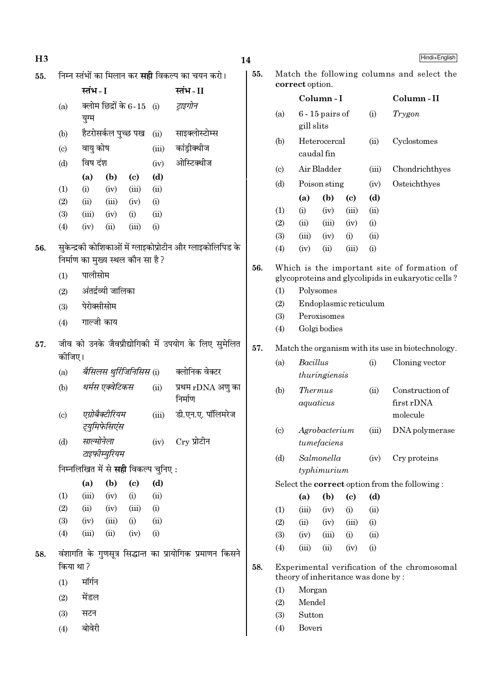| H <sub>3</sub> |                            |                                            |                     |                            |             |                                                            | 14  |                             |                 |                                    |                             |       | Hindi+English                                      |
|----------------|----------------------------|--------------------------------------------|---------------------|----------------------------|-------------|------------------------------------------------------------|-----|-----------------------------|-----------------|------------------------------------|-----------------------------|-------|----------------------------------------------------|
| 55.            |                            |                                            |                     |                            |             | निम्न स्तंभों का मिलान कर <b>सही</b> विकल्प का चयन करो।    | 55. |                             | correct option. |                                    |                             |       | Match the following columns and select the         |
|                |                            | स्तंभ - I                                  |                     |                            |             | स्तंभ - II                                                 |     |                             |                 | Column-I                           |                             |       | Column-II                                          |
|                | (a)                        | युग्म                                      |                     | क्लोम छिद्रों के 6-15 (i)  |             | ट्राइगोन                                                   |     | (a)                         | gill slits      | $6 - 15$ pairs of                  |                             | (i)   | Trygon                                             |
|                | (b)                        |                                            |                     | हैटरोसर्कल पुच्छ पख        | (ii)        | साइक्लोस्टोम्स                                             |     |                             |                 | Heterocercal                       |                             |       | Cyclostomes                                        |
|                | $\left( \mathrm{c}\right)$ | वायु कोष                                   |                     |                            | (iii)       | कांड्रीक्थीज                                               |     | (b)                         |                 | caudal fin                         |                             | (ii)  |                                                    |
|                | (d)                        | विष दंश                                    |                     |                            | (iv)        | ओस्टिक्थीज                                                 |     | $\left( \text{c} \right)$   |                 | Air Bladder                        |                             | (iii) | Chondrichthyes                                     |
|                |                            | (a)<br>(i)                                 | (b)                 | $\left( \mathrm{c}\right)$ | (d)         |                                                            |     | (d)                         |                 | Poison sting                       |                             | (iv)  | Osteichthyes                                       |
|                | (1)<br>(2)                 | (ii)                                       | (iv)<br>(iii)       | (iii)<br>(iv)              | (ii)<br>(i) |                                                            |     |                             | (a)             | (b)                                | $\left( \mathrm{e}\right)$  | (d)   |                                                    |
|                | (3)                        | (iii)                                      | (iv)                | (i)                        | (ii)        |                                                            |     | (1)                         | (i)             | (iv)                               | (iii)                       | (ii)  |                                                    |
|                | (4)                        | (iv)                                       | (ii)                | (iii)                      | (i)         |                                                            |     | (2)                         | (ii)            | (iii)                              | (iv)                        | (i)   |                                                    |
|                |                            |                                            |                     |                            |             |                                                            |     | (3)                         | (iii)           | (iv)                               | (i)                         | (ii)  |                                                    |
| 56.            |                            |                                            |                     |                            |             | सुकेन्द्रकी कोशिकाओं में ग्लाइकोप्रोटीन और ग्लाइकोलिपिड के |     | (4)                         | (iv)            | (ii)                               | (iii)                       | (i)   |                                                    |
|                |                            | निर्माण का मुख्य स्थल कौन सा है?           |                     |                            |             |                                                            | 56. |                             |                 |                                    |                             |       | Which is the important site of formation of        |
|                | (1)                        | पालीसोम                                    |                     |                            |             |                                                            |     |                             |                 |                                    |                             |       | glycoproteins and glycolipids in eukaryotic cells? |
|                | (2)                        |                                            | अंतर्द्रव्यी जालिका |                            |             |                                                            |     | (1)                         |                 | Polysomes                          |                             |       |                                                    |
|                | (3)                        | पेरोक्सीसोम                                |                     |                            |             |                                                            |     | (2)                         |                 | Endoplasmic reticulum              |                             |       |                                                    |
|                | (4)                        | गाल्जी काय                                 |                     |                            |             |                                                            |     | (3)                         |                 | Peroxisomes                        |                             |       |                                                    |
|                |                            |                                            |                     |                            |             |                                                            |     | (4)                         |                 | Golgi bodies                       |                             |       |                                                    |
| 57.            |                            |                                            |                     |                            |             | जीव को उनके जैवप्रौद्योगिकी में उपयोग के लिए सुमेलित       | 57. |                             |                 |                                    |                             |       | Match the organism with its use in biotechnology.  |
|                | कोजिए।                     |                                            |                     |                            |             |                                                            |     |                             |                 |                                    |                             |       |                                                    |
|                | (a)                        |                                            |                     | बैसिलस थुर्रिजिनिसिस (i)   |             | क्लोनिक वेक्टर                                             |     | (a)                         | <b>Bacillus</b> | thuringiensis                      |                             | (i)   | Cloning vector                                     |
|                | (b)                        |                                            | थर्मस एक्वेटिकस     |                            | (ii)        | प्रथम rDNA अणु का<br>निर्माण                               |     | (b)                         |                 | <i>Thermus</i><br>aquaticus        |                             | (ii)  | Construction of<br>first rDNA                      |
|                | (c)                        |                                            | एग्रोबैक्टीरियम     |                            | (iii)       | डी.एन.ए. पॉलिमरेज                                          |     |                             |                 |                                    |                             |       | molecule                                           |
|                | (d)                        | साल्मोनेला                                 | ट्युमिफेसिएंस       |                            | (iv)        | $Cry$ प्रोटीन                                              |     | $\left( \mathrm{c} \right)$ |                 | Agrobacterium<br>tumefaciens       |                             | (iii) | DNA polymerase                                     |
|                |                            |                                            | टाइफीम्युरियम       |                            |             |                                                            |     | (d)                         |                 | Salmonella                         |                             | (iv)  | Cry proteins                                       |
|                |                            | निम्नलिखित में से <b>सही</b> विकल्प चुनिए: |                     |                            |             |                                                            |     |                             |                 | typhimurium                        |                             |       |                                                    |
|                |                            | (a)                                        | (b)                 | $\left( \mathrm{c}\right)$ | (d)         |                                                            |     |                             |                 |                                    |                             |       | Select the correct option from the following:      |
|                | (1)                        | (iii)                                      | (iv)                | (i)                        | (ii)        |                                                            |     |                             | (a)             | (b)                                | $\left( \mathbf{c} \right)$ | (d)   |                                                    |
|                | (2)                        | (ii)                                       | (iv)                | (iii)                      | (i)         |                                                            |     | (1)                         | (iii)           | (iv)                               | (i)                         | (ii)  |                                                    |
|                | (3)                        | (iv)                                       | (iii)               | (i)                        | (ii)        |                                                            |     | (2)                         | (ii)            | (iv)                               | (iii)                       | (i)   |                                                    |
|                | (4)                        | (iii)                                      | (ii)                | (iv)                       | (i)         |                                                            |     | (3)                         | (iv)            | (iii)                              | (i)                         | (ii)  |                                                    |
| 58.            |                            |                                            |                     |                            |             | वंशागति के गुणसूत्र सिद्धान्त का प्रायोगिक प्रमाणन किसने   |     | (4)                         | (iii)           | (ii)                               | (iv)                        | (i)   |                                                    |
|                | किया था ?                  |                                            |                     |                            |             |                                                            | 58. |                             |                 | theory of inheritance was done by: |                             |       | Experimental verification of the chromosomal       |
|                | (1)                        | मॉर्गन                                     |                     |                            |             |                                                            |     | (1)                         | Morgan          |                                    |                             |       |                                                    |
|                | (2)                        | मेंडल                                      |                     |                            |             |                                                            |     | (2)                         | Mendel          |                                    |                             |       |                                                    |
|                | (3)                        | सटन                                        |                     |                            |             |                                                            |     | (3)                         | Sutton          |                                    |                             |       |                                                    |
|                | (4)                        | बोवेरी                                     |                     |                            |             |                                                            |     | (4)                         | Boveri          |                                    |                             |       |                                                    |
|                |                            |                                            |                     |                            |             |                                                            |     |                             |                 |                                    |                             |       |                                                    |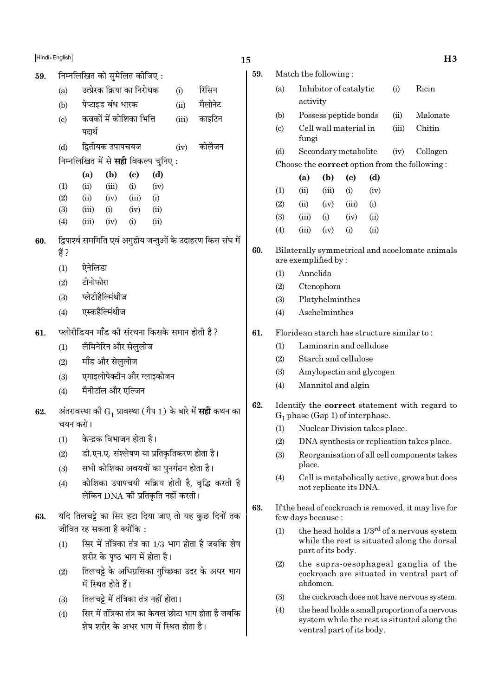- $59.$  निम्नलिखित को समेलित कीजिए:
	- (a)  $\overline{3}$ दप्रेरक क्रिया का निरोधक (i) सिसिन (b) पेप्टाइड बंध धारक (ii) मैलोनेट
	- (c) ∑ कवकों में कोशिका भित्ति (iii) ∑काइटिन पदार्थ
	- (d) ÁmÃËÿ∑§ ©¬Ê¬øÿ¡ (iv) ∑§Ê‹Ò¡Ÿ
	- निम्नलिखित में से **सही** विकल्प चुनिए :

|                   | (a)   | (b)   | (c)               | (d)                |
|-------------------|-------|-------|-------------------|--------------------|
| (1)               | (ii)  | (iii) | (i)               | (iv)               |
| (2)               | (ii)  | (iv)  | (iii)             | $\rm(i)$           |
| (3)               | (iii) | (i)   | (iv)              | (ii)               |
| $\left( 4\right)$ | (iii) | (iv)  | $\left( 1\right)$ | $\dot{\mathrm{u}}$ |

- 60. fgपार्श्व सममिति एवं अगुहीय जन्तुओं के उदाहरण किस संघ में हैं ?
	- $(1)$  ऐनेलिडा
	- $(2)$  टीनोफोरा
	- $(3)$  प्लेटीहैल्मिंथीज
	- (4) एस्कहैल्मिंथीज
- $61$  vलोरीडियन माँड की संरचना किसके समान होती है ?
	- (1) लैमिनेरिन और सेलुलोज
	- $(2)$  मॉॅंड और सेललोज
	- (3) एमाइलोपेक्टीन और ग्लाइकोजन
	- (4) मैनीटॉल और एल्जिन
- ${\bf 62.} \quad$  अंतरावस्था की  ${\rm G}^{}_1$  प्रावस्था ( गैप  $1$  ) के बारे में **सही** कथन का चयन करो।
	- $(1)$  केन्द्रक विभाजन होता है।
	- (2) डी.एन.ए. संश्लेषण या प्रतिकृतिकरण होता है।
	- (3) सभी कोशिका अवयवों का पुनर्गठन होता है।
	- (4) कोशिका उपापचयी सक्रिय होती है, वृद्धि करती है  $\overline{R}$ केन DNA की प्रतिकति नहीं करती ।
- 63. यदि तिलचट्टे का सिर हटा दिया जाए तो यह कुछ दिनों तक जीवित रह सकता है क्योंकि :
	- $(1)$  सिर में तंत्रिका तंत्र का 1/3 भाग होता है जबकि शेष शरीर के पष्ठ भाग में होता है।
	- (2) तिलचट्टे के अधिग्रसिका गच्छिका उदर के अधर भाग में स्थित होते हैं।
	- $(3)$  तिलचट्टे में तंत्रिका तंत्र नहीं होता।
	- $(4)$  ि सिर में तंत्रिका तंत्र का केवल छोटा भाग होता है जबकि <u>शेष शरीर के अधर भाग में स्थित होता है।</u>

|     | Hindi+English |                               |          |                       | 15  |     |                        |      | H3       |  |
|-----|---------------|-------------------------------|----------|-----------------------|-----|-----|------------------------|------|----------|--|
| 59. |               | निम्नलिखित को सुमेलित कीजिए : |          |                       | 59. |     | Match the following:   |      |          |  |
|     | (a)           | उत्प्रेरक क्रिया का निरोधक    | (i)      | रिसिन                 |     | (a) | Inhibitor of catalytic | (i)  | Ricin    |  |
|     | (b)           | पेप्टाइड बंध धारक             | (ii)     | मैलोनेट               |     |     | activity               |      |          |  |
|     | $\sqrt{2}$    | नानानें में नौलितन शिनी       | $\cdots$ | <del>- 1771 177</del> |     | (b) | Possess peptide bonds  | (11) | Malonate |  |

- (c) Cell wall material in (iii) Chitin fungi
- (d) Secondary metabolite (iv) Collagen Choose the correct option from the following :

|                   | (a)   | (b)   | (c)       | (d)  |
|-------------------|-------|-------|-----------|------|
| (1)               | (ii)  | (iii) | (i)       | (iv) |
| (2)               | (ii)  | (iv)  | (iii)     | (i)  |
| (3)               | (iii) | (i)   | (iv)      | (ii) |
| $\left( 4\right)$ | (iii) | (iv)  | $\rm (i)$ | (ii) |

- 60. Bilaterally symmetrical and acoelomate animals are exemplified by :
	- (1) Annelida
	- (2) Ctenophora
	- (3) Platyhelminthes
	- (4) Aschelminthes
- $61$ . Floridean starch has structure similar to :
	- (1) Laminarin and cellulose
	- (2) Starch and cellulose
	- (3) Amylopectin and glycogen
	- (4) Mannitol and algin
- 62. Identify the correct statement with regard to  $G_1$  phase (Gap 1) of interphase.
	- (1) Nuclear Division takes place.
	- (2) DNA synthesis or replication takes place.
	- (3) Reorganisation of all cell components takes place.
	- (4) Cell is metabolically active, grows but does not replicate its DNA.
- 63. If the head of cockroach is removed, it may live for few days because :
	- (1) the head holds a  $1/3^{rd}$  of a nervous system while the rest is situated along the dorsal part of its body.
	- (2) the supra-oesophageal ganglia of the cockroach are situated in ventral part of abdomen.
	- (3) the cockroach does not have nervous system.
	- (4) the head holds a small proportion of a nervous system while the rest is situated along the ventral part of its body.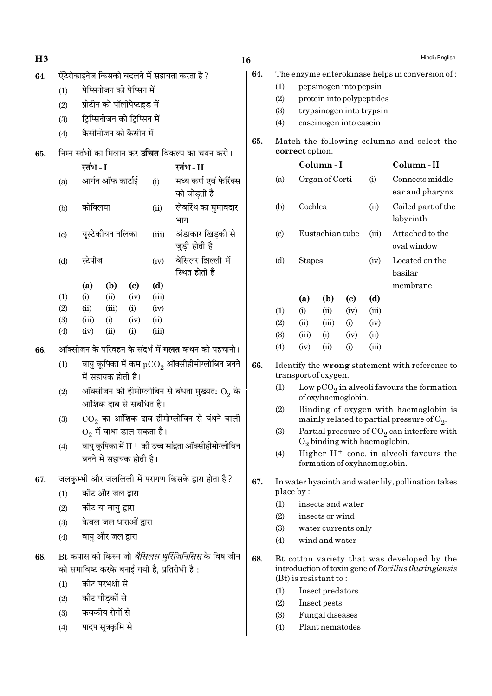| H3  |            |               |                    |                               |               |                                                                                                          | 16  |            |                         |                                    |                                 |       | Hindi+English                                                                                                                          |
|-----|------------|---------------|--------------------|-------------------------------|---------------|----------------------------------------------------------------------------------------------------------|-----|------------|-------------------------|------------------------------------|---------------------------------|-------|----------------------------------------------------------------------------------------------------------------------------------------|
| 64. |            |               |                    |                               |               | ऐंटेरोकाइनेज किसको बदलने में सहायता करता है ?                                                            | 64. |            |                         |                                    |                                 |       | The enzyme enterokinase helps in conversion of:                                                                                        |
|     | (1)        |               |                    | पेप्सिनोजन को पेप्सिन में     |               |                                                                                                          |     | (1)        |                         |                                    | pepsinogen into pepsin          |       |                                                                                                                                        |
|     | (2)        |               |                    | प्रोटीन को पॉलीपेप्टाइड में   |               |                                                                                                          |     | (2)        |                         |                                    | protein into polypeptides       |       |                                                                                                                                        |
|     | (3)        |               |                    | ट्रिप्सिनोजन को ट्रिप्सिन में |               |                                                                                                          |     | (3)        |                         |                                    | trypsinogen into trypsin        |       |                                                                                                                                        |
|     | (4)        |               |                    | कैसीनोजन को कैसीन में         |               |                                                                                                          |     | (4)        |                         |                                    | caseinogen into casein          |       |                                                                                                                                        |
|     |            |               |                    |                               |               |                                                                                                          | 65. |            |                         |                                    |                                 |       | Match the following columns and select the                                                                                             |
| 65. |            |               |                    |                               |               | निम्न स्तंभों का मिलान कर <b>उचित</b> विकल्प का चयन करो।                                                 |     |            | correct option.         |                                    |                                 |       |                                                                                                                                        |
|     |            | स्तंभ - I     |                    |                               |               | स्तंभ-II                                                                                                 |     |            |                         | Column-I                           |                                 |       | Column-II                                                                                                                              |
|     | (a)        |               | आर्गन ऑफ कार्टाई   |                               | (i)           | मध्य कर्ण एवं फेरिंक्स<br>को जोडती है                                                                    |     | (a)        |                         | Organ of Corti                     |                                 | (i)   | Connects middle<br>ear and pharynx                                                                                                     |
|     | (b)        | कोक्लिया      |                    |                               | (ii)          | लेबरिंथ का घुमावदार<br>भाग                                                                               |     | (b)        | Cochlea                 |                                    |                                 | (ii)  | Coiled part of the<br>labyrinth                                                                                                        |
|     | (c)        |               | यूस्टेकीयन नलिका   |                               | (iii)         | अंडाकार खिड़की से<br>जुड़ी होती है                                                                       |     | (c)        |                         | Eustachian tube                    |                                 | (iii) | Attached to the<br>oval window                                                                                                         |
|     | (d)        | स्टेपीज       |                    |                               | (iv)          | बेसिलर झिल्ली में<br>स्थित होती है                                                                       |     | (d)        | <b>Stapes</b>           |                                    |                                 | (iv)  | Located on the<br>basilar                                                                                                              |
|     |            | (a)           | (b)                | $\left( \mathrm{c}\right)$    | (d)           |                                                                                                          |     |            |                         |                                    |                                 |       | membrane                                                                                                                               |
|     | (1)        | (i)           | (ii)               | (iv)                          | (iii)         |                                                                                                          |     |            | (a)                     | (b)                                | $\left( \mathrm{c}\right)$      | (d)   |                                                                                                                                        |
|     | (2)        | (ii)          | (iii)              | (i)                           | (iv)          |                                                                                                          |     | (1)        | (i)                     | (ii)                               | (iv)                            | (iii) |                                                                                                                                        |
|     | (3)<br>(4) | (iii)<br>(iv) | (i)<br>(ii)        | (iv)<br>(i)                   | (ii)<br>(iii) |                                                                                                          |     | (2)        | (ii)                    | (iii)                              | (i)                             | (iv)  |                                                                                                                                        |
|     |            |               |                    |                               |               |                                                                                                          |     | (3)        | (iii)                   | (i)                                | (iv)                            | (ii)  |                                                                                                                                        |
| 66. |            |               |                    |                               |               | ऑक्सीजन के परिवहन के संदर्भ में <b>गलत</b> कथन को पहचानो।                                                |     | (4)        | (iv)                    | (ii)                               | (i)                             | (iii) |                                                                                                                                        |
|     | (1)        |               | में सहायक होती है। |                               |               | वायु कूपिका में कम $\rm{pCO}_{2}$ ऑक्सीहीमोग्लोबिन बनने                                                  | 66. |            | transport of oxygen.    |                                    |                                 |       | Identify the wrong statement with reference to                                                                                         |
|     | (2)        |               |                    | आंशिक दाब से संबंधित है।      |               | ऑक्सीजन की हीमोग्लोबिन से बंधता मुख्यत: $\mathrm{O}_2$ के                                                |     | (1)        |                         |                                    | of oxyhaemoglobin.              |       | Low $pCO2$ in alveoli favours the formation                                                                                            |
|     | (3)        |               |                    | $O_2$ में बाधा डाल सकता है।   |               | $CO2$ का आंशिक दाब हीमोग्लोबिन से बंधने वाली                                                             |     | (2)<br>(3) |                         |                                    |                                 |       | Binding of oxygen with haemoglobin is<br>mainly related to partial pressure of $O_2$ .<br>Partial pressure of $CO2$ can interfere with |
|     | (4)        |               |                    |                               |               | वायु कूपिका में $\rm H^+$ की उच्च सांद्रता ऑक्सीहीमोग्लोबिन                                              |     |            |                         |                                    | $O_2$ binding with haemoglobin. |       |                                                                                                                                        |
|     |            |               |                    | बनने में सहायक होती है।       |               |                                                                                                          |     | (4)        |                         |                                    | formation of oxyhaemoglobin.    |       | Higher $H^+$ conc. in alveoli favours the                                                                                              |
| 67. |            |               |                    |                               |               | जलकुम्भी और जललिली में परागण किसके द्वारा होता है?                                                       | 67. |            |                         |                                    |                                 |       | In water hyacinth and water lily, pollination takes                                                                                    |
|     | (1)        |               | कीट और जल द्वारा   |                               |               |                                                                                                          |     |            | place by:               |                                    |                                 |       |                                                                                                                                        |
|     | (2)        |               | कीट या वायु द्वारा |                               |               |                                                                                                          |     | (1)<br>(2) |                         | insects or wind                    | insects and water               |       |                                                                                                                                        |
|     | (3)        |               |                    | केवल जल धाराओं द्वारा         |               |                                                                                                          |     | (3)        |                         |                                    | water currents only             |       |                                                                                                                                        |
|     | (4)        |               | वायु और जल द्वारा  |                               |               |                                                                                                          |     | (4)        |                         | wind and water                     |                                 |       |                                                                                                                                        |
| 68. |            |               |                    |                               |               | Bt कपास की किस्म जो <i>बैसिलस थुरिंजिनिसिस</i> के विष जीन<br>को समाविष्ट करके बनाई गयी है, प्रतिरोधी है: | 68. |            |                         |                                    |                                 |       | Bt cotton variety that was developed by the<br>introduction of toxin gene of Bacillus thuringiensis                                    |
|     | (1)        |               | कीट परभक्षी से     |                               |               |                                                                                                          |     |            | $(Bt)$ is resistant to: |                                    |                                 |       |                                                                                                                                        |
|     | (2)        |               | कीट पीड़कों से     |                               |               |                                                                                                          |     | (1)        |                         | Insect predators                   |                                 |       |                                                                                                                                        |
|     | (3)        |               | कवकीय रोगों से     |                               |               |                                                                                                          |     | (2)        |                         | Insect pests                       |                                 |       |                                                                                                                                        |
|     |            |               |                    |                               |               |                                                                                                          |     | (3)        |                         | Fungal diseases<br>Plant nematodes |                                 |       |                                                                                                                                        |
|     | (4)        |               | पादप सूत्रकृमि से  |                               |               |                                                                                                          |     | (4)        |                         |                                    |                                 |       |                                                                                                                                        |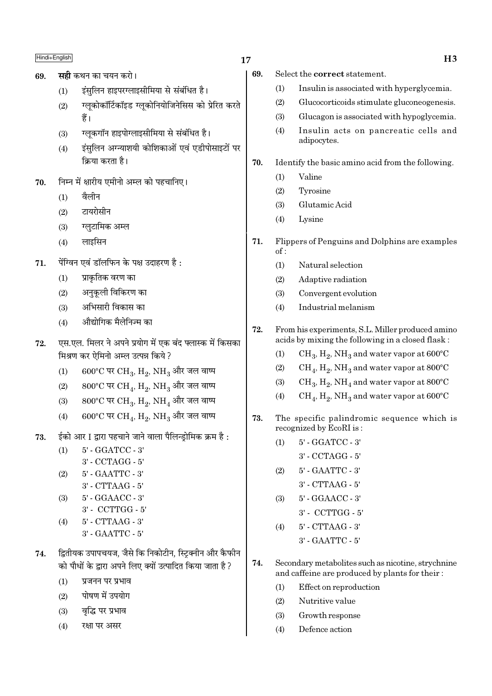- सद्री कथन का चयन करो। 69.
	- इंसलिन हाइपरग्लाइसीमिया से संबंधित है।  $(1)$
	- ग्लकोकॉर्टिकॉइड ग्लुकोनियोजिनेसिस को प्रेरित करते  $(2)$ हैं।
	- ग्लुकगॉन हाइपोग्लाइसीमिया से संबंधित है।  $(3)$
	- इंसलिन अग्न्याशयी कोशिकाओं एवं एडीपोसाइटों पर  $(4)$ क्रिया करता है।
- निम्न में क्षारीय एमीनो अम्ल को पहचानिए। 70.
	- वैलीन  $(1)$
	- टायरोसीन  $(2)$
	- ग्लुटामिक अम्ल  $(3)$
	- लाइसिन  $(4)$
- पेंग्विन एवं डॉलफिन के पक्ष उदाहरण है:  $71.$ 
	- प्राकृतिक वरण का  $(1)$
	- अनुकूली विकिरण का  $(2)$
	- अभिसारी विकास का  $(3)$
	- औद्योगिक मैलेनिज्म का  $(4)$
- एस.एल. मिलर ने अपने प्रयोग में एक बंद फ्लास्क में किसका 72. मिश्रण कर ऐमिनो अम्ल उत्पन्न किये ?
	- $600^{\circ}$ C पर CH<sub>3</sub>, H<sub>2</sub>, NH<sub>3</sub> और जल वाष्प  $(1)$
	- $800^{\circ}$ C पर CH4, H<sub>2</sub>, NH<sub>3</sub> और जल वाष्प  $(2)$
	- $800^{\circ}$ C पर CH<sub>3</sub>, H<sub>2</sub>, NH<sub>4</sub> और जल वाष्प  $(3)$
	- $600^{\circ}$ C पर CH<sub>4</sub>, H<sub>9</sub>, NH<sub>3</sub> और जल वाष्प  $(4)$
- ईको आर I द्वारा पहचाने जाने वाला पैलिन्डोमिक क्रम है : 73.

5' - GGATCC - 3'  $(1)$ 3' - CCTAGG - 5'

- $(2)$ 5' - GAATTC - 3'
	- 3' CTTAAG 5'
- 5' GGAACC 3'  $(3)$
- 3' CCTTGG 5'
- $5'$  CTTAAG  $3'$  $(4)$ 3' - GAATTC - 5'
- द्वितीयक उपापचयज, जैसे कि निकोटीन, स्टिक्नीन और कैफीन 74. को पौधों के द्वारा अपने लिए क्यों उत्पादित किया जाता है ?
	- प्रजनन पर प्रभाव  $(1)$
	- पोषण में उपयोग  $(2)$
	- वद्धि पर प्रभाव  $(3)$
	- रक्षा पर असर  $(4)$
- 17
	- 69. Select the correct statement.
		- $(1)$ Insulin is associated with hyperglycemia.
		- $(2)$ Glucocorticoids stimulate gluconeogenesis.
		- $(3)$ Glucagon is associated with hypoglycemia.
		- $(4)$ Insulin acts on pancreatic cells and adipocytes.
	- 70. Identify the basic amino acid from the following.
		- $(1)$ Valine
		- $(2)$ Tyrosine
		- $(3)$ Glutamic Acid
		- $(4)$ Lysine
	- 71. Flippers of Penguins and Dolphins are examples  $of:$ 
		- $(1)$ Natural selection
		- $(2)$ Adaptive radiation
		- $(3)$ Convergent evolution
		- Industrial melanism  $(4)$
	- 72. From his experiments, S.L. Miller produced amino acids by mixing the following in a closed flask:
		- $CH_3$ ,  $H_2$ , NH<sub>3</sub> and water vapor at 600°C  $(1)$
		- $CH<sub>4</sub>$ ,  $H<sub>2</sub>$ , NH<sub>3</sub> and water vapor at 800 $^{\circ}$ C  $(2)$
		- $CH_3$ ,  $H_2$ , NH<sub>4</sub> and water vapor at 800°C  $(3)$
		- $(4)$  $CH_4$ ,  $H_2$ , NH<sub>3</sub> and water vapor at 600°C
	- The specific palindromic sequence which is 73. recognized by EcoRI is:
		- 5' GGATCC 3'  $(1)$ 
			- 3' CCTAGG 5'
		- $(2)$ 5' - GAATTC - 3'
			- 3' CTTAAG 5'
		- 5' GGAACC 3'  $(3)$ 
			- $3'$  CCTTGG  $5'$
		- 5' CTTAAG 3'  $(4)$ 3' - GAATTC - 5'
	- 74. Secondary metabolites such as nicotine, strychnine and caffeine are produced by plants for their:
		- Effect on reproduction  $(1)$
		- $(2)$ Nutritive value
		- $(3)$ Growth response
		- $(4)$ Defence action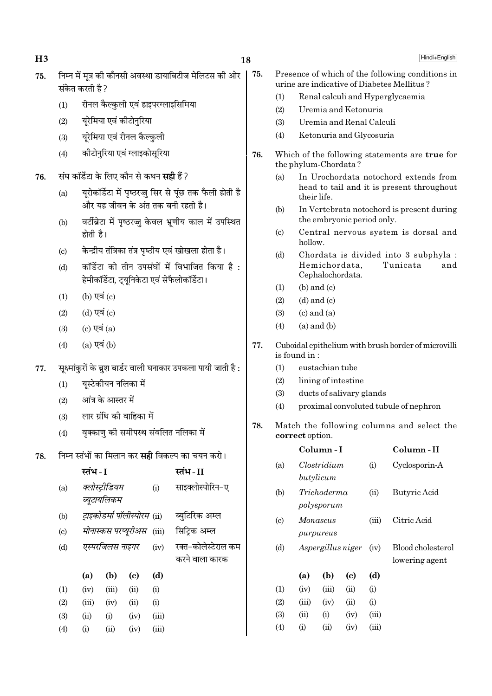$H<sub>3</sub>$ 

75.

- निम्न में मत्र की कौनसी अवस्था डायाबिटीज मेलिटस की ओर 75. संकेत करती है ?
	- रीनल कैल्कुली एवं हाइपरग्लाइसिमिया  $(1)$
	- यरेमिया एवं कीटोनरिया  $(2)$
	- यरेमिया एवं रीनल कैल्कली  $(3)$
	- कीटोनरिया एवं ग्लाइकोसरिया  $(4)$
- संघ कॉर्डेटा के लिए कौन से कथन **सही** हैं ? 76.
	- यरोकॉर्डेटा में पष्ठरज्ज सिर से पंछ तक फैली होती है  $(a)$ और यह जीवन के अंत तक बनी रहती है।
	- वर्टीब्रेटा में पृष्ठरज्जू केवल भ्रणीय काल में उपस्थित  $(b)$ होती है।
	- केन्द्रीय तंत्रिका तंत्र पृष्ठीय एवं खोखला होता है।  $(c)$
	- कॉर्डेटा को तीन उपसंघों में विभाजित किया है:  $(d)$ हेमीकॉर्डेटा, ट्युनिकेटा एवं सेफैलोकॉर्डेटा।
	- $(b)$  एवं  $(c)$  $(1)$
	- (d) एवं (c)  $(2)$
	- (c) एवं  $(a)$  $(3)$
	- $(a)$  एवं  $(b)$  $(4)$
- सुक्ष्मांकरों के ब्रुश बार्डर वाली घनाकार उपकला पायी जाती है : 77.
	- यूस्टेकीयन नलिका में  $(1)$
	- आंत्र के आस्तर में  $(2)$
	- लार ग्रंथि की वाहिका में  $(3)$
	- वक्काण की समीपस्थ संवलित नलिका में  $(4)$
- 78. निम्न स्तंभों का मिलान कर **सही** विकल्प का चयन करो।

|                           | स्तंभ - I |                               |                                      |       | स्तंभ - II                            |
|---------------------------|-----------|-------------------------------|--------------------------------------|-------|---------------------------------------|
| (a)                       |           | क्लोस्ट्रीडियम<br>ब्यूटायलिकम |                                      | (i)   | साइक्लोस्पोरिन-ए                      |
| (b)                       |           |                               | <i>ट्राइकोडर्मा पॉलीस्पोरम (</i> ii) |       | ब्युटिरिक अम्ल                        |
| $\left( \text{c} \right)$ |           |                               | मोनास्कस परप्यूरीअस (iii)            |       | सिट्रिक अम्ल                          |
| (d)                       |           | एस्परजिलस नाइगर               |                                      | (iv)  | रक्त-कोलेस्टेराल कम<br>करने वाला कारक |
|                           | (a)       | (b)                           | (c)                                  | (d)   |                                       |
| (1)                       | (iv)      | (iii)                         | (ii)                                 | (i)   |                                       |
| (2)                       | (iii)     | (iv)                          | (ii)                                 | (i)   |                                       |
| (3)                       | (ii)      | (i)                           | (iv)                                 | (iii) |                                       |
| (4)                       | (i)       | (i)                           | (iv)                                 | (iii) |                                       |

- Presence of which of the following conditions in urine are indicative of Diabetes Mellitus?
	- $(1)$ Renal calculi and Hyperglycaemia
	- $(2)$ Uremia and Ketonuria
	- Uremia and Renal Calculi  $(3)$
	- $(4)$ Ketonuria and Glycosuria
- 76. Which of the following statements are true for the phylum-Chordata?
	- $(a)$ In Urochordata notochord extends from head to tail and it is present throughout their life.
	- In Vertebrata notochord is present during  $(b)$ the embryonic period only.
	- Central nervous system is dorsal and  $(c)$ hollow.
	- Chordata is divided into 3 subphyla :  $(d)$ Hemichordata. Tunicata and Cephalochordata.
	- $(b)$  and  $(c)$  $(1)$
	- $(2)$  $(d)$  and  $(c)$
	- $(3)$  $(c)$  and  $(a)$
	- $(a)$  and  $(b)$  $(4)$
- 77. Cuboidal epithelium with brush border of microvilli is found in:
	- eustachian tube  $(1)$
	- $(2)$ lining of intestine
	- ducts of salivary glands  $(3)$
	- proximal convoluted tubule of nephron  $(4)$
- 78. Match the following columns and select the correct option.

|                             |       | Column - I                |                   |       | Column - II                         |
|-----------------------------|-------|---------------------------|-------------------|-------|-------------------------------------|
| (a)                         |       | Clostridium<br>butylicum  |                   | (i)   | Cyclosporin-A                       |
| (b)                         |       | Trichoderma<br>polysporum |                   | (ii)  | Butyric Acid                        |
| $\left( \mathrm{c} \right)$ |       | Monascus<br>purpureus     |                   | (iii) | Citric Acid                         |
| (d)                         |       |                           | Aspergillus niger | (iv)  | Blood cholesterol<br>lowering agent |
|                             | (a)   | (b)                       | (c)               | (d)   |                                     |
| (1)                         | (iv)  | (iii)                     | (ii)              | (i)   |                                     |
| (2)                         | (iii) | (iv)                      | (ii)              | (i)   |                                     |
| (3)                         | (ii)  | (i)                       | (iv)              | (iii) |                                     |
| $\left( 4\right)$           | (i)   | (ii)                      | (iv)              | (iii) |                                     |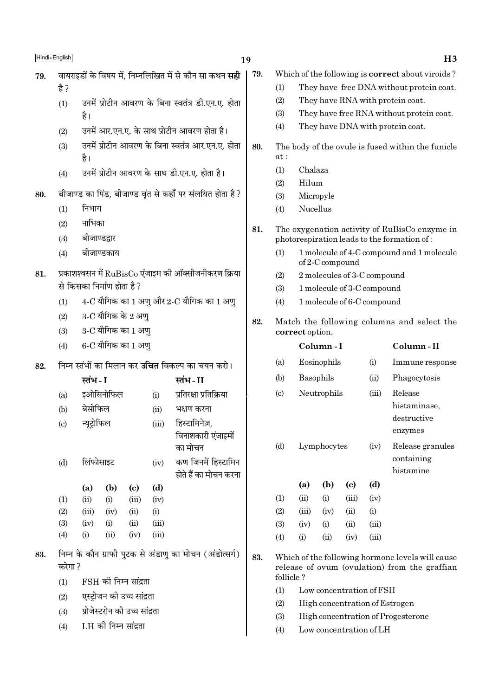| ∩ו ו⊣ +⊓ו<br>19. |
|------------------|
|------------------|

### 19

79.

- वायराइडों के विषय में. निम्नलिखित में से कौन सा कथन **सही** 79.  $\frac{4}{5}$ 
	- उनमें प्रोटीन आवरण के बिना स्वतंत्र डी.एन.ए. होता  $(1)$ है।
	- उनमें आर.एन.ए. के साथ प्रोटीन आवरण होता है।  $(2)$
	- उनमें प्रोटीन आवरण के बिना स्वतंत्र आर.एन.ए. होता  $(3)$ है।
	- उनमें प्रोटीन आवरण के साथ डी.एन.ए. होता है।  $(4)$
- बीजाण्ड का पिंड, बीजाण्ड वृंत से कहाँ पर संलयित होता है ? 80.
	- निभाग  $(1)$
	- $(2)$ नाभिका
	- बीजाण्डद्वार  $(3)$
	- बीजाण्डकाय  $(4)$
- प्रकाशश्वसन में  $\text{RuBisCo}$  एंजाइम की ऑक्सीजनीकरण क्रिया 81. से किसका निर्माण होता है?
	- $4$ -C यौगिक का 1 अणु और 2-C यौगिक का 1 अणु  $(1)$
	- $3$ -C यौगिक के 2 अणु  $(2)$
	- $3$ - $C$  यौगिक का  $1$  अण्  $(3)$
	- $6$ -C यौगिक का 1 अण्  $(4)$
- 82. निम्न स्तंभों का मिलान कर **उचित** विकल्प का चयन करो।

|                            | स्तभ - I    |           |       |       | स्तभ - II              |
|----------------------------|-------------|-----------|-------|-------|------------------------|
| (a)                        |             | इओसिनोफिल |       | (i)   | प्रतिरक्षा प्रतिक्रिया |
| (b)                        | बेसोफिल     |           |       | (ii)  | भक्षण करना             |
| $\left( \mathrm{c}\right)$ | न्यूट्रोफिल |           |       | (iii) | हिस्टामिनेज़,          |
|                            |             |           |       |       | विनाशकारी एंजाइमों     |
|                            |             |           |       |       | का मोचन                |
| (d)                        | लिंफोसाइट   |           |       | (iv)  | कण जिनमें हिस्टामिन    |
|                            |             |           |       |       | होते हैं का मोचन करना  |
|                            | (a)         | (b)       | (c)   | (d)   |                        |
| (1)                        | (ii)        | (i)       | (iii) | (iv)  |                        |
| (2)                        | (iii)       | (iv)      | (ii)  | (i)   |                        |
| (3)                        | (iv)        | (i)       | (ii)  | (iii) |                        |
| (4)                        | (i)         | (ii)      | (iv)  | (iii) |                        |
|                            |             |           |       |       |                        |

- निम्न के कौन ग्राफी पटक से अंडाण का मोचन (अंडोत्सर्ग) 83. करेगा ?
	- FSH की निम्न सांद्रता  $(1)$
	- एस्टोजन की उच्च सांद्रता  $(2)$
	- प्रोजेस्टरोन की उच्च सांद्रता  $(3)$
	- LH को निम्न सांद्रता  $(4)$
- Which of the following is **correct** about viroids?
	- $(1)$ They have free DNA without protein coat.
	- $(2)$ They have RNA with protein coat.
	- They have free RNA without protein coat.  $(3)$
	- They have DNA with protein coat.  $(4)$
- 80. The body of the ovule is fused within the funicle  $at.$ 
	- Chalaza  $(1)$
	- $(2)$ Hilum
	- Micropyle  $(3)$
	- Nucellus  $(4)$
	- 81. The oxygenation activity of RuBisCo enzyme in photorespiration leads to the formation of:
		- 1 molecule of 4-C compound and 1 molecule  $(1)$ of 2-C compound
		- 2 molecules of 3-C compound  $(2)$
		- $(3)$ 1 molecule of 3-C compound
		- 1 molecule of 6-C compound  $(4)$
	- 82. Match the following columns and select the correct option.

|                             |           | Column - I  |                             |       | Column-II                                         |
|-----------------------------|-----------|-------------|-----------------------------|-------|---------------------------------------------------|
| (a)                         |           | Eosinophils |                             | (i)   | Immune response                                   |
| (b)                         | Basophils |             |                             | (ii)  | Phagocytosis                                      |
| $\left( \mathrm{c} \right)$ |           | Neutrophils |                             | (iii) | Release<br>histaminase,<br>destructive<br>enzymes |
| (d)                         |           | Lymphocytes |                             | (iv)  | Release granules<br>containing<br>histamine       |
|                             | (a)       | (b)         | $\left( \mathrm{c} \right)$ | (d)   |                                                   |
| (1)                         | (ii)      | (i)         | (iii)                       | (iv)  |                                                   |
| (2)                         | (iii)     | (iv)        | (ii)                        | (i)   |                                                   |
| (3)                         | (iv)      | (i)         | (ii)                        | (iii) |                                                   |
| $\left( 4\right)$           | (i)       | (ii)        | (iv)                        | (iii) |                                                   |
|                             |           |             |                             |       |                                                   |

- 83. Which of the following hormone levels will cause release of ovum (ovulation) from the graffian follicle?
	- $(1)$ Low concentration of FSH
	- $(2)$ High concentration of Estrogen
	- $(3)$ High concentration of Progesterone
	- Low concentration of LH  $(4)$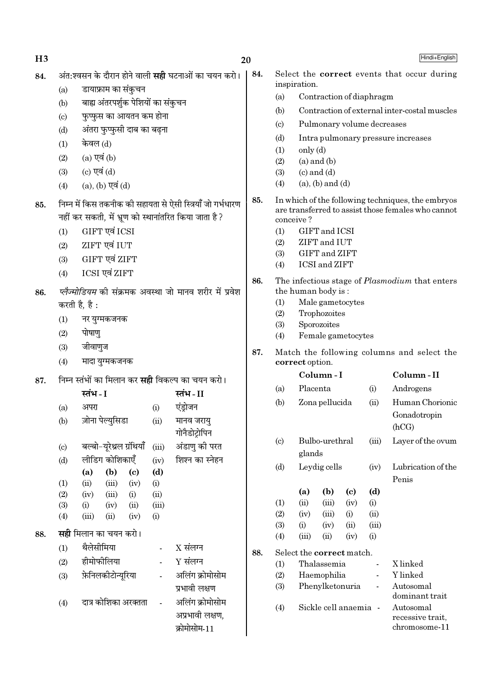| 84. |                            | अंत:श्वसन के दौरान होने वाली <b>सही</b> घटनाओं का चयन करो।                                                         |                          |                                           | 84.                                                                                                            |                           | inspiration.                                             |                                                 |             |                | Select the correct events that occur during           |
|-----|----------------------------|--------------------------------------------------------------------------------------------------------------------|--------------------------|-------------------------------------------|----------------------------------------------------------------------------------------------------------------|---------------------------|----------------------------------------------------------|-------------------------------------------------|-------------|----------------|-------------------------------------------------------|
|     | (a)                        | डायाफ्राम का संकुचन                                                                                                |                          |                                           |                                                                                                                | (a)                       |                                                          | Contraction of diaphragm                        |             |                |                                                       |
|     | (b)                        | बाह्य अंतरपर्शुक पेशियों का संकुचन                                                                                 |                          |                                           |                                                                                                                | (b)                       |                                                          |                                                 |             |                | Contraction of external inter-costal muscles          |
|     | $\left( \mathrm{c}\right)$ | फुप्फुस का आयतन कम होना                                                                                            |                          |                                           |                                                                                                                | $\left( \text{c} \right)$ |                                                          | Pulmonary volume decreases                      |             |                |                                                       |
|     | (d)                        | अंतरा फुप्फुसी दाब का बढ़ना                                                                                        |                          |                                           |                                                                                                                |                           |                                                          |                                                 |             |                |                                                       |
|     | (1)                        | केवल (d)                                                                                                           |                          |                                           |                                                                                                                | (d)<br>(1)                | only (d)                                                 |                                                 |             |                | Intra pulmonary pressure increases                    |
|     | (2)                        | $(a)$ एवं $(b)$                                                                                                    |                          |                                           |                                                                                                                | (2)                       |                                                          |                                                 |             |                |                                                       |
|     | (3)                        | (c) एवं $(d)$                                                                                                      |                          |                                           |                                                                                                                | (3)                       |                                                          |                                                 |             |                |                                                       |
|     | (4)                        | $(a)$ , $(b)$ एवं $(d)$                                                                                            |                          |                                           |                                                                                                                | (4)                       |                                                          |                                                 |             |                |                                                       |
| 85. |                            | निम्न में किस तकनीक की सहायता से ऐसी स्त्रियाँ जो गर्भधारण<br>नहीं कर सकती, में भ्रूण को स्थानांतरित किया जाता है? |                          |                                           | 85.<br>In which of the following techniques, the embryos<br>are transferred to assist those females who cannot |                           |                                                          |                                                 |             |                |                                                       |
|     |                            |                                                                                                                    |                          | conceive?                                 |                                                                                                                |                           |                                                          |                                                 |             |                |                                                       |
|     | (1)                        | GIFT एवं ICSI                                                                                                      |                          |                                           |                                                                                                                | (1)<br>(2)                |                                                          | GIFT and ICSI<br>ZIFT and IUT                   |             |                |                                                       |
|     | (2)                        | ZIFT एवं IUT                                                                                                       |                          |                                           |                                                                                                                | (3)                       |                                                          | GIFT and ZIFT                                   |             |                |                                                       |
|     | (3)                        | GIFT एवं ZIFT                                                                                                      |                          |                                           |                                                                                                                | (4)                       |                                                          | ICSI and ZIFT                                   |             |                |                                                       |
|     | (4)                        | ICSI एवं ZIFT                                                                                                      |                          |                                           | 86.                                                                                                            |                           |                                                          |                                                 |             |                | The infectious stage of <i>Plasmodium</i> that enters |
| 86. |                            | <i>प्लेज्मोडियम</i> की संक्रमक अवस्था जो मानव शरीर में प्रवेश                                                      |                          |                                           |                                                                                                                |                           |                                                          | the human body is:                              |             |                |                                                       |
|     |                            | करती है, है :                                                                                                      |                          | (1)                                       |                                                                                                                | Male gametocytes          |                                                          |                                                 |             |                |                                                       |
|     | (1)                        | नर युग्मकजनक                                                                                                       |                          | Trophozoites<br>(2)<br>Sporozoites<br>(3) |                                                                                                                |                           |                                                          |                                                 |             |                |                                                       |
|     | (2)                        | पोषाण्                                                                                                             |                          |                                           |                                                                                                                | (4)                       |                                                          | Female gametocytes                              |             |                |                                                       |
|     | (3)                        | जीवाणुज                                                                                                            |                          |                                           |                                                                                                                |                           |                                                          |                                                 |             |                |                                                       |
|     | (4)                        | मादा युग्मकजनक                                                                                                     |                          |                                           | 87.                                                                                                            |                           | correct option.                                          |                                                 |             |                | Match the following columns and select the            |
| 87. |                            | निम्न स्तंभों का मिलान कर <b>सही</b> विकल्प का चयन करो।                                                            |                          |                                           |                                                                                                                |                           | Column-I                                                 | Column-II                                       |             |                |                                                       |
|     |                            | स्तंभ - I                                                                                                          |                          | स्तंभ-II                                  |                                                                                                                | Placenta<br>(a)<br>(i)    |                                                          |                                                 |             |                | Androgens                                             |
|     | (a)                        | अपरा                                                                                                               | (i)                      | एंड्रोजन                                  |                                                                                                                | (b)                       |                                                          | Zona pellucida                                  |             | (ii)           | Human Chorionic                                       |
|     | (b)                        | ज़ोना पेल्युसिडा                                                                                                   | (ii)                     | मानव जरायु<br>गोनैडोट्रोपिन               |                                                                                                                |                           |                                                          |                                                 |             |                | Gonadotropin<br>(hCG)                                 |
|     | $\left( \mathrm{c}\right)$ | बल्बो-यूरेथ्रल ग्रंथियाँ                                                                                           | (iii)                    | अंडाणु की परत                             |                                                                                                                | (c)                       |                                                          | Bulbo-urethral                                  |             | (iii)          | Layer of the ovum                                     |
|     | (d)                        | लीडिंग कोशिकाएँ                                                                                                    | (iv)                     | शिश्न का स्नेहन                           |                                                                                                                |                           | glands                                                   |                                                 |             |                |                                                       |
|     |                            | (b)<br>(a)<br>$\left( \mathrm{e}\right)$                                                                           | (d)                      |                                           |                                                                                                                | (d)                       |                                                          | Leydig cells                                    |             | (iv)           | Lubrication of the                                    |
|     | (1)                        | (ii)<br>(iii)<br>(iv)                                                                                              | (i)                      |                                           |                                                                                                                |                           |                                                          |                                                 |             |                | Penis                                                 |
|     | (2)                        | (iii)<br>(iv)<br>(i)                                                                                               | (ii)                     |                                           |                                                                                                                |                           | (a)                                                      | (b)                                             | (c)         | (d)            |                                                       |
|     | (3)                        | (ii)<br>(i)<br>(iv)                                                                                                | (iii)                    |                                           |                                                                                                                | (1)<br>(2)                | (ii)<br>(iv)                                             | (iii)<br>(iii)                                  | (iv)        | (i)<br>(ii)    |                                                       |
|     | (4)                        | (iii)<br>(ii)<br>(iv)                                                                                              | (i)                      |                                           |                                                                                                                | (3)                       | (i)                                                      | (iv)                                            | (i)<br>(ii) | (iii)          |                                                       |
| 88. |                            | <b>सही</b> मिलान का चयन करो।                                                                                       |                          |                                           |                                                                                                                | (4)                       | (iii)                                                    | (ii)                                            | (iv)        | (i)            |                                                       |
|     | (1)                        | थैलेसीमिया                                                                                                         | $\overline{\phantom{a}}$ | $X$ संलग्न                                | 88.                                                                                                            |                           |                                                          | Select the correct match.                       |             |                |                                                       |
|     | (2)                        | हीमोफीलिया                                                                                                         |                          | $Y$ संलग्न                                |                                                                                                                | (1)                       |                                                          | Thalassemia                                     |             | $\overline{a}$ | X linked                                              |
|     | (3)                        | फ़ेनिलकीटोन्यूरिया                                                                                                 |                          | अलिंग क्रोमोसोम                           |                                                                                                                | Haemophilia<br>(2)        |                                                          |                                                 | Y linked    |                |                                                       |
|     |                            |                                                                                                                    |                          | प्रभावी लक्षण                             |                                                                                                                | (3)                       | Phenylketonuria<br>Autosomal<br>$\overline{\phantom{m}}$ |                                                 |             |                |                                                       |
|     | (4)                        | दात्र कोशिका अरक्तता                                                                                               |                          | Sickle cell anaemia -<br>(4)              |                                                                                                                |                           |                                                          | dominant trait<br>Autosomal<br>recessive trait. |             |                |                                                       |

क्रोमोसोम-11

 $20$ 

 $H3$ 

Hindi+English

 $\,$  recessive trait,

 $chromosome-11$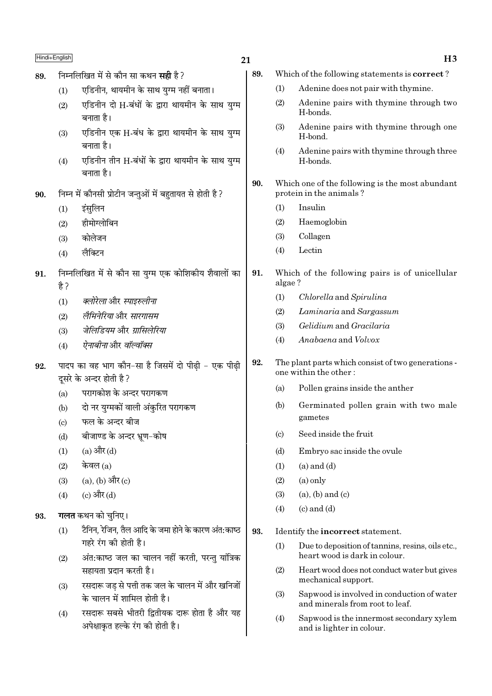|     | Hindi+English |                                                                                 | 21  |                           | H <sub>3</sub>                                                                    |
|-----|---------------|---------------------------------------------------------------------------------|-----|---------------------------|-----------------------------------------------------------------------------------|
| 89. |               | निम्नलिखित में से कौन सा कथन <b>सही</b> है?                                     | 89. |                           | Which of the following statements is correct?                                     |
|     | (1)           | एडिनीन, थायमीन के साथ युग्म नहीं बनाता।                                         |     | (1)                       | Adenine does not pair with thymine.                                               |
|     | (2)           | एडिनीन दो H-बंधों के द्वारा थायमीन के साथ युग्म<br>बनाता है।                    |     | (2)                       | Adenine pairs with thymine through two<br>H-bonds.                                |
|     | (3)           | एडिनीन एक H-बंध के द्वारा थायमीन के साथ युग्म                                   |     | (3)                       | Adenine pairs with thymine through one<br>H-bond.                                 |
|     | (4)           | बनाता है।<br>एडिनीन तीन H-बंधों के द्वारा थायमीन के साथ युग्म<br>बनाता है।      |     | (4)                       | Adenine pairs with thymine through three<br>H-bonds.                              |
| 90. |               | निम्न में कौनसी प्रोटीन जन्तुओं में बहुतायत से होती है ?                        | 90. |                           | Which one of the following is the most abundant<br>protein in the animals?        |
|     | (1)           | इंसुलिन                                                                         |     | (1)                       | Insulin                                                                           |
|     | (2)           | हीमोग्लोबिन                                                                     |     | (2)                       | Haemoglobin                                                                       |
|     | (3)           | कोलेजन                                                                          |     | (3)                       | Collagen                                                                          |
|     | (4)           | लैक्टिन                                                                         |     | (4)                       | Lectin                                                                            |
| 91. | है ?          | निम्नलिखित में से कौन सा युग्म एक कोशिकीय शैवालों का                            | 91. | algae?                    | Which of the following pairs is of unicellular                                    |
|     | (1)           | क्लोरेला और स्पाइरुलीना                                                         |     | (1)                       | Chlorella and Spirulina                                                           |
|     | (2)           | लैमिनेरिया और सारगासम                                                           |     | (2)                       | Laminaria and Sargassum                                                           |
|     | (3)           | जेलिडियम और ग्रासिलेरिया                                                        |     | (3)                       | Gelidium and Gracilaria                                                           |
|     | (4)           | ऐनाबीनाओर वॉल्वॉक्स                                                             |     | (4)                       | Anabaena and Volvox                                                               |
| 92. |               | पादप का वह भाग कौन-सा है जिसमें दो पीढ़ी - एक पीढ़ी<br>दूसरे के अन्दर होती है ? | 92. |                           | The plant parts which consist of two generations -<br>one within the other:       |
|     | (a)           | परागकोश के अन्दर परागकण                                                         |     | (a)                       | Pollen grains inside the anther                                                   |
|     | (b)           | दो नर युग्मकों वाली अंकुरित परागकण                                              |     | (b)                       | Germinated pollen grain with two male                                             |
|     | (c)           | फल के अन्दर बीज                                                                 |     |                           | gametes                                                                           |
|     | (d)           | बीजाण्ड के अन्दर भ्रूण-कोष                                                      |     | $\left( \text{c} \right)$ | Seed inside the fruit                                                             |
|     | (1)           | (a) और (d)                                                                      |     | (d)                       | Embryo sac inside the ovule                                                       |
|     | (2)           | केवल $(a)$                                                                      |     | (1)                       | $(a)$ and $(d)$                                                                   |
|     | (3)           | (a), (b) और (c)                                                                 |     | (2)                       | $(a)$ only                                                                        |
|     | (4)           | (c) और (d)                                                                      |     | (3)                       | $(a)$ , $(b)$ and $(c)$                                                           |
| 93. |               | <b>गलत</b> कथन को चुनिए।                                                        |     | (4)                       | $(c)$ and $(d)$                                                                   |
|     | (1)           | टैनिन, रेजिन, तैल आदि के जमा होने के कारण अंत:काष्ठ                             | 93. |                           | Identify the incorrect statement.                                                 |
|     |               | गहरे रंग की होती है।<br>अंत:काष्ठ जल का चालन नहीं करती, परन्तु यांत्रिक         |     | (1)                       | Due to deposition of tannins, resins, oils etc.,<br>heart wood is dark in colour. |
|     | (2)           | सहायता प्रदान करती है।                                                          |     | (2)                       | Heart wood does not conduct water but gives                                       |
|     | (3)           | रसदारू जड़ से पत्ती तक जल के चालन में और खनिजों<br>के चालन में शामिल होती है।   |     | (3)                       | mechanical support.<br>Sapwood is involved in conduction of water                 |
|     | (4)           | रसदारू सबसे भीतरी द्वितीयक दारू होता है और यह                                   |     | (4)                       | and minerals from root to leaf.<br>Sapwood is the innermost secondary xylem       |
|     |               | अपेक्षाकृत हल्के रंग की होती है।                                                |     |                           | and is lighter in colour.                                                         |

 $H3$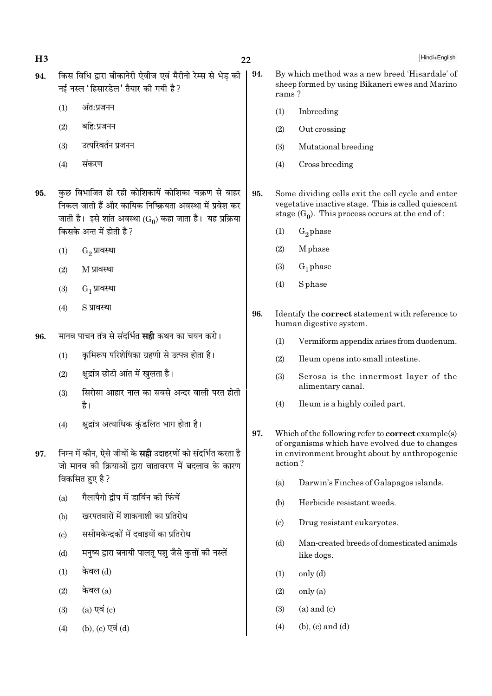$H<sub>3</sub>$ 

- किस विधि द्वारा बीकानेरी ऐवीज एवं मैरीनो रेम्स से भेड की 94. नई नस्ल 'हिसारडेल' तैयार की गयी है ?
	- $(1)$ अंत:प्रजनन
	- $(2)$ बहि:प्रजनन
	- उत्परिवर्तन प्रजनन  $(3)$
	- $(4)$ संकरण
- कुछ विभाजित हो रही कोशिकायें कोशिका चक्रण से बाहर 95. निकल जाती हैं और कायिक निष्क्रियता अवस्था में प्रवेश कर जाती है। इसे शांत अवस्था (Go) कहा जाता है। यह प्रक्रिया किसके अन्त में होती है?
	- G. प्रावस्था  $(1)$
	- $(2)$ M प्रावस्था
	- $(3)$  $G_1$  प्रावस्था
	- S प्रावस्था  $(4)$
- मानव पाचन तंत्र से संदर्भित **सही** कथन का चयन करो। 96.
	- कुमिरूप परिशेषिका ग्रहणी से उत्पन्न होता है।  $(1)$
	- क्षद्रांत्र छोटी आंत में खलता है।  $(2)$
	- सिरोसा आहार नाल का सबसे अन्दर वाली परत होती  $(3)$ है।
	- क्षद्रांत्र अत्याधिक कुंडलित भाग होता है।  $(4)$
- निम्न में कौन. ऐसे जीवों के **सही** उदाहरणों को संदर्भित करता है 97. जो मानव की क्रियाओं द्वारा वातावरण में बदलाव के कारण विकसित हुए है ?
	- गैलापैगो दीप में डार्विन की फिंचें  $(a)$
	- खरपतवारों में शाकनाशी का प्रतिरोध  $(b)$
	- ससीमकेन्द्रकों में दवाइयों का प्रतिरोध  $(c)$
	- मनष्य द्वारा बनायी पालत पश जैसे कत्तों की नस्लें  $(d)$
	- केवल (d)  $(1)$
	- केवल (a)  $(2)$
	- $(a)$  एवं  $(c)$  $(3)$
	- (b), (c) एवं (d)  $(4)$
- 94. By which method was a new breed 'Hisardale' of sheep formed by using Bikaneri ewes and Marino rams?
	- $(1)$ Inbreeding
	- $(2)$ Out crossing
	- $(3)$ Mutational breeding
	- $(4)$ Cross breeding
- 95. Some dividing cells exit the cell cycle and enter vegetative inactive stage. This is called quiescent stage  $(G_0)$ . This process occurs at the end of:
	- $G_2$  phase  $(1)$
	- **M** phase  $(2)$
	- $(3)$  $G_1$  phase
	- $(4)$ S phase
- 96. Identify the correct statement with reference to human digestive system.
	- $(1)$ Vermiform appendix arises from duodenum.
	- $(2)$ Ileum opens into small intestine.
	- Serosa is the innermost layer of the  $(3)$ alimentary canal.
	- $(4)$ Ileum is a highly coiled part.
- 97. Which of the following refer to **correct** example(s) of organisms which have evolved due to changes in environment brought about by anthropogenic action?
	- $(a)$ Darwin's Finches of Galapagos islands.
	- $(b)$ Herbicide resistant weeds.
	- $(c)$ Drug resistant eukaryotes.
	- Man-created breeds of domesticated animals  $(d)$ like dogs.
	- $(1)$  $\text{only (d)}$
	- $(2)$ only (a)
	- $(a)$  and  $(c)$  $(3)$
	- $(b)$ ,  $(c)$  and  $(d)$  $(4)$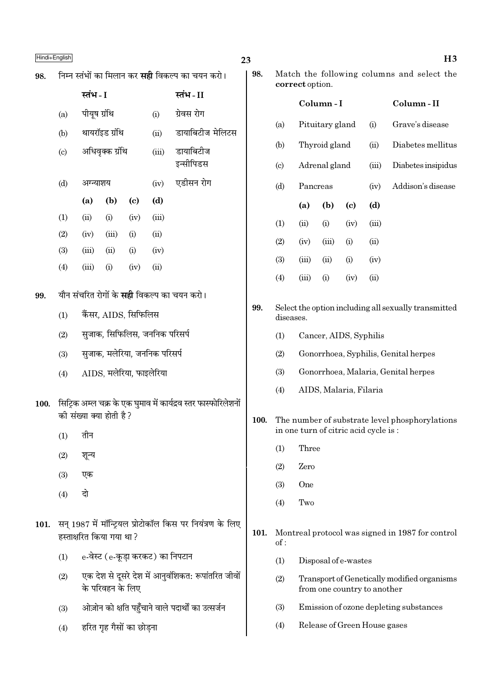| 98.  |     |                          |                  |                             |                                  | निम्न स्तंभों का मिलान कर <b>सही</b> विकल्प का चयन करो।         | 98.  |                        | correct option.                                                   |                                                | Match the following columns and select the |                              |                                                  |  |
|------|-----|--------------------------|------------------|-----------------------------|----------------------------------|-----------------------------------------------------------------|------|------------------------|-------------------------------------------------------------------|------------------------------------------------|--------------------------------------------|------------------------------|--------------------------------------------------|--|
|      |     | स्तंभ - I                |                  |                             |                                  | स्तंभ-II                                                        |      |                        |                                                                   | Column-I                                       |                                            |                              | Column-II                                        |  |
|      | (a) | पीयूष ग्रंथि             |                  |                             | (i)                              | ग्रेवस रोग                                                      |      |                        |                                                                   |                                                |                                            |                              |                                                  |  |
|      | (b) |                          | थायरॉइड ग्रंथि   |                             | (ii)                             | डायाबिटीज मेलिटस                                                |      | (a)                    |                                                                   | Pituitary gland                                |                                            | (i)                          | Grave's disease                                  |  |
|      | (c) |                          | अधिवृक्क ग्रंथि  |                             | (iii)                            | डायाबिटीज                                                       |      | (b)                    | Thyroid gland                                                     |                                                |                                            | (ii)                         | Diabetes mellitus                                |  |
|      |     |                          |                  |                             |                                  | इन्सीपिडस                                                       |      | $\left( \circ \right)$ | Adrenal gland<br>(iii)                                            |                                                |                                            | Diabetes insipidus           |                                                  |  |
|      | (d) | अग्न्याशय                |                  |                             | (iv)                             | एडीसन रोग                                                       |      | (d)                    | Pancreas                                                          |                                                |                                            | (iv)                         | Addison's disease                                |  |
|      |     | (a)                      | (b)              | $\left( \mathbf{c} \right)$ | (d)                              |                                                                 |      |                        | (a)                                                               | (b)                                            | $\left( \mathbf{c} \right)$                | (d)                          |                                                  |  |
|      | (1) | (ii)                     | (i)              | (iv)                        | (iii)                            |                                                                 |      | (1)                    | (ii)                                                              | (i)                                            | (iv)                                       | (iii)                        |                                                  |  |
|      | (2) | (iv)                     | (iii)            | (i)                         | (ii)                             |                                                                 |      | (2)                    | (iv)                                                              | (iii)                                          | (i)                                        | (ii)                         |                                                  |  |
|      | (3) | (iii)                    | (ii)             | (i)                         | (iv)                             |                                                                 |      | (3)                    | (iii)                                                             | (ii)                                           | (i)                                        | (iv)                         |                                                  |  |
|      | (4) | (iii)                    | (i)              | (iv)                        | (ii)                             |                                                                 |      | (4)                    | (iii)                                                             | (i)                                            | (iv)                                       | (ii)                         |                                                  |  |
| 99.  |     |                          |                  |                             |                                  | यौन संचरित रोगों के <b>सही</b> विकल्प का चयन करो।               |      |                        |                                                                   |                                                |                                            |                              |                                                  |  |
|      | (1) |                          |                  | कैंसर, AIDS, सिफिलिस        |                                  |                                                                 | 99.  |                        | Select the option including all sexually transmitted<br>diseases. |                                                |                                            |                              |                                                  |  |
|      | (2) |                          |                  |                             | सुजाक, सिफिलिस, जननिक परिसर्प    |                                                                 |      | (1)                    |                                                                   | Cancer, AIDS, Syphilis                         |                                            |                              |                                                  |  |
|      | (3) |                          |                  |                             | सुजाक, मलेरिया, जननिक परिसर्प    |                                                                 |      | (2)                    |                                                                   |                                                |                                            |                              | Gonorrhoea, Syphilis, Genital herpes             |  |
|      | (4) |                          |                  | AIDS, मलेरिया, फाइलेरिया    |                                  |                                                                 |      | (3)                    |                                                                   |                                                |                                            |                              | Gonorrhoea, Malaria, Genital herpes              |  |
|      |     |                          |                  |                             |                                  |                                                                 |      | (4)                    | AIDS, Malaria, Filaria                                            |                                                |                                            |                              |                                                  |  |
| 100. |     | की संख्या क्या होती है?  |                  |                             |                                  | सिट्रिक अम्ल चक्र के एक घुमाव में कार्यद्रव स्तर फास्फोरिलेशनों |      |                        |                                                                   |                                                |                                            |                              |                                                  |  |
|      | (1) | तीन                      |                  |                             |                                  |                                                                 | 100. |                        | in one turn of citric acid cycle is:                              | The number of substrate level phosphorylations |                                            |                              |                                                  |  |
|      | (2) | शून्य                    |                  |                             |                                  |                                                                 |      | (1)                    | Three                                                             |                                                |                                            |                              |                                                  |  |
|      |     |                          |                  |                             |                                  |                                                                 |      | (2)                    | Zero                                                              |                                                |                                            |                              |                                                  |  |
|      | (3) | एक                       |                  |                             |                                  |                                                                 |      | (3)                    | <b>One</b>                                                        |                                                |                                            |                              |                                                  |  |
|      | (4) | दो                       |                  |                             |                                  |                                                                 |      | (4)                    | Two                                                               |                                                |                                            |                              |                                                  |  |
| 101. |     | हस्ताक्षरित किया गया था? |                  |                             |                                  | सन् 1987 में मॉन्ट्रियल प्रोटोकॉल किस पर नियंत्रण के लिए        | 101. | of:                    |                                                                   |                                                |                                            |                              | Montreal protocol was signed in 1987 for control |  |
|      | (1) |                          |                  |                             | e-वेस्ट (e-कूड़ा करकट) का निपटान |                                                                 |      | (1)                    |                                                                   | Disposal of e-wastes                           |                                            |                              |                                                  |  |
|      | (2) |                          | के परिवहन के लिए |                             |                                  | एक देश से दूसरे देश में आनुवंशिकत: रूपांतरित जीवों              |      | (2)                    |                                                                   |                                                |                                            | from one country to another  | Transport of Genetically modified organisms      |  |
|      | (3) |                          |                  |                             |                                  | ओज़ोन को क्षति पहुँचाने वाले पदार्थों का उत्सर्जन               |      | (3)                    |                                                                   | Emission of ozone depleting substances         |                                            |                              |                                                  |  |
|      | (4) |                          |                  | हरित गृह गैसों का छोड़ना    |                                  |                                                                 |      | (4)                    |                                                                   |                                                |                                            | Release of Green House gases |                                                  |  |

 $H3$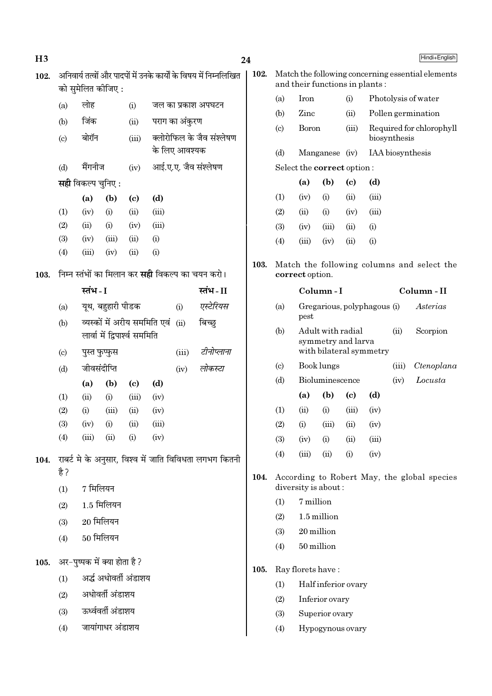| H3   |                            |                           |                               |                             |                              |                      |                                                                   | 24   |                             |                                |                                         |                            |       |                                          | Hindi+English                                     |
|------|----------------------------|---------------------------|-------------------------------|-----------------------------|------------------------------|----------------------|-------------------------------------------------------------------|------|-----------------------------|--------------------------------|-----------------------------------------|----------------------------|-------|------------------------------------------|---------------------------------------------------|
| 102. |                            |                           | को सुमेलित कीजिए :            |                             |                              |                      | अनिवार्य तत्वों और पादपों में उनके कार्यों के विषय में निम्नलिखित | 102. |                             | and their functions in plants: |                                         |                            |       |                                          | Match the following concerning essential elements |
|      | (a)                        | लोह                       |                               | (i)                         |                              |                      | जल का प्रकाश अपघटन                                                |      | (a)                         | Iron                           |                                         | (i)                        |       |                                          | Photolysis of water                               |
|      | (b)                        | जिंक                      |                               | (ii)                        |                              | पराग का अंकुरण       |                                                                   |      | (b)                         | Zinc                           |                                         | (ii)                       |       |                                          | Pollen germination                                |
|      | $\left( \mathrm{c}\right)$ | बोरॉन                     |                               | (iii)                       |                              |                      | क्लोरोफिल के जैव संश्लेषण                                         |      | (c)                         |                                | <b>Boron</b>                            |                            |       | Required for chlorophyll<br>biosynthesis |                                                   |
|      |                            |                           |                               |                             |                              | के लिए आवश्यक        |                                                                   |      | (d)                         |                                | Manganese (iv)                          |                            |       | IAA biosynthesis                         |                                                   |
|      | (d)                        | मैंगनीज                   |                               | (iv)                        |                              | आई.ए.ए. जैव संश्लेषण |                                                                   |      |                             | Select the correct option:     |                                         |                            |       |                                          |                                                   |
|      |                            | <b>सही</b> विकल्प चुनिए : |                               |                             |                              |                      |                                                                   |      |                             | (a)                            | (b)                                     | $\left( \mathrm{c}\right)$ | (d)   |                                          |                                                   |
|      |                            | (a)                       | (b)                           | $\left( \mathrm{c}\right)$  | (d)                          |                      |                                                                   |      | (1)                         | (iv)                           | (i)                                     | (ii)                       | (iii) |                                          |                                                   |
|      | (1)                        | (iv)                      | (i)                           | (ii)                        | (iii)                        |                      |                                                                   |      | (2)                         | (ii)                           | (i)                                     | (iv)                       | (iii) |                                          |                                                   |
|      | (2)                        | (ii)                      | (i)                           | (iv)                        | (iii)                        |                      |                                                                   |      | (3)                         | (iv)                           | (iii)                                   | (ii)                       | (i)   |                                          |                                                   |
|      | (3)                        | (iv)                      | (iii)                         | (ii)                        | (i)                          |                      |                                                                   |      | (4)                         | (iii)                          | (iv)                                    | (ii)                       | (i)   |                                          |                                                   |
|      | (4)                        | (iii)                     | (iv)                          | (ii)                        | (i)                          |                      |                                                                   | 103. |                             |                                |                                         |                            |       |                                          |                                                   |
| 103. |                            |                           |                               |                             |                              |                      | निम्न स्तंभों का मिलान कर <b>सही</b> विकल्प का चयन करो।           |      |                             | correct option.                |                                         |                            |       |                                          | Match the following columns and select the        |
|      |                            | स्तंभ - I                 |                               |                             |                              |                      | स्तंभ - II                                                        |      |                             |                                | Column-I                                |                            |       |                                          | Column - II                                       |
|      | (a)                        |                           | यूथ, बहुहारी पीडक             |                             |                              | (i)                  | एस्टेरियस                                                         |      | (a)                         | pest                           | Gregarious, polyphagous (i)             |                            |       |                                          | Asterias                                          |
|      | (b)                        |                           | लार्वा में द्विपार्श्व सममिति |                             | व्यस्कों में अरीय सममिति एवं | (ii)                 | बिच्छ्                                                            |      | (b)                         |                                | Adult with radial<br>symmetry and larva |                            |       | (ii)                                     | Scorpion                                          |
|      | $\left( \circ \right)$     | पुस्त फुप्फुस             |                               |                             |                              | (iii)                | टीनोप्लाना                                                        |      |                             |                                | with bilateral symmetry                 |                            |       |                                          |                                                   |
|      | (d)                        | जीवसंदीप्ति               |                               |                             |                              | (iv)                 | लोकस्टा                                                           |      | $\left( \mathrm{c} \right)$ |                                | Book lungs                              |                            |       | (iii)                                    | Ctenoplana                                        |
|      |                            | (a)                       | (b)                           | $\left( \mathbf{c} \right)$ | (d)                          |                      |                                                                   |      | (d)                         |                                | Bioluminescence                         |                            |       | (iv)                                     | Locusta                                           |
|      | (1)                        | (ii)                      | (i)                           | (iii)                       | (iv)                         |                      |                                                                   |      |                             | (a)                            | (b)                                     | $\left( \mathrm{c}\right)$ | (d)   |                                          |                                                   |
|      | (2)                        | (i)                       | (iii)                         | (ii)                        | (iv)                         |                      |                                                                   |      | (1)                         | (ii)                           | (i)                                     | (iii)                      | (iv)  |                                          |                                                   |
|      | (3)                        | (iv)                      | (i)                           | (ii)                        | (iii)                        |                      |                                                                   |      | (2)                         | (i)                            | (iii)                                   | (ii)                       | (iv)  |                                          |                                                   |
|      | (4)                        | (iii)                     | (ii)                          | (i)                         | (iv)                         |                      |                                                                   |      | (3)                         | (iv)                           | (i)                                     | (ii)                       | (iii) |                                          |                                                   |
| 104. |                            |                           |                               |                             |                              |                      | राबर्ट मे के अनुसार, विश्व में जाति विविधता लगभग कितनी            |      | (4)                         | (iii)                          | (ii)                                    | (i)                        | (iv)  |                                          |                                                   |
|      | है ?<br>(1)                | 7 मिलियन                  |                               |                             |                              |                      |                                                                   | 104. |                             | diversity is about:            |                                         |                            |       |                                          | According to Robert May, the global species       |
|      | (2)                        |                           | $1.5$ मिलियन                  |                             |                              |                      |                                                                   |      | (1)                         | 7 million                      |                                         |                            |       |                                          |                                                   |
|      | (3)                        |                           | $20$ मिलियन                   |                             |                              |                      |                                                                   |      | (2)                         |                                | 1.5 million                             |                            |       |                                          |                                                   |
|      | (4)                        | $50$ मिलियन               |                               |                             |                              |                      |                                                                   |      | (3)                         | 20 million                     |                                         |                            |       |                                          |                                                   |
|      |                            |                           |                               |                             |                              |                      |                                                                   |      | (4)                         | 50 million                     |                                         |                            |       |                                          |                                                   |
| 105. |                            |                           | अर-पुष्पक में क्या होता है ?  |                             |                              |                      |                                                                   | 105. |                             | Ray florets have:              |                                         |                            |       |                                          |                                                   |
|      | (1)                        |                           | अर्द्ध अधोवर्ती अंडाशय        |                             |                              |                      |                                                                   |      | (1)                         |                                | Half inferior ovary                     |                            |       |                                          |                                                   |
|      | (2)                        |                           | अधोवर्ती अंडाशय               |                             |                              |                      |                                                                   |      | (2)                         |                                | Inferior ovary                          |                            |       |                                          |                                                   |
|      | (3)                        |                           | ऊर्ध्ववर्ती अंडाशय            |                             |                              |                      |                                                                   |      | (3)                         |                                | Superior ovary                          |                            |       |                                          |                                                   |
|      | (4)                        |                           | जायांगाधर अंडाशय              |                             |                              |                      |                                                                   |      | (4)                         |                                | Hypogynous ovary                        |                            |       |                                          |                                                   |
|      |                            |                           |                               |                             |                              |                      |                                                                   |      |                             |                                |                                         |                            |       |                                          |                                                   |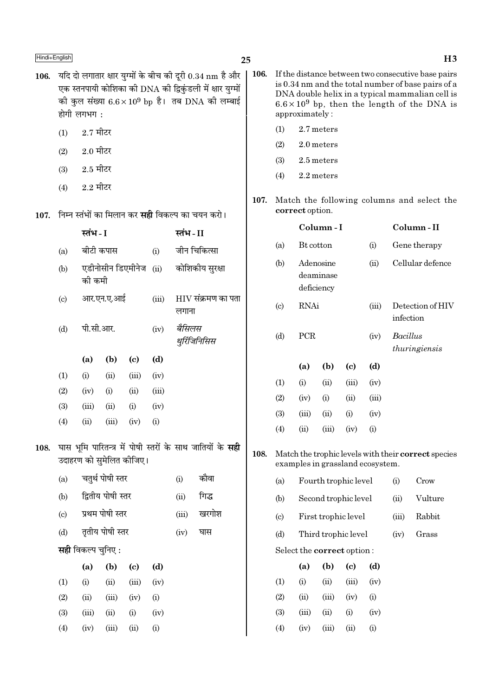- 25
- 106. यदि दो लगातार क्षार युग्मों के बीच की दूरी  $0.34 \text{ nm}$  है और | 106. एक स्तनपायी कोशिका की DNA की द्विकंडली में क्षार युग्मों की कुल संख्या  $6.6 \times 10^9$  bp है। तब DNA की लम्बाई होगी लगभग:
	- $2.7$  मीटर  $(1)$
	- $2.0$  मीटर  $(2)$
	- $2.5$  मीटर  $(3)$
	- $2.2$  मीटर  $(4)$

107. निम्न स्तंभों का मिलान कर **सही** विकल्प का चयन करो।

|      |                             | स्तंभ - I                 |                   |                            |       | स्तंभ - II                        |                                                                  |  |  |  |  |
|------|-----------------------------|---------------------------|-------------------|----------------------------|-------|-----------------------------------|------------------------------------------------------------------|--|--|--|--|
|      | (a)                         | बीटी कपास                 |                   |                            | (i)   |                                   | जीन चिकित्सा                                                     |  |  |  |  |
|      | (b)                         | की कमी                    | एडीनोसीन डिएमीनेज |                            | (ii)  |                                   | कोशिकीय सुरक्षा                                                  |  |  |  |  |
|      | $\left( \mathrm{c} \right)$ |                           | आर.एन.ए.आई        |                            | (iii) | $\rm HIV$ संक्रमण का पता<br>लगाना |                                                                  |  |  |  |  |
|      | (d)                         | पी.सी.आर.                 |                   |                            | (iv)  | बैसिलस                            | थुर्रिजिनिसिस                                                    |  |  |  |  |
|      |                             | (a)                       | (b)               | $\left( \mathrm{c}\right)$ | (d)   |                                   |                                                                  |  |  |  |  |
|      | (1)                         | (i)                       | (ii)              | (iii)                      | (iv)  |                                   |                                                                  |  |  |  |  |
|      | (2)                         | (iv)                      | (i)               | (ii)                       | (iii) |                                   |                                                                  |  |  |  |  |
|      | (3)                         | (iii)                     | (i)<br>(ii)       |                            | (iv)  |                                   |                                                                  |  |  |  |  |
|      | (4)                         | (ii)                      | (iii)             | (iv)                       | (i)   |                                   |                                                                  |  |  |  |  |
| 108. |                             | उदाहरण को सुमेलित कीजिए।  |                   |                            |       |                                   | घास भूमि पारितन्त्र में पोषी स्तरों के साथ जातियों के <b>सही</b> |  |  |  |  |
|      | (a)                         |                           | चतुर्थ पोषी स्तर  |                            |       | (i)                               | कौवा                                                             |  |  |  |  |
|      | (b)                         |                           | द्वितीय पोषी स्तर |                            |       | (ii)                              | गिद्ध                                                            |  |  |  |  |
|      | $\left( \mathrm{c}\right)$  |                           | प्रथम पोषी स्तर   |                            |       | (iii)                             | खरगोश                                                            |  |  |  |  |
|      | (d)                         |                           | तृतीय पोषी स्तर   |                            |       | (iv)                              | घास                                                              |  |  |  |  |
|      |                             | <b>सही</b> विकल्प चुनिए : |                   |                            |       |                                   |                                                                  |  |  |  |  |
|      |                             | (a)                       | (b)               | $\left( \mathrm{c}\right)$ | (d)   |                                   |                                                                  |  |  |  |  |
|      | (1)                         | (i)                       | (ii)              | (iii)                      | (iv)  |                                   |                                                                  |  |  |  |  |
|      | (2)                         | (ii)                      | (iii)             | (iv)                       | (i)   |                                   |                                                                  |  |  |  |  |
|      | (3)                         | (iii)                     | (ii)              | (i)                        | (iv)  |                                   |                                                                  |  |  |  |  |
|      | (4)                         | (iv)                      | (iii)             | (ii)                       | (i)   |                                   |                                                                  |  |  |  |  |

- If the distance between two consecutive base pairs is 0.34 nm and the total number of base pairs of a DNA double helix in a typical mammalian cell is  $6.6 \times 10^9$  bp, then the length of the DNA is approximately:
	- 2.7 meters  $(1)$
	- $(2)$ 2.0 meters
	- $(3)$ 2.5 meters
	- $(4)$ 2.2 meters
- 107. Match the following columns and select the correct option.

|                            |           | Column - I                           |                            |       | Column-II                                                 |
|----------------------------|-----------|--------------------------------------|----------------------------|-------|-----------------------------------------------------------|
| (a)                        | Bt cotton |                                      |                            | (i)   | Gene therapy                                              |
| (b)                        |           | Adenosine<br>deaminase<br>deficiency |                            | (ii)  | Cellular defence                                          |
| $\left( \mathrm{c}\right)$ | RNAi      |                                      |                            | (iii) | Detection of HIV<br>infection                             |
| (d)                        | PCR       |                                      |                            | (iv)  | Bacillus<br>thuringiensis                                 |
|                            | (a)       | (b)                                  | $\left( \mathrm{e}\right)$ | (d)   |                                                           |
| (1)                        | (i)       | (ii)                                 | (iii)                      | (iv)  |                                                           |
| (2)                        | (iv)      | (i)                                  | (ii)                       | (iii) |                                                           |
| (3)                        | (iii)     | (ii)                                 | (i)                        | (iv)  |                                                           |
| (4)                        | (ii)      | (iii)                                | (iv)                       | (i)   |                                                           |
|                            |           |                                      |                            |       | Match the trophic levels with their <b>correct</b> specie |

108. 'S examples in grassland ecosystem.

| (a)                         |                                   | Fourth trophic level | $\rm(i)$            | Crow    |        |       |
|-----------------------------|-----------------------------------|----------------------|---------------------|---------|--------|-------|
| (b)                         |                                   | Second trophic level | (ii)                | Vulture |        |       |
| $\left( \mathrm{c} \right)$ |                                   | First trophic level  |                     | (iii)   | Rabbit |       |
| (d)                         |                                   |                      | Third trophic level |         | (iv)   | Grass |
|                             | Select the <b>correct</b> option: |                      |                     |         |        |       |
|                             | (a)                               | (b)                  | (c)                 | (d)     |        |       |
| (1)                         | (i)                               | (ii)                 | (iii)               | (iv)    |        |       |
| (2)                         | (ii)                              | (iii)                | (iv)                | (i)     |        |       |
| (3)                         | (iii)                             | (ii)                 | (i)                 | (iv)    |        |       |

 $(4)$ 

 $(iv)$ 

 $(iii)$ 

 $(ii)$ 

 $(i)$ 

### $H3$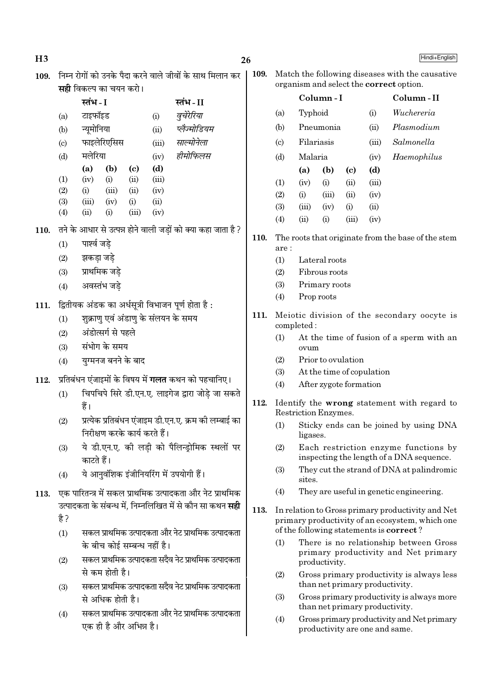|      |      | <b>सही</b> विकल्प का चयन करो। |                                                    |                             |       |                                                                  |      |                                                           |            |                        |                            |                           | organism and select the correct option.                                          |  |
|------|------|-------------------------------|----------------------------------------------------|-----------------------------|-------|------------------------------------------------------------------|------|-----------------------------------------------------------|------------|------------------------|----------------------------|---------------------------|----------------------------------------------------------------------------------|--|
|      |      | स्तंभ - I                     |                                                    |                             |       | स्तंभ - II                                                       |      |                                                           |            | Column-I               |                            |                           | Column-II                                                                        |  |
|      | (a)  | टाइफॉइड                       |                                                    |                             | (i)   | वुचेरेरिया                                                       |      | (a)                                                       | Typhoid    |                        |                            | (i)                       | Wuchereria                                                                       |  |
|      | (b)  | न्यूमोनिया                    |                                                    |                             | (ii)  | प्लैज्मोडियम                                                     |      | (b)                                                       |            | Pneumonia              |                            | (ii)                      | Plasmodium                                                                       |  |
|      | (c)  |                               | फाइलेरिएसिस                                        |                             | (iii) | साल्मोनेला                                                       |      | (c)                                                       | Filariasis |                        |                            | (iii)                     | Salmonella                                                                       |  |
|      | (d)  | मलेरिया                       |                                                    |                             | (iv)  | हीमोफिलस                                                         |      | (d)                                                       | Malaria    |                        |                            | (iv)                      | Haemophilus                                                                      |  |
|      |      | (a)                           | (b)                                                | $\left( \mathbf{c} \right)$ | (d)   |                                                                  |      |                                                           | (a)        | (b)                    | $\left( \mathrm{c}\right)$ | (d)                       |                                                                                  |  |
|      | (1)  | (iv)                          | (i)                                                | (ii)                        | (iii) |                                                                  |      | (1)                                                       | (iv)       | (i)                    | (ii)                       | (iii)                     |                                                                                  |  |
|      | (2)  | (i)                           | (iii)                                              | (ii)                        | (iv)  |                                                                  |      | (2)                                                       | (i)        | (iii)                  | (ii)                       | (iv)                      |                                                                                  |  |
|      | (3)  | (iii)                         | (iv)                                               | (i)                         | (ii)  |                                                                  |      | (3)                                                       | (iii)      | (iv)                   | (i)                        | (ii)                      |                                                                                  |  |
|      | (4)  | (ii)                          | (i)                                                | (iii)                       | (iv)  |                                                                  |      | (4)                                                       | (ii)       | (i)                    | (iii)                      | (iv)                      |                                                                                  |  |
| 110. |      |                               |                                                    |                             |       | तने के आधार से उत्पन्न होने वाली जड़ों को क्या कहा जाता है ?     |      |                                                           |            |                        |                            |                           |                                                                                  |  |
|      | (1)  | पार्श्व जडे                   |                                                    |                             |       |                                                                  | 110. | are:                                                      |            |                        |                            |                           | The roots that originate from the base of the stem                               |  |
|      | (2)  | झकड़ा जड़े                    |                                                    |                             |       |                                                                  |      | (1)                                                       |            | Lateral roots          |                            |                           |                                                                                  |  |
|      | (3)  | प्राथमिक जडे                  |                                                    |                             |       |                                                                  |      | (2)                                                       |            | Fibrous roots          |                            |                           |                                                                                  |  |
|      | (4)  |                               | अवस्तंभ जडे                                        |                             |       |                                                                  |      | (3)                                                       |            | Primary roots          |                            |                           |                                                                                  |  |
|      |      |                               |                                                    |                             |       |                                                                  |      | (4)                                                       |            | Prop roots             |                            |                           |                                                                                  |  |
| 111. |      |                               |                                                    |                             |       | द्वितीयक अंडक का अर्धसूत्री विभाजन पूर्ण होता है:                |      |                                                           |            |                        |                            |                           |                                                                                  |  |
|      | (1)  |                               |                                                    |                             |       | शुक्राणु एवं अंडाणु के संलयन के समय                              | 111. | Meiotic division of the secondary oocyte is<br>completed: |            |                        |                            |                           |                                                                                  |  |
|      | (2)  |                               | अंडोत्सर्ग से पहले                                 |                             |       |                                                                  |      | (1)                                                       |            |                        |                            |                           | At the time of fusion of a sperm with an                                         |  |
|      | (3)  |                               | संभोग के समय                                       |                             |       |                                                                  |      |                                                           | ovum       |                        |                            |                           |                                                                                  |  |
|      | (4)  |                               | युग्मनज बनने के बाद                                |                             |       |                                                                  |      | (2)                                                       |            | Prior to ovulation     |                            |                           |                                                                                  |  |
|      |      |                               |                                                    |                             |       |                                                                  |      | (3)                                                       |            |                        |                            | At the time of copulation |                                                                                  |  |
| 112. |      |                               |                                                    |                             |       | प्रतिबंधन एंजाइमों के विषय में <b>गलत</b> कथन को पहचानिए।        |      | (4)                                                       |            | After zygote formation |                            |                           |                                                                                  |  |
|      | (1)  |                               |                                                    |                             |       | चिपचिपे सिरे डी.एन.ए. लाइगेज द्वारा जोड़े जा सकते                |      |                                                           |            |                        |                            |                           |                                                                                  |  |
|      |      | हैं।                          |                                                    |                             |       |                                                                  | 112. |                                                           |            | Restriction Enzymes.   |                            |                           | Identify the wrong statement with regard to                                      |  |
|      | (2)  |                               |                                                    |                             |       | प्रत्येक प्रतिबंधन एंजाइम डी.एन.ए. क्रम की लम्बाई का             |      | (1)                                                       |            |                        |                            |                           | Sticky ends can be joined by using DNA                                           |  |
|      |      |                               | निरीक्षण करके कार्य करते हैं।                      |                             |       |                                                                  |      |                                                           | ligases.   |                        |                            |                           |                                                                                  |  |
|      | (3)  | काटते हैं।                    |                                                    |                             |       | ये डी.एन.ए. की लड़ी को पैलिन्ड्रोमिक स्थलों पर                   |      | (2)                                                       |            |                        |                            |                           | Each restriction enzyme functions by<br>inspecting the length of a DNA sequence. |  |
|      |      |                               |                                                    |                             |       |                                                                  |      | (3)                                                       |            |                        |                            |                           | They cut the strand of DNA at palindromic                                        |  |
|      | (4)  |                               |                                                    |                             |       | ये आनुवंशिक इंजीनियरिंग में उपयोगी हैं।                          |      |                                                           | sites.     |                        |                            |                           |                                                                                  |  |
| 113. |      |                               |                                                    |                             |       | एक पारितन्त्र में सकल प्राथमिक उत्पादकता और नेट प्राथमिक         |      | (4)                                                       |            |                        |                            |                           | They are useful in genetic engineering.                                          |  |
|      |      |                               |                                                    |                             |       | उत्पादकता के संबन्ध में, निम्नलिखित में से कौन सा कथन <b>सही</b> | 113. |                                                           |            |                        |                            |                           | In relation to Gross primary productivity and Net                                |  |
|      | है ? |                               |                                                    |                             |       |                                                                  |      |                                                           |            |                        |                            |                           | primary productivity of an ecosystem, which one                                  |  |
|      | (1)  |                               |                                                    |                             |       | सकल प्राथमिक उत्पादकता और नेट प्राथमिक उत्पादकता                 |      |                                                           |            |                        |                            |                           | of the following statements is <b>correct</b> ?                                  |  |
|      |      |                               | के बीच कोई सम्बन्ध नहीं है।                        |                             |       |                                                                  |      | (1)                                                       |            |                        |                            |                           | There is no relationship between Gross                                           |  |
|      | (2)  |                               |                                                    |                             |       | सकल प्राथमिक उत्पादकता सदैव नेट प्राथमिक उत्पादकता               |      |                                                           |            | productivity.          |                            |                           | primary productivity and Net primary                                             |  |
|      |      |                               | से कम होती है।                                     |                             |       |                                                                  |      | (2)                                                       |            |                        |                            |                           | Gross primary productivity is always less                                        |  |
|      | (3)  |                               | सकल प्राथमिक उत्पादकता सदैव नेट प्राथमिक उत्पादकता |                             |       |                                                                  |      |                                                           |            |                        |                            |                           | than net primary productivity.                                                   |  |
|      |      |                               | से अधिक होती है।                                   |                             |       |                                                                  |      | (3)                                                       |            |                        |                            |                           | Gross primary productivity is always more<br>than net primary productivity.      |  |
|      | (4)  |                               |                                                    |                             |       | सकल प्राथमिक उत्पादकता और नेट प्राथमिक उत्पादकता                 |      | (4)                                                       |            |                        |                            |                           | Gross primary productivity and Net primary                                       |  |
|      |      |                               | एक ही है और अभिन्न है।                             |                             |       |                                                                  |      |                                                           |            |                        |                            |                           | productivity are one and same.                                                   |  |
|      |      |                               |                                                    |                             |       |                                                                  |      |                                                           |            |                        |                            |                           |                                                                                  |  |

 $26$ 109. निम्न रोगों को उनके पैदा करने वाले जीवों के साथ मिलान कर | 109. Match the following diseases with the causative

 $H3$ 

Hindi+English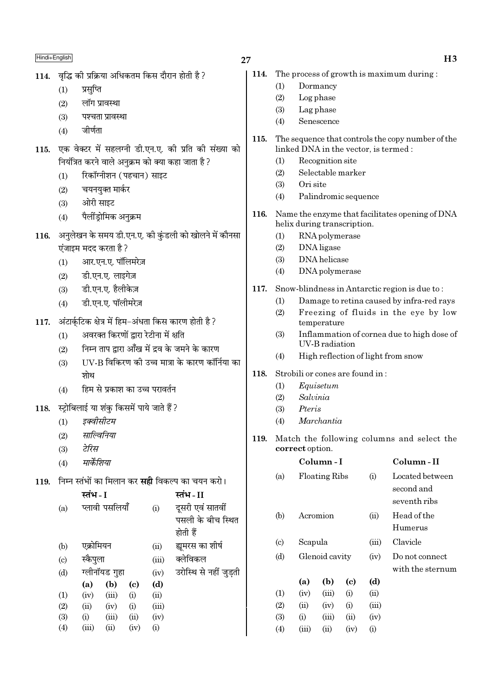- $27$
- 114. वद्भि की प्रक्रिया अधिकतम किस दौरान होती है ?
	- प्रसप्ति  $(1)$
	- $(2)$ लॉग प्रावस्था
	- पश्चता प्रावस्था  $(3)$
	- $(4)$ जीर्णता
- 115. एक वेक्टर में सहलग्नी डी.एन.ए. की प्रति की संख्या को नियंत्रित करने वाले अनुक्रम को क्या कहा जाता है ?
	- रिकॉग्नीशन (पहचान) साइट  $(1)$
	- $(2)$ चयनयुक्त मार्कर
	- ओरी साइट  $(3)$
	- पैलींडोमिक अनुक्रम  $(4)$
- 116. अनुलेखन के समय डी.एन.ए. की कुंडली को खोलने में कौनसा एंजाइम मदद करता है ?
	- आर.एन.ए. पॉलिमरेज़  $(1)$
	- डी.एन.ए. लाइगेज़  $(2)$
	- $(3)$ डी.एन.ए. हैलीकेज़
	- डी.एन.ए. पॉलीमरेज़  $(4)$
- अंटार्कटिक क्षेत्र में हिम-अंधता किस कारण होती है ? 117.
	- अवरक्त किरणों द्वारा रेटीना में क्षति  $(1)$
	- निम्न ताप द्वारा आँख में द्रव के जमने के कारण  $(2)$
	- UV-B विकिरण की उच्च मात्रा के कारण कॉर्निया का  $(3)$ शोथ
	- हिम से प्रकाश का उच्च परावर्तन  $(4)$
- स्टोबिलाई या शंक किसमें पाये जाते हैं ? 118.
	- इक्वीसीटम  $(1)$
	- साल्विनिया  $(2)$
	- टेरिस  $(3)$
	- मार्केशिया  $(4)$

 $\frac{1}{2}$ 

119. निम्न स्तंभों का मिलान कर सही विकल्प का चयन करो।

|                   | स्तभ - 1  |                |      |           | स्तभ - 11              |
|-------------------|-----------|----------------|------|-----------|------------------------|
| (a)               |           | प्लावी पसलियाँ |      | (i)       | दूसरी एवं सातवीं       |
|                   |           |                |      |           | पसली के बीच स्थित      |
|                   |           |                |      |           | होती हैं               |
| (b)               | एक्रोमियन |                |      | (ii)      | ह्यमरस का शीर्ष        |
| $\left( c\right)$ | स्कैपुला  |                |      | (iii)     | क्लेविकल               |
| (d)               |           | ग्लीनॉयड गुहा  |      | (iv)      | उरोस्थि से नहीं जुड़ती |
|                   | (a)       | (b)            | (c)  | (d)       |                        |
| (1)               | (iv)      | (iii)          | (i)  | (ii)      |                        |
| (2)               | (ii)      | (iv)           | (i)  | (iii)     |                        |
| (3)               | (i)       | (iii)          | (ii) | (iv)      |                        |
| (4)               | (iii)     | (ii)           | (iv) | $\rm (i)$ |                        |
|                   |           |                |      |           |                        |

- - 114. The process of growth is maximum during:
		- $(1)$ Dormancy
		- $(2)$ Log phase
		- $(3)$ Lag phase
		- $(4)$ Senescence
	- 115. The sequence that controls the copy number of the linked DNA in the vector, is termed:
		- Recognition site  $(1)$
		- $(2)$ Selectable marker
		- $(3)$ Ori site
		- Palindromic sequence  $(4)$
	- 116. Name the enzyme that facilitates opening of DNA helix during transcription.
		- RNA polymerase  $(1)$
		- $(2)$ DNA ligase
		- DNA helicase  $(3)$
		- DNA polymerase  $(4)$
	- 117. Snow-blindness in Antarctic region is due to:
		- Damage to retina caused by infra-red rays  $(1)$ Freezing of fluids in the eye by low  $(2)$ temperature
		- $(3)$ Inflammation of cornea due to high dose of UV-B radiation
		- $(4)$ High reflection of light from snow
	- Strobili or cones are found in: 118.
		- Equisetum  $(1)$
		- Salvinia  $(2)$
		- $(3)$ Pteris
		- Marchantia  $(4)$
	- 119. Match the following columns and select the correct option.

|                             |                | Column - I           |      |       | Column - II      |
|-----------------------------|----------------|----------------------|------|-------|------------------|
| (a)                         |                | <b>Floating Ribs</b> |      | (i)   | Located between  |
|                             |                |                      |      |       | second and       |
|                             |                |                      |      |       | seventh ribs     |
| (b)                         |                | Acromion             |      | (ii)  | Head of the      |
|                             |                |                      |      |       | Humerus          |
| $\left( \mathrm{c} \right)$ | Scapula        |                      |      | (iii) | Clavicle         |
| (d)                         | Glenoid cavity |                      |      | (iv)  | Do not connect   |
|                             |                |                      |      |       | with the sternum |
|                             | (a)            | (b)                  | (c)  | (d)   |                  |
| (1)                         | (iv)           | (iii)                | (i)  | (ii)  |                  |
| (2)                         | (ii)           | (iv)                 | (i)  | (iii) |                  |
| (3)                         | (i)            | (iii)                | (ii) | (iv)  |                  |
| (4)                         | (iii)          | (i)                  | (iv) | (i)   |                  |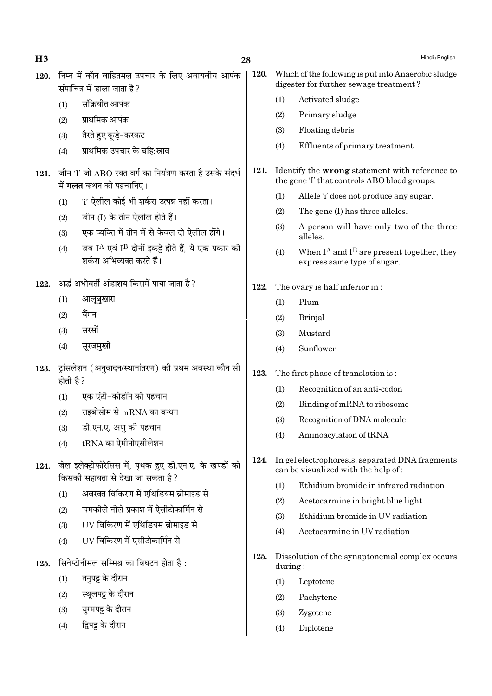| H <sub>3</sub> |                                                                                              | 28                                                                                                        |      |         | Hindi+English                                                                                  |
|----------------|----------------------------------------------------------------------------------------------|-----------------------------------------------------------------------------------------------------------|------|---------|------------------------------------------------------------------------------------------------|
| 120.           |                                                                                              | निम्न में कौन वाहितमल उपचार के लिए अवायवीय आपंक<br>संपाचित्र में डाला जाता है?                            | 120. |         | Which of the following is put into Anaerobic sludge<br>digester for further sewage treatment?  |
|                | (1)                                                                                          | संक्रियीत आपंक                                                                                            |      | (1)     | Activated sludge                                                                               |
|                | (2)                                                                                          | प्राथमिक आपंक                                                                                             |      | (2)     | Primary sludge                                                                                 |
|                | (3)                                                                                          | तैरते हुए कूड़े-करकट                                                                                      |      | (3)     | Floating debris                                                                                |
|                | (4)                                                                                          | प्राथमिक उपचार के बहि:स्राव                                                                               |      | (4)     | Effluents of primary treatment                                                                 |
| 121.           |                                                                                              | जीन 'I' जो ABO रक्त वर्ग का नियंत्रण करता है उसके संदर्भ<br>में <b>गलत</b> कथन को पहचानिए।                | 121. |         | Identify the wrong statement with reference to<br>the gene 'I' that controls ABO blood groups. |
|                | (1)                                                                                          | 'i' ऐलील कोई भी शर्करा उत्पन्न नहीं करता।                                                                 |      | (1)     | Allele 'i' does not produce any sugar.                                                         |
|                | (2)                                                                                          | जीन (I) के तीन ऐलील होते हैं।                                                                             |      | (2)     | The gene (I) has three alleles.                                                                |
|                | (3)                                                                                          | एक व्यक्ति में तीन में से केवल दो ऐलील होंगे।                                                             |      | (3)     | A person will have only two of the three<br>alleles.                                           |
|                | (4)                                                                                          | जब I <sup>A</sup> एवं I <sup>B</sup> दोनों इकट्ठे होते हैं, ये एक प्रकार की<br>शर्करा अभिव्यक्त करते हैं। |      | (4)     | When $I^A$ and $I^B$ are present together, they<br>express same type of sugar.                 |
| 122.           |                                                                                              | अर्द्ध अधोवर्ती अंडाशय किसमें पाया जाता है ?                                                              | 122. |         | The ovary is half inferior in:                                                                 |
|                | (1)                                                                                          | आलूबुखारा                                                                                                 |      | (1)     | Plum                                                                                           |
|                | (2)                                                                                          | बैंगन                                                                                                     |      | (2)     | Brinjal                                                                                        |
|                | (3)                                                                                          | सरसों                                                                                                     |      | (3)     | Mustard                                                                                        |
|                | (4)                                                                                          | सूरजमुखी                                                                                                  |      | (4)     | Sunflower                                                                                      |
| 123.           | होती है ?                                                                                    | ट्रांसलेशन (अनुवादन/स्थानांतरण) की प्रथम अवस्था कौन सी                                                    | 123. |         | The first phase of translation is:                                                             |
|                | (1)                                                                                          | एक एंटी-कोडॉन की पहचान                                                                                    |      | (1)     | Recognition of an anti-codon                                                                   |
|                | (2)                                                                                          | राइबोसोम से $\rm{mRNA}$ का बन्धन                                                                          |      | (2)     | Binding of mRNA to ribosome                                                                    |
|                | (3)                                                                                          | डी.एन.ए. अणु की पहचान                                                                                     |      | (3)     | Recognition of DNA molecule                                                                    |
|                | (4)                                                                                          | $tRNA$ का ऐमीनोएसीलेशन                                                                                    |      | (4)     | Aminoacylation of tRNA                                                                         |
| 124.           | जेल इलेक्ट्रोफोरेसिस में, पृथक हुए डी.एन.ए. के खण्डों को<br>किसकी सहायता से देखा जा सकता है? |                                                                                                           | 124. |         | In gel electrophoresis, separated DNA fragments<br>can be visualized with the help of:         |
|                | (1)                                                                                          | अवरक्त विकिरण में एथिडियम ब्रोमाइड से                                                                     |      | (1)     | Ethidium bromide in infrared radiation                                                         |
|                | (2)                                                                                          | चमकीले नीले प्रकाश में ऐसीटोकार्मिन से                                                                    |      | (2)     | Acetocarmine in bright blue light                                                              |
|                | (3)                                                                                          | UV विकिरण में एथिडियम ब्रोमाइड से                                                                         |      | (3)     | Ethidium bromide in UV radiation                                                               |
|                | (4)                                                                                          | UV विकिरण में एसीटोकार्मिन से                                                                             |      | (4)     | Acetocarmine in UV radiation                                                                   |
| 125.           |                                                                                              | सिनेप्टोनीमल सम्मिश्र का विघटन होता है:                                                                   | 125. | during: | Dissolution of the synaptonemal complex occurs                                                 |
|                | (1)                                                                                          | तनुपट्ट के दौरान                                                                                          |      | (1)     | Leptotene                                                                                      |
|                | (2)                                                                                          | स्थूलपट्ट के दौरान                                                                                        |      | (2)     | Pachytene                                                                                      |
|                | (3)                                                                                          | युग्मपट्ट के दौरान                                                                                        |      | (3)     | Zygotene                                                                                       |
|                | (4)                                                                                          | द्विपट्ट के दौरान                                                                                         |      | (4)     | Diplotene                                                                                      |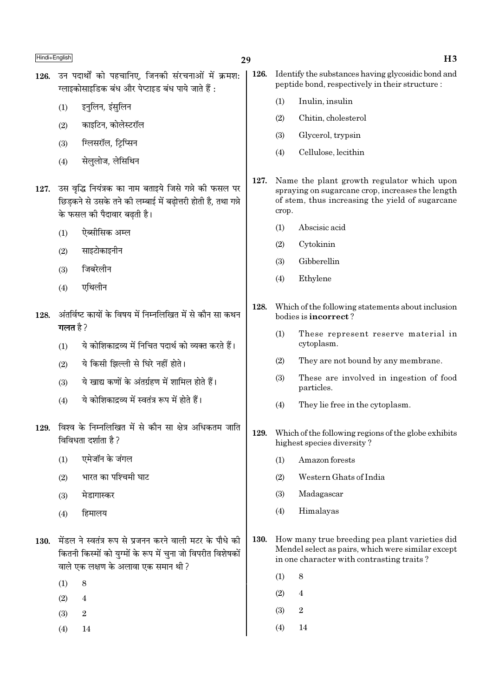- 126. उन पदार्थों को पहचानिए, जिनकी संरचनाओं में क्रमश: ग्लाइकोसाइडिक बंध और पेप्टाइड बंध पाये जाते हैं :
	- इनुलिन, इंसुलिन  $(1)$
	- काइटिन, कोलेस्टरॉल  $(2)$
	- ग्लिसरॉल, टिप्सिन  $(3)$
	- सेलुलोज, लेसिथिन  $(4)$
- 127. उस वृद्धि नियंत्रक का नाम बताइये जिसे गन्ने की फसल पर छिडकने से उसके तने की लम्बाई में बढोत्तरी होती है, तथा गन्ने के फसल की पैदावार बढती है।
	- ऐब्सीसिक अम्ल  $(1)$
	- साइटोकाइनीन  $(2)$
	- जिबरेलीन  $(3)$
	- एथिलीन  $(4)$
- अंतर्विष्ट कार्यों के विषय में निम्नलिखित में से कौन सा कथन 128. गलत है ?
	- ये कोशिकाद्रव्य में निचित पदार्थ को व्यक्त करते हैं।  $(1)$
	- ये किसी झिल्ली से घिरे नहीं होते।  $(2)$
	- ये खाद्य कणों के अंतर्ग्रहण में शामिल होते हैं।  $(3)$
	- ये कोशिकादव्य में स्वतंत्र रूप में होते हैं।  $(4)$
- 129. विश्व के निम्नलिखित में से कौन सा क्षेत्र अधिकतम जाति विविधता दर्शाता है ?
	- एमेजॉन के जंगल  $(1)$
	- भारत का पश्चिमी घाट  $(2)$
	- मेडागास्कर  $(3)$
	- हिमालय  $(4)$
- 130. मेंडल ने स्वतंत्र रूप से प्रजनन करने वाली मटर के पौधे की कितनी किस्मों को युग्मों के रूप में चुना जो विपरीत विशेषकों वाले एक लक्षण के अलावा एक समान थी ?
	- $(1)$ 8
	- $(2)$  $\overline{4}$
	- $\overline{2}$  $(3)$
	- $(4)$ 14
- 126. Identify the substances having glycosidic bond and peptide bond, respectively in their structure:
	- $(1)$ Inulin, insulin
	- $(2)$ Chitin, cholesterol
	- $(3)$ Glycerol, trypsin
	- $(4)$ Cellulose, lecithin
- 127. Name the plant growth regulator which upon spraying on sugarcane crop, increases the length of stem, thus increasing the yield of sugarcane crop.
	- Abscisic acid  $(1)$
	- $(2)$ Cytokinin
	- Gibberellin  $(3)$
	- $(4)$ Ethylene
- 128. Which of the following statements about inclusion bodies is incorrect?
	- $(1)$ These represent reserve material in cytoplasm.
	- $(2)$ They are not bound by any membrane.
	- $(3)$ These are involved in ingestion of food particles.
	- $(4)$ They lie free in the cytoplasm.
- 129. Which of the following regions of the globe exhibits highest species diversity?
	- Amazon forests  $(1)$
	- $(2)$ Western Ghats of India
	- $(3)$ Madagascar
	- Himalayas  $(4)$
- 130. How many true breeding pea plant varieties did Mendel select as pairs, which were similar except in one character with contrasting traits?
	- $(1)$ 8
	- $(2)$  $\overline{4}$
	- $(3)$  $\overline{2}$
	- $(4)$ 14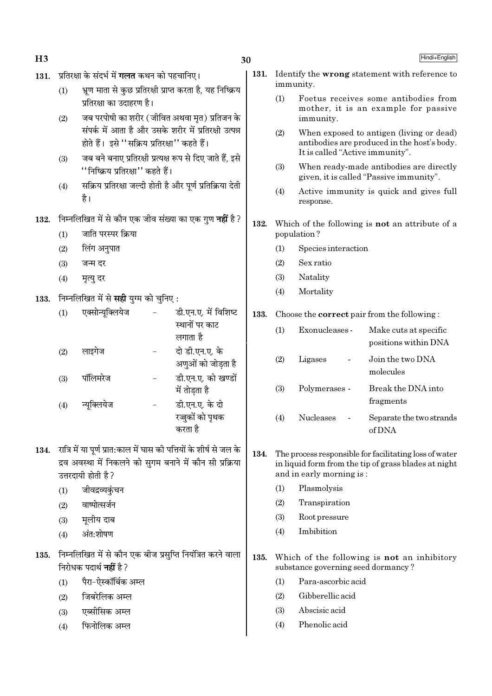| H <sub>3</sub> |                                                                                                                                                         |                                                                                                                                                                   |                      |                                                                | 30   |                          |                                                                                                                | Hindi+English                                                                           |
|----------------|---------------------------------------------------------------------------------------------------------------------------------------------------------|-------------------------------------------------------------------------------------------------------------------------------------------------------------------|----------------------|----------------------------------------------------------------|------|--------------------------|----------------------------------------------------------------------------------------------------------------|-----------------------------------------------------------------------------------------|
| 131.           |                                                                                                                                                         | प्रतिरक्षा के संदर्भ में <b>गलत</b> कथन को पहचानिए।                                                                                                               |                      | 131.                                                           |      | immunity.                | Identify the wrong statement with reference to                                                                 |                                                                                         |
|                | (1)                                                                                                                                                     | प्रतिरक्षा का उदाहरण है।                                                                                                                                          |                      | भ्रूण माता से कुछ प्रतिरक्षी प्राप्त करता है, यह निष्क्रिय     |      | (1)                      |                                                                                                                | Foetus receives some antibodies from                                                    |
|                | (2)                                                                                                                                                     |                                                                                                                                                                   |                      | जब परपोषी का शरीर (जीवित अथवा मृत) प्रतिजन के                  |      |                          | immunity.                                                                                                      | mother, it is an example for passive                                                    |
|                |                                                                                                                                                         | संपर्क में आता है और उसके शरीर में प्रतिरक्षी उत्पन्न<br>होते हैं। इसे "सक्रिय प्रतिरक्षा" कहते हैं।<br>जब बने बनाए प्रतिरक्षी प्रत्यक्ष रूप से दिए जाते हैं, इसे |                      |                                                                |      | (2)                      | It is called "Active immunity".                                                                                | When exposed to antigen (living or dead)<br>antibodies are produced in the host's body. |
|                | (3)                                                                                                                                                     | ''निष्क्रिय प्रतिरक्षा'' कहते हैं।                                                                                                                                |                      |                                                                |      | (3)                      |                                                                                                                | When ready-made antibodies are directly<br>given, it is called "Passive immunity".      |
|                | (4)                                                                                                                                                     | है।                                                                                                                                                               |                      | सक्रिय प्रतिरक्षा जल्दी होती है और पूर्ण प्रतिक्रिया देती      |      | (4)                      | response.                                                                                                      | Active immunity is quick and gives full                                                 |
| 132.           |                                                                                                                                                         |                                                                                                                                                                   |                      | निम्नलिखित में से कौन एक जीव संख्या का एक गुण <b>नहीं</b> है ? | 132. |                          |                                                                                                                | Which of the following is <b>not</b> an attribute of a                                  |
|                | (1)                                                                                                                                                     | जाति परस्पर क्रिया                                                                                                                                                |                      |                                                                |      |                          | population?                                                                                                    |                                                                                         |
|                | (2)                                                                                                                                                     | लिंग अनुपात                                                                                                                                                       |                      |                                                                |      | (1)                      | Species interaction                                                                                            |                                                                                         |
|                | (3)                                                                                                                                                     | जन्म दर                                                                                                                                                           |                      |                                                                |      | (2)                      | Sex ratio                                                                                                      |                                                                                         |
|                | (4)                                                                                                                                                     | मृत्यु दर                                                                                                                                                         |                      |                                                                |      | (3)                      | Natality                                                                                                       |                                                                                         |
| 133.           |                                                                                                                                                         | निम्नलिखित में से <b>सही</b> युग्म को चुनिए :                                                                                                                     |                      |                                                                |      | (4)                      | Mortality                                                                                                      |                                                                                         |
|                | (1)                                                                                                                                                     | एक्सोन्यूक्लियेज                                                                                                                                                  | डी.एन.ए. में विशिष्ट |                                                                | 133. |                          |                                                                                                                | Choose the <b>correct</b> pair from the following:                                      |
|                |                                                                                                                                                         |                                                                                                                                                                   |                      | स्थानों पर काट<br>लगाता है                                     |      | (1)                      | Exonucleases -                                                                                                 | Make cuts at specific<br>positions within DNA                                           |
|                | (2)                                                                                                                                                     | लाइगेज                                                                                                                                                            |                      | दो डी.एन.ए. के<br>अणुओं को जोड़ता है                           |      | (2)                      | Ligases                                                                                                        | Join the two DNA<br>molecules                                                           |
|                | (3)                                                                                                                                                     | पॉलिमरेज                                                                                                                                                          |                      | डी.एन.ए. को खण्डों<br>में तोडता है                             |      | (3)                      | Polymerases -                                                                                                  | Break the DNA into<br>fragments                                                         |
|                | (4)                                                                                                                                                     | न्याक्लयेज                                                                                                                                                        | $\qquad \qquad -$    | डी.एन.ए. के दो<br>रज्जुकों को पृथक<br>करता है                  |      | (4)                      | Nucleases                                                                                                      | Separate the two strands<br>of DNA                                                      |
| 134.           | रात्रि में या पूर्ण प्रात:काल में घास की पत्तियों के शीर्ष से जल के<br>द्रव अवस्था में निकलने को सुगम बनाने में कौन सी प्रक्रिया<br>उत्तरदायी होती है ? |                                                                                                                                                                   |                      | 134.                                                           |      | and in early morning is: | The process responsible for facilitating loss of water<br>in liquid form from the tip of grass blades at night |                                                                                         |
|                | (1)                                                                                                                                                     | जीवद्रव्यकुंचन                                                                                                                                                    |                      |                                                                |      | (1)                      | Plasmolysis                                                                                                    |                                                                                         |
|                | (2)                                                                                                                                                     | वाष्पोत्सर्जन                                                                                                                                                     |                      |                                                                |      | (2)                      | Transpiration                                                                                                  |                                                                                         |
|                | (3)                                                                                                                                                     | मूलीय दाब                                                                                                                                                         |                      |                                                                |      | (3)                      | Root pressure                                                                                                  |                                                                                         |
|                | (4)                                                                                                                                                     | अंत:शोषण                                                                                                                                                          |                      |                                                                |      | (4)                      | Imbibition                                                                                                     |                                                                                         |
| 135.           |                                                                                                                                                         | निरोधक पदार्थ <b>नहीं</b> है ?                                                                                                                                    |                      | निम्नलिखित में से कौन एक बीज प्रसुप्ति नियंत्रित करने वाला     | 135. |                          | substance governing seed dormancy?                                                                             | Which of the following is <b>not</b> an inhibitory                                      |
|                | (1)                                                                                                                                                     | पैरा–ऐस्कॉर्बिक अम्ल                                                                                                                                              |                      |                                                                |      | (1)                      | Para-ascorbic acid                                                                                             |                                                                                         |
|                | (2)                                                                                                                                                     | जिबरेलिक अम्ल                                                                                                                                                     |                      |                                                                |      | (2)                      | Gibberellic acid                                                                                               |                                                                                         |

- $(3)$ एब्सीसिक अम्ल
- फिनोलिक अम्ल  $(4)$

Abscisic acid  $(3)$  $(4)$ Phenolic acid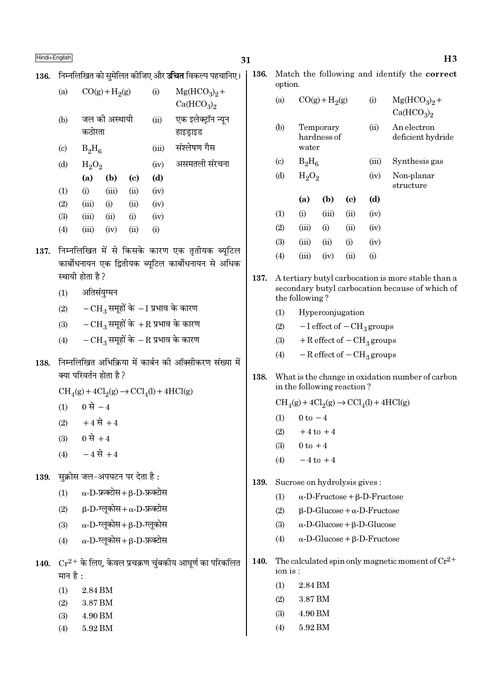136. निम्नलिखित को समेलित कीजिए और **उचित** विकल्प पहचानिए।

136.

option.  $Mg(HCO<sub>3</sub>)<sub>9</sub> +$  $(a)$  $CO(g) + H<sub>2</sub>(g)$  $(i)$  $(a)$  $CO(g) + H<sub>2</sub>(g)$  $Mg(HCO<sub>3</sub>)<sub>2</sub> +$  $(i)$  $Ca(HCO<sub>3</sub>)<sub>2</sub>$  $Ca(HCO<sub>3</sub>)<sub>2</sub>$ जल की अस्थायी एक इलेक्ट्रॉन न्यून  $(b)$  $(ii)$ An electron  $(b)$ Temporary  $(ii)$ कठोरता हाइड़ाइड hardness of deficient hydride संश्लेषण गैस water  $(c)$  $B_2H_6$  $(iii)$  $B_2H_6$  $(c)$  $(iii)$ Synthesis gas असमतली संरचना  $(d)$  $H_2O_2$  $(iv)$  $(d)$  $H_2O_2$  $(iv)$ Non-planar  $(a)$  $(b)$  $(c)$  $(d)$ structure  $(1)$  $(i)$  $(iii)$  $(ii)$  $(iv)$  $(a)$  $(b)$  $\left( \mathrm{c} \right)$  $(d)$  $(2)$  $(i)$  $(iv)$  $(iii)$  $(ii)$  $(1)$  $(i)$  $(iii)$  $(ii)$  $(iv)$  $(3)$  $(iii)$  $(ii)$  $(i)$  $(iv)$  $(2)$  $(iii)$  $(i)$  $(ii)$  $(iv)$  $(4)$  $(iii)$  $(iv)$  $(ii)$  $(i)$  $(3)$  $(iii)$  $(ii)$  $(iv)$  $(i)$ 137. निम्नलिखित में से किसके कारण एक तृतीयक ब्यूटिल  $(i)$  $(4)$  $(iii)$  $(iv)$  $(ii)$ कार्बोधनायन एक द्वितीयक ब्यूटिल कार्बोधनायन से अधिक स्थायी होता है? 137. A tertiary butyl carbocation is more stable than a secondary butyl carbocation because of which of अतिसंयग्मन  $(1)$ the following?  $-CH_3$  समूहों के  $-I$  प्रभाव के कारण  $(2)$  $(1)$ Hyperconjugation  $-CH_3$  समूहों के  $+R$  प्रभाव के कारण  $(3)$  $-I$  effect of  $-CH<sub>3</sub>$  groups  $(2)$  $-{\rm CH}_3$  समूहों के  $-{\rm R}$  प्रभाव के कारण  $+$  R effect of  $-$  CH<sub>3</sub> groups  $(4)$  $(3)$  $-R$  effect of  $-CH<sub>3</sub>$  groups  $(4)$ 138. निम्नलिखित अभिक्रिया में कार्बन की ऑक्सीकरण संख्या में क्या परिवर्तन होता है ? 138. What is the change in oxidation number of carbon in the following reaction?  $CH<sub>4</sub>(g) + 4Cl<sub>2</sub>(g) \rightarrow CCl<sub>4</sub>(l) + 4HCl(g)$  $CH<sub>4</sub>(g) + 4Cl<sub>2</sub>(g) \rightarrow CCl<sub>4</sub>(l) + 4HCl(g)$ 0 से  $-4$  $(1)$  $0 \text{ to } -4$  $(1)$  $+4 \vec{A} + 4$  $(2)$  $+4$  to  $+4$  $(2)$  $0 \, \vec{R} + 4$  $(3)$  $(3)$  $0 \text{ to } +4$  $-4 \vec{R} + 4$  $(4)$  $-4$  to  $+4$  $(4)$ सक्रोस जल-अपघटन पर देता है: 139. 139. Sucrose on hydrolysis gives:  $\alpha$ -D-फ्रक्टोस+  $\beta$ -D-फ्रक्टोस  $(1)$  $\alpha$ -D-Fructose + B-D-Fructose  $(1)$  $(2)$  $\beta$ -D-ग्लूकोस+  $\alpha$ -D-फ्रक्टोस  $B-D-Glu\cos e + \alpha - D-Fruct$  $(2)$  $\alpha$ -D-ग्लकोस+ B-D-ग्लकोस  $(3)$  $(3)$  $\alpha$ -D-Glucose +  $\beta$ -D-Glucose  $\alpha$ -D-ग्लुकोस+ $\beta$ -D-फ्रक्टोस  $(4)$  $\alpha$ -D-Glucose +  $\beta$ -D-Fructose  $(4)$ The calculated spin only magnetic moment of  $Cr^{2+}$ 140.  $Cr^{2+}$  के लिए, केवल प्रचक्रण चुंबकीय आघूर्ण का परिकलित 140. ion is: मान है $\cdot$ 2.84 BM  $(1)$  $(1)$ 2.84 BM  $(2)$ 3.87 BM 3.87 BM  $(2)$ 4.90 BM  $(3)$  $(3)$ 4.90 BM  $(4)$ 5.92 BM  $(4)$ 5.92 BM

 $H3$ 

Match the following and identify the correct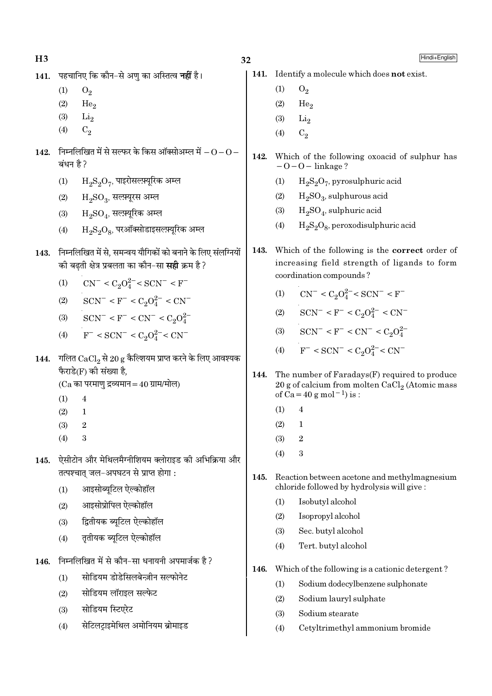| H <sub>3</sub> |           |                                                                                                                        | 32   |     | Hindi+English                                                                                                                                             |
|----------------|-----------|------------------------------------------------------------------------------------------------------------------------|------|-----|-----------------------------------------------------------------------------------------------------------------------------------------------------------|
| 141.           |           | पहचानिए कि कौन-से अणु का अस्तित्व <b>नहीं</b> है।                                                                      | 141. |     | Identify a molecule which does not exist.                                                                                                                 |
|                | (1)       | $O_2$                                                                                                                  |      | (1) | $O_2$                                                                                                                                                     |
|                | (2)       | He <sub>2</sub>                                                                                                        |      | (2) | He <sub>2</sub>                                                                                                                                           |
|                | (3)       | $\rm Li_2$                                                                                                             |      | (3) | $\rm Li_2$                                                                                                                                                |
|                | (4)       | $C_2$                                                                                                                  |      | (4) | $C_2$                                                                                                                                                     |
| 142.           | बंधन है ? | निम्नलिखित में से सल्फर के किस ऑक्सोअम्ल में $ \rm O$ $ \rm O$ $-$                                                     | 142. |     | Which of the following oxoacid of sulphur has<br>$-0-0$ – linkage?                                                                                        |
|                | (1)       | $\mathrm{H_{2}S_{2}O_{7}}$ , पाइरोसल्फ़्यूरिक अम्ल                                                                     |      | (1) | $H_2S_2O_7$ , pyrosulphuric acid                                                                                                                          |
|                | (2)       | $H_2SO_3$ , सल्फ़्यूरस अम्ल                                                                                            |      | (2) | $H2SO3$ , sulphurous acid                                                                                                                                 |
|                | (3)       | $H_2SO_4$ , सल्फ़्यूरिक अम्ल                                                                                           |      | (3) | $H_2SO_4$ , sulphuric acid                                                                                                                                |
|                | (4)       | $H_2S_2O_8$ , परऑक्सोडाइसल्फ़्यूरिक अम्ल                                                                               |      | (4) | $H_2S_2O_8$ , peroxodisulphuric acid                                                                                                                      |
| 143.           |           | निम्नलिखित में से, समन्वय यौगिकों को बनाने के लिए संलग्नियों<br>की बढ़ती क्षेत्र प्रबलता का कौन-सा <b>सही</b> क्रम है? | 143. |     | Which of the following is the <b>correct</b> order of<br>increasing field strength of ligands to form<br>coordination compounds?                          |
|                | (1)       | $CN^- < C_2O_4^{2-} < SCN^- < F^-$                                                                                     |      |     |                                                                                                                                                           |
|                | (2)       | $SCN^- < F^- < C_2O_4^{2-} < CN^-$                                                                                     |      | (1) | $CN^- < C_2O_4^{2-} < SCN^- < F^-$                                                                                                                        |
|                | (3)       | $SCN^- < F^- < CN^- < C_2O_4^{2-}$                                                                                     |      | (2) | $SCN^- < F^- < C_2O_4^{2-} < CN^-$                                                                                                                        |
|                | (4)       | $F^-$ < SCN <sup>-</sup> < C <sub>2</sub> O <sub>4</sub> <sup>2</sup> <sup>-</sup> < CN <sup>-</sup>                   |      |     | (3) $SCN^- < F^- < CN^- < C_2O_4^{2-}$                                                                                                                    |
| 144.           |           | गलित $\text{CaCl}_{2}$ से 20 g कैल्शियम प्राप्त करने के लिए आवश्यक<br>फैराडे(F) की संख्या है,                          | 144. |     | (4) $F^-$ < SCN <sup>-</sup> < C <sub>2</sub> O <sub>4</sub> <sup>2</sup> <sup>-</sup> < CN <sup>-</sup><br>The number of Faradays(F) required to produce |
|                | (1)       | $(Ca$ का परमाणु द्रव्यमान = 40 ग्राम/मोल)<br>$\overline{4}$                                                            |      |     | 20 g of calcium from molten $CaCl2$ (Atomic mass<br>of Ca = 40 g mol <sup>-1</sup> ) is :                                                                 |
|                | (2)       | $\mathbf{1}$                                                                                                           |      | (1) | 4                                                                                                                                                         |
|                | (3)       | $\,2$                                                                                                                  |      | (2) | $\mathbf{1}$                                                                                                                                              |
|                | (4)       | 3                                                                                                                      |      | (3) | $\boldsymbol{2}$                                                                                                                                          |
| 145.           |           | ऐसीटोन और मेथिलमैग्नीशियम क्लोराइड की अभिक्रिया और                                                                     |      | (4) | 3                                                                                                                                                         |
|                |           | तत्पश्चात् जल-अपघटन से प्राप्त होगा:                                                                                   | 145. |     | Reaction between acetone and methylmagnesium                                                                                                              |
|                | (1)       | आइसोब्यूटिल ऐल्कोहॉल                                                                                                   |      |     | chloride followed by hydrolysis will give:                                                                                                                |
|                | (2)       | आइसोप्रोपिल ऐल्कोहॉल                                                                                                   |      | (1) | Isobutyl alcohol                                                                                                                                          |
|                | (3)       | द्वितीयक ब्यूटिल ऐल्कोहॉल                                                                                              |      | (2) | Isopropyl alcohol                                                                                                                                         |
|                | (4)       | तृतीयक ब्यूटिल ऐल्कोहॉल                                                                                                |      | (3) | Sec. butyl alcohol                                                                                                                                        |
|                |           |                                                                                                                        |      | (4) | Tert. butyl alcohol                                                                                                                                       |
| 146.           |           | निम्नलिखित में से कौन-सा धनायनी अपमार्जक है?                                                                           | 146. |     | Which of the following is a cationic detergent?                                                                                                           |
|                | (1)       | सोडियम डोडेसिलबेन्ज़ीन सल्फोनेट                                                                                        |      | (1) | Sodium dodecylbenzene sulphonate                                                                                                                          |
|                | (2)       | सोडियम लॉराइल सल्फेट                                                                                                   |      | (2) | Sodium lauryl sulphate                                                                                                                                    |
|                | (3)       | सोडियम स्टिएरेट                                                                                                        |      | (3) | Sodium stearate                                                                                                                                           |
|                | (4)       | सेटिलट्राइमेथिल अमोनियम ब्रोमाइड                                                                                       |      | (4) | Cetyltrimethyl ammonium bromide                                                                                                                           |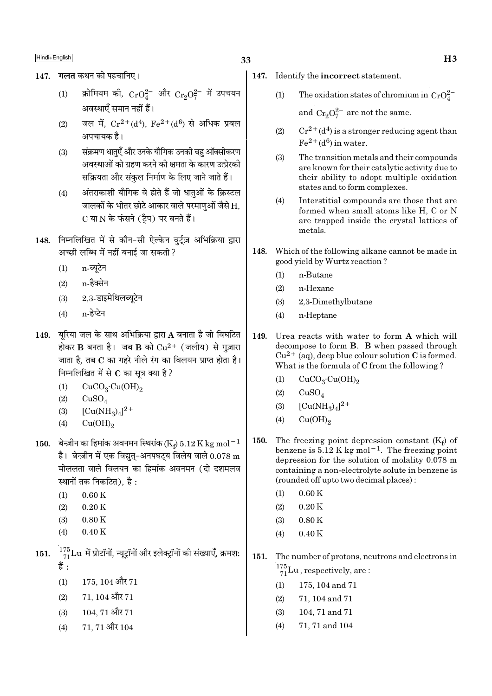- 147. गलत कथन को पहचानिए।
	- क्रोमियम की,  $\rm CrO_4^{2-}$  और  $\rm Cr_2O_7^{2-}$  में उपचयन  $(1)$ अवस्थाएँ समान नहीं हैं।
	- जल में.  $Cr^{2+}(d^4)$ . Fe $^{2+}(d^6)$  से अधिक प्रबल  $(2)$ अपचायक है।
	- संक्रमण धातुएँ और उनके यौगिक उनकी बह ऑक्सीकरण  $(3)$ अवस्थाओं को ग्रहण करने की क्षमता के कारण उत्प्रेरकी सक्रियता और संकल निर्माण के लिए जाने जाते हैं।
	- अंतराकाशी यौगिक वे होते हैं जो धातओं के क्रिस्टल  $(4)$ जालकों के भीतर छोटे आकार वाले परमाणओं जैसे H. C या N के फंसने (टैप) पर बनते हैं।
- 148. निम्नलिखित में से कौन-सी ऐल्केन वर्टज़ अभिक्रिया द्वारा अच्छी लब्धि में नहीं बनाई जा सकती ?
	- n-ब्यटेन  $(1)$
	- $(2)$  n-हैक्सेन
	- $(3)$  2.3-डाइमेथिलब्यटेन
	- n-हेप्टेन  $(4)$
- 149. यूरिया जल के साथ अभिक्रिया द्वारा A बनाता है जो विघटित होकर B बनता है। जब B को  $Cu^{2+}$  (जलीय) से गुज़ारा जाता है, तब C का गहरे नीले रंग का विलयन प्राप्त होता है। निम्नलिखित में से  $\bf C$  का सत्र क्या है ?
	- $CuCO<sub>3</sub>·Cu(OH)<sub>2</sub>$  $(1)$
	- $(2)$  $CuSO<sub>4</sub>$
	- $[Cu(NH_3)_4]^{2+}$  $(3)$
	- $Cu(OH)_{2}$  $(4)$
- 150. बेन्ज़ीन का हिमांक अवनमन स्थिरांक (Ke) 5.12 K kg mol<sup>-1</sup> है। बेन्ज़ीन में एक विद्युत्-अनपघट्य विलेय वाले  $0.078$  m मोललता वाले विलयन का हिमांक अवनमन (दो दशमलव स्थानों तक निकटित), है :
	- $0.60K$  $(1)$
	- $(2)$  $0.20K$
	- $0.80K$  $(3)$
	- $0.40K$  $(4)$
- $\frac{175}{71}$ Lu में प्रोटॉनों, न्यूट्रॉनों और इलेक्ट्रॉनों की संख्याएँ, क्रमश: 151. हैं :
	- $175, 104$  और  $71$  $(1)$
	- $71.104$  और  $71$  $(2)$
	- 104, 71 और 71  $(3)$
	- $71, 71$  और  $104$  $(4)$
- 147. Identify the incorrect statement.
	- The oxidation states of chromium in  $CrO_4^{2-}$  $(1)$ and  $Cr_9O_7^{2-}$  are not the same.
	- $Cr^{2+}(d^4)$  is a stronger reducing agent than  $(2)$  $Fe<sup>2+</sup>(d<sup>6</sup>)$  in water.
	- $(3)$ The transition metals and their compounds are known for their catalytic activity due to their ability to adopt multiple oxidation states and to form complexes.
	- Interstitial compounds are those that are  $(4)$ formed when small atoms like H. C or N are trapped inside the crystal lattices of metals.
- 148. Which of the following alkane cannot be made in good yield by Wurtz reaction?
	- $(1)$ n-Butane
	- $(2)$ n-Hexane
	- $(3)$ 2,3-Dimethylbutane
	- n-Heptane  $(4)$
- 149. Urea reacts with water to form A which will decompose to form **B**. **B** when passed through  $Cu^{2+}$  (aq), deep blue colour solution C is formed. What is the formula of C from the following?
	- $CuCO<sub>3</sub>·Cu(OH)<sub>2</sub>$  $(1)$
	- $(2)$  $CuSO<sub>4</sub>$
	- $[Cu(NH_3)_4]^2$ <sup>+</sup>  $(3)$
	- $(4)$  $Cu(OH)_{2}$
- 150. The freezing point depression constant  $(K_f)$  of benzene is  $5.12$  K kg mol<sup>-1</sup>. The freezing point depression for the solution of molality 0.078 m containing a non-electrolyte solute in benzene is (rounded off upto two decimal places):
	- $0.60K$  $(1)$
	- $0.20K$  $(2)$
	- $0.80K$  $(3)$
	- $(4)$  $0.40K$
- 151. The number of protons, neutrons and electrons in  $\frac{175}{71}$ Lu, respectively, are:
	- 175, 104 and 71  $(1)$
	- $(2)$ 71, 104 and 71
	- 104, 71 and 71  $(3)$
	- $(4)$ 71, 71 and 104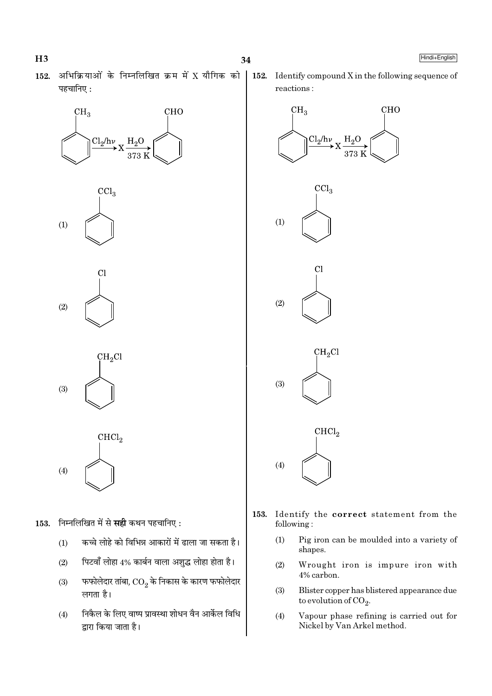- 
- अभिक्रियाओं के निम्नलिखित क्रम में X यौगिक को 152. पहचानिए:





C<sub>1</sub>  $(2)$ 

 $CH<sub>2</sub>Cl$ 

 $(3)$ 

 $CHCl<sub>2</sub>$  $(4)$ 

- 153. निम्नलिखित में से सही कथन पहचानिए:
	- कच्चे लोहे को विभिन्न आकारों में ढाला जा सकता है।  $(1)$
	- पिटवाँ लोहा 4% कार्बन वाला अशुद्ध लोहा होता है।  $(2)$
	- फफोलेदार तांबा,  $\overline{\text{CO}_2}$  के निकास के कारण फफोलेदार  $(3)$ लगता है।
	- निकैल के लिए वाष्प प्रावस्था शोधन वैन आर्केल विधि  $(4)$ द्वारा किया जाता है।

152. Identify compound X in the following sequence of reactions:



- 153. Identify the correct statement from the following:
	- $(1)$ Pig iron can be moulded into a variety of shapes.
	- $(2)$ Wrought iron is impure iron with 4% carbon.
	- Blister copper has blistered appearance due  $(3)$ to evolution of  $CO<sub>2</sub>$ .
	- Vapour phase refining is carried out for  $(4)$ Nickel by Van Arkel method.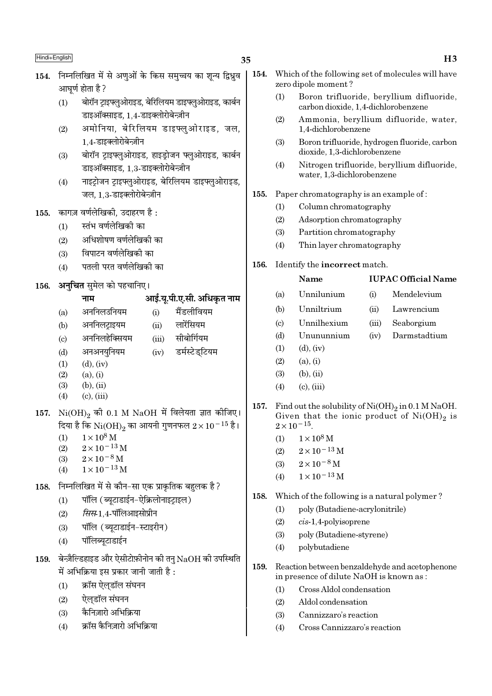## 35

- 154. निम्नलिखित में से अणओं के किस समच्चय का शन्य द्विध्रव आघर्ण होता है ?
	- बोरॉन ट्राइफ्लुओराइड, बेरिलियम डाइफ्लुओराइड, कार्बन  $(1)$ डाइऑक्साइड. 1.4-डाइक्लोरोबेन्ज़ीन
	- अमोनिया, बेरिलियम डाइफ्लुओराइड, जल,  $(2)$ 1,4-डाइक्लोरोबेन्ज़ीन
	- बोरॉन ट्राइफ्लुओराइड, हाइड़ोजन फ्लुओराइड, कार्बन  $(3)$ डाइऑक्साइड, 1.3-डाइक्लोरोबेन्ज़ीन
	- नाइटोजन टाइफ्लओराइड, बेरिलियम डाइफ्लओराइड,  $(4)$ जल, 1.3-डाइक्लोरोबेन्ज़ीन
- कागज़ वर्णलेखिकी, उदाहरण है: 155.
	- स्तंभ वर्णलेखिकी का  $(1)$
	- अधिशोषण वर्णलेखिकी का  $(2)$
	- विपाटन वर्णलेखिकी का  $(3)$
	- पतली परत वर्णलेखिकी का  $(4)$
- अनचित समेल को पहचानिए। 156.

# आई.यू.पी.ए.सी. अधिकृत नाम

- नाम अननिलउनियम मैंडलीवियम  $(i)$  $(a)$ अननिलटाइयम लारेंसियम  $(h)$  $(i)$ अननिलहेक्सियम सीबोर्गियम  $\left( \mathrm{e}\right)$  $(iii)$ अनअनयुनियम  $(iv)$ डर्मस्टेडटियम  $(d)$  $(1)$  $(d)$ ,  $(iv)$
- $(2)$  $(a), (i)$
- $(3)$  $(b)$ ,  $(ii)$
- $(4)$  $(c)$ .  $(iii)$

# 157.  $Ni(OH)_{2}$  की 0.1 M NaOH में विलेयता ज्ञात कीजिए। दिया है कि  $\mathrm{Ni(OH)}_2$  का आयनी गुणनफल  $2 \times 10^{-15}$  है।

- $1\times10^8\,\rm M$  $(1)$
- $(2)$  $2 \times 10^{-13}$  M
- $2 \times 10^{-8}$  M  $(3)$
- $1 \times 10^{-13}$  M  $(4)$
- निम्नलिखित में से कौन-सा एक प्राकृतिक बहलक है ? 158.
	- पॉलि (ब्यूटाडाईन-ऐक्रिलोनाइट्राइल)  $(1)$
	- *सिस*-1.4-पॉलिआइसोप्रीन  $(2)$
	- पॉलि (ब्युटाडाईन-स्टाइरीन)  $(3)$
	- पॉलिब्युटाडाईन  $(4)$

#### बेन्ज़ैल्डिहाइड और ऐसीटोफ़ीनोन की तनु $\rm NaOH$  की उपस्थिति 159. में अभिक्रिया इस प्रकार जानी जाती है:

- क्रॉस ऐलडॉल संघनन  $(1)$
- ऐलडॉल संघनन  $(2)$
- कैनिजारो अभिक्रिया  $(3)$
- क्रॉस कैनिज़ारो अभिक्रिया  $(4)$
- 154. Which of the following set of molecules will have zero dipole moment?
	- $(1)$ Boron trifluoride, beryllium difluoride, carbon dioxide, 1.4-dichlorobenzene
	- $(2)$ Ammonia, beryllium difluoride, water, 1,4-dichlorobenzene
	- $(3)$ Boron trifluoride, hydrogen fluoride, carbon dioxide, 1.3-dichlorobenzene
	- $(4)$ Nitrogen trifluoride, bervllium difluoride. water, 1,3-dichlorobenzene
- Paper chromatography is an example of: 155.
	- Column chromatography  $(1)$
	- $(2)$ Adsorption chromatography
	- $(3)$ Partition chromatography
	- $(4)$ Thin layer chromatography
- Identify the incorrect match. 156.

#### Name **IUPAC Official Name**  $(a)$ Unnilunium  $(i)$ Mendelevium  $(b)$ Unniltrium  $(ii)$ Lawrencium Unnilhexium  $(c)$  $(iii)$ Seaborgium Unununnium Darmstadtium  $(d)$  $(iv)$  $(1)$  $(d)$ ,  $(iv)$  $(2)$  $(a)$ ,  $(i)$  $(3)$  $(b), (ii)$  $(c)$ ,  $(iii)$  $(4)$ 157. Find out the solubility of  $Ni(OH)_2$  in 0.1 M NaOH. Given that the ionic product of  $Ni(OH)_2$  is  $2 \times 10^{-15}$ .

- $1 \times 10^8$  M  $(1)$
- $2 \times 10^{-13}$  M  $(2)$
- $2 \times 10^{-8}$  M  $(3)$
- $1 \times 10^{-13}$  M  $(4)$
- 158. Which of the following is a natural polymer?
	- poly (Butadiene-acrylonitrile)  $(1)$
	- $(2)$  $cis-1,4$ -polyisoprene
	- $(3)$ poly (Butadiene-styrene)
	- $(4)$ polybutadiene
- 159. Reaction between benzaldehyde and acetophenone in presence of dilute NaOH is known as:
	- Cross Aldol condensation  $(1)$
	- $(2)$ Aldol condensation
	- $(3)$ Cannizzaro's reaction
	- $(4)$ Cross Cannizzaro's reaction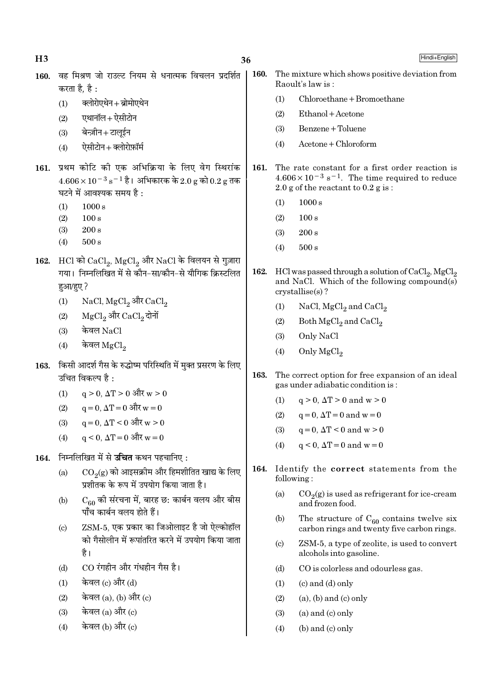| H <sub>3</sub> |                                                                                                                                                      | 36   |                        | Hindi+English                                                                                                                                                   |
|----------------|------------------------------------------------------------------------------------------------------------------------------------------------------|------|------------------------|-----------------------------------------------------------------------------------------------------------------------------------------------------------------|
| 160.           | वह मिश्रण जो राउल्ट नियम से धनात्मक विचलन प्रदर्शित<br>करता है, है :                                                                                 | 160. |                        | The mixture which shows positive deviation from<br>Raoult's law is:                                                                                             |
|                | क्लोरोएथेन+ब्रोमोएथेन<br>(1)                                                                                                                         |      | (1)                    | Chloroethane + Bromoethane                                                                                                                                      |
|                | एथानॉल+ ऐसीटोन<br>(2)                                                                                                                                |      | (2)                    | Ethanol + Acetone                                                                                                                                               |
|                | बेन्ज़ीन+टालूईन<br>(3)                                                                                                                               |      | (3)                    | Benzene + Toluene                                                                                                                                               |
|                | ऐसीटोन+क्लोरोफ़ॉर्म<br>(4)                                                                                                                           |      | (4)                    | Acetone + Chloroform                                                                                                                                            |
| 161.           | प्रथम कोटि की एक अभिक्रिया के लिए वेग स्थिरांक<br>$4.606 \times 10^{-3}$ s <sup>-1</sup> है। अभिकारक के 2.0 g को 0.2 g तक<br>घटने में आवश्यक समय है: | 161. |                        | The rate constant for a first order reaction is<br>$4.606 \times 10^{-3}$ s <sup>-1</sup> . The time required to reduce<br>2.0 g of the reactant to $0.2$ g is: |
|                | 1000 s<br>(1)                                                                                                                                        |      | (1)                    | 1000 s                                                                                                                                                          |
|                | (2)<br>100 s                                                                                                                                         |      | (2)                    | 100 s                                                                                                                                                           |
|                | (3)<br>$200\,\mathrm{s}$                                                                                                                             |      | (3)                    | 200 s                                                                                                                                                           |
|                | $500\,\mathrm{s}$<br>(4)                                                                                                                             |      | (4)                    | 500 s                                                                                                                                                           |
| 162.           | HCl को CaCl <sub>2</sub> , MgCl <sub>2</sub> और NaCl के विलयन से गुज़ारा<br>गया। निम्नलिखित में से कौन-सा/कौन-से यौगिक क्रिस्टलित<br>हुआ/हुए ?       | 162. |                        | HCl was passed through a solution of $CaCl2$ , MgCl <sub>2</sub><br>and NaCl. Which of the following compound(s)<br>$crystallise(s)$ ?                          |
|                | NaCl, $MgCl_2$ और $CaCl_2$<br>(1)                                                                                                                    |      | (1)                    | NaCl, $MgCl2$ and $CaCl2$                                                                                                                                       |
|                | $MgCl2$ और $CaCl2$ दोनों<br>(2)                                                                                                                      |      | (2)                    | Both $MgCl2$ and $CaCl2$                                                                                                                                        |
|                | केवल NaCl<br>(3)                                                                                                                                     |      | (3)                    | Only NaCl                                                                                                                                                       |
|                | केवल $\rm{MgCl}_2$<br>(4)                                                                                                                            |      | (4)                    | Only $MgCl2$                                                                                                                                                    |
| 163.           | किसी आदर्श गैस के रुद्धोष्म परिस्थिति में मुक्त प्रसरण के लिए<br>उचित विकल्प है :                                                                    | 163. |                        | The correct option for free expansion of an ideal<br>gas under adiabatic condition is:                                                                          |
|                | $q > 0$ , $\Delta T > 0$ और $w > 0$<br>(1)                                                                                                           |      | (1)                    | $q > 0$ , $\Delta T > 0$ and $w > 0$                                                                                                                            |
|                | $q=0, \Delta T=0$ और $w=0$<br>(2)                                                                                                                    |      | (2)                    | $q=0$ , $\Delta T=0$ and $w=0$                                                                                                                                  |
|                | (3) $q = 0, \Delta T < 0$ और $w > 0$                                                                                                                 |      | (3)                    | $q=0$ , $\Delta T < 0$ and $w > 0$                                                                                                                              |
|                | $q \le 0$ , $\Delta T = 0$ और $w = 0$<br>(4)                                                                                                         |      | (4)                    | $q < 0$ , $\Delta T = 0$ and $w = 0$                                                                                                                            |
| 164.           | निम्नलिखित में से <b>उचित</b> कथन पहचानिए :                                                                                                          |      |                        |                                                                                                                                                                 |
|                | $\mathrm{CO}_2(\mathrm{g})$ को आइसक्रीम और हिमशीतित खाद्य के लिए<br>(a)<br>प्रशीतक के रूप में उपयोग किया जाता है।                                    | 164. | following:             | Identify the correct statements from the                                                                                                                        |
|                | $C_{60}$ की संरचना में, बारह छ: कार्बन वलय और बीस<br>(b)<br>पाँच कार्बन वलय होते हैं।                                                                |      | (a)                    | $CO2(g)$ is used as refrigerant for ice-cream<br>and frozen food.                                                                                               |
|                | ZSM-5, एक प्रकार का जिओलाइट है जो ऐल्कोहॉल<br>$\left( \mathrm{c}\right)$                                                                             |      | (b)                    | The structure of $C_{60}$ contains twelve six<br>carbon rings and twenty five carbon rings.                                                                     |
|                | को गैसोलीन में रूपांतरित करने में उपयोग किया जाता<br>है।                                                                                             |      | $\left( \circ \right)$ | ZSM-5, a type of zeolite, is used to convert<br>alcohols into gasoline.                                                                                         |
|                | CO रंगहीन और गंधहीन गैस है।<br>(d)                                                                                                                   |      | (d)                    | CO is colorless and odourless gas.                                                                                                                              |
|                | केवल (c) और (d)<br>(1)                                                                                                                               |      | (1)                    | $(c)$ and $(d)$ only                                                                                                                                            |
|                | केवल $(a)$ , $(b)$ और $(c)$<br>(2)                                                                                                                   |      | (2)                    | $(a)$ , $(b)$ and $(c)$ only                                                                                                                                    |
|                | केवल (a) और (c)<br>(3)                                                                                                                               |      | (3)                    | $(a)$ and $(c)$ only                                                                                                                                            |
|                | केवल (b) और (c)<br>(4)                                                                                                                               |      | (4)                    | $(b)$ and $(c)$ only                                                                                                                                            |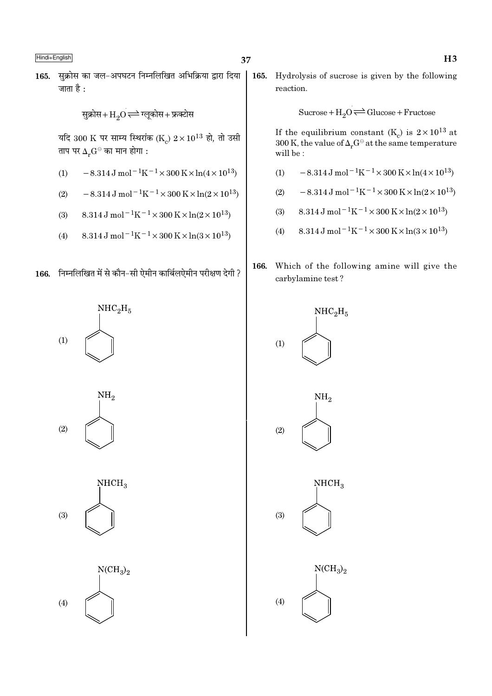सुक्रोस का जल-अपघटन निम्नलिखित अभिक्रिया द्वारा दिया 165. जाता है $\cdot$ 

सुक्रोस+ $\mathrm{H}_{2}\mathrm{O}$   $\rightleftharpoons$  ग्लूकोस+ फ्रक्टोस

यदि 300 K पर साम्य स्थिरांक (K )  $2 \times 10^{13}$  हो, तो उसी ताप पर  $\Delta_r G^\ominus$  का मान होगा :

- $-8.314 \,\mathrm{J} \,\mathrm{mol}^{-1} \mathrm{K}^{-1} \times 300 \,\mathrm{K} \times \ln(4 \times 10^{13})$  $(1)$
- $-8.314 \text{ J} \text{ mol}^{-1} \text{K}^{-1} \times 300 \text{ K} \times \ln(2 \times 10^{13})$  $(2)$
- 8.314 J mol<sup>-1</sup>K<sup>-1</sup> × 300 K × ln(2 × 10<sup>13</sup>)  $(3)$
- $8.314 \text{ J} \text{ mol}^{-1} \text{K}^{-1} \times 300 \text{ K} \times \ln(3 \times 10^{13})$  $(4)$
- 166. निम्नलिखित में से कौन-सी ऐमीन कार्बिलऐमीन परीक्षण देगी ?









165. Hydrolysis of sucrose is given by the following reaction.

Sucrose +  $H_2O \rightleftharpoons Glucose + Fructose$ 

If the equilibrium constant  $(\mathrm{K_c})$  is  $2 \times 10^{13}$  at 300 K, the value of  $\Delta_r G^\ominus$  at the same temperature will be:

- $-8.314 \,\mathrm{J} \,\mathrm{mol}^{-1} \mathrm{K}^{-1} \times 300 \,\mathrm{K} \times \ln(4 \times 10^{13})$  $(1)$
- $-8.314 \,\mathrm{J} \,\mathrm{mol}^{-1} \mathrm{K}^{-1} \times 300 \,\mathrm{K} \times \ln(2 \times 10^{13})$  $(2)$
- 8.314 J mol<sup>-1</sup>K<sup>-1</sup> × 300 K × ln(2 × 10<sup>13</sup>)  $(3)$
- $8.314 \text{ J} \text{ mol}^{-1} \text{K}^{-1} \times 300 \text{ K} \times \ln(3 \times 10^{13})$  $(4)$
- Which of the following amine will give the 166. carbylamine test?

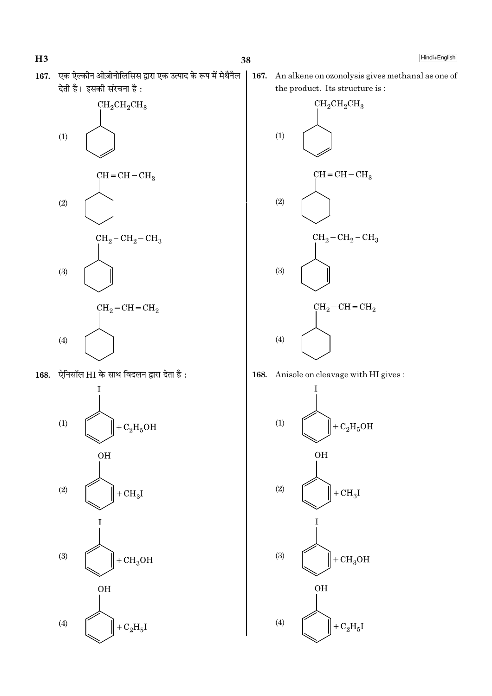$H3$ 

167. एक ऐल्कीन ओज़ोनोलिसिस द्वारा एक उत्पाद के रूप में मेथैनैल देती है। इसकी संरचना है:



168. ऐनिसॉल HI के साथ विदलन द्वारा देता है:



| 167. An alkene on ozonolysis gives methanal as one of the product. Its structure is:



168. Anisole on cleavage with HI gives:

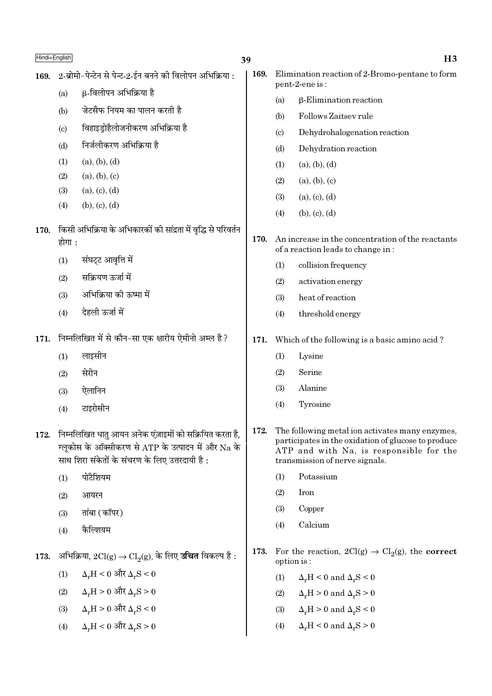| 14F L<br>. . |
|--------------|
|--------------|

| 169. |        | 2-ब्रोमो-पेन्टेन से पेन्ट-2-ईन बनने की विलोपन अभिक्रिया :                                                                                                       | 169. |                            | Elimination reaction of 2-Bromo-pentane to form<br>pent-2-ene is:                                                                                                                   |
|------|--------|-----------------------------------------------------------------------------------------------------------------------------------------------------------------|------|----------------------------|-------------------------------------------------------------------------------------------------------------------------------------------------------------------------------------|
|      | (a)    | β-विलोपन अभिक्रिया है                                                                                                                                           |      | (a)                        | $\beta$ -Elimination reaction                                                                                                                                                       |
|      | (b)    | जेटसैफ नियम का पालन करती है                                                                                                                                     |      | (b)                        | Follows Zaitsey rule                                                                                                                                                                |
|      | (c)    | विहाइड्रोहैलोजनीकरण अभिक्रिया है                                                                                                                                |      | $\left( \mathrm{c}\right)$ | Dehydrohalogenation reaction                                                                                                                                                        |
|      | (d)    | निर्जलीकरण अभिक्रिया है                                                                                                                                         |      | (d)                        | Dehydration reaction                                                                                                                                                                |
|      | (1)    | (a), (b), (d)                                                                                                                                                   |      | (1)                        | (a), (b), (d)                                                                                                                                                                       |
|      | (2)    | (a), (b), (c)                                                                                                                                                   |      | (2)                        | (a), (b), (c)                                                                                                                                                                       |
|      | (3)    | (a), (c), (d)                                                                                                                                                   |      | (3)                        | (a), (c), (d)                                                                                                                                                                       |
|      | (4)    | (b), (c), (d)                                                                                                                                                   |      | (4)                        | (b), (c), (d)                                                                                                                                                                       |
| 170. |        | किसी अभिक्रिया के अभिकारकों की सांद्रता में वृद्धि से परिवर्तन                                                                                                  |      |                            |                                                                                                                                                                                     |
|      | होगा : |                                                                                                                                                                 | 170. |                            | An increase in the concentration of the reactants<br>of a reaction leads to change in:                                                                                              |
|      | (1)    | संघट्ट आवृत्ति में                                                                                                                                              |      | (1)                        | collision frequency                                                                                                                                                                 |
|      | (2)    | सक्रियण ऊर्जा में                                                                                                                                               |      | (2)                        | activation energy                                                                                                                                                                   |
|      | (3)    | अभिक्रिया की ऊष्मा में                                                                                                                                          |      | (3)                        | heat of reaction                                                                                                                                                                    |
|      | (4)    | देहली ऊर्जा में                                                                                                                                                 |      | (4)                        | threshold energy                                                                                                                                                                    |
| 171. |        | निम्नलिखित में से कौन-सा एक क्षारीय ऐमीनो अम्ल है?                                                                                                              | 171. |                            | Which of the following is a basic amino acid?                                                                                                                                       |
|      | (1)    | लाइसीन                                                                                                                                                          |      | (1)                        | Lysine                                                                                                                                                                              |
|      | (2)    | सेरीन                                                                                                                                                           |      | (2)                        | Serine                                                                                                                                                                              |
|      | (3)    | ऐलानिन                                                                                                                                                          |      | (3)                        | Alanine                                                                                                                                                                             |
|      | (4)    | टाइरोसीन                                                                                                                                                        |      | (4)                        | Tyrosine                                                                                                                                                                            |
| 172. |        | निम्नलिखित धातु आयन अनेक एंज़ाइमों को सक्रियित करता है,<br>ग्लूकोस के ऑक्सीकरण से ATP के उत्पादन में और Na के<br>साथ शिरा संकेतों के संचरण के लिए उत्तरदायी है: | 172. |                            | The following metal ion activates many enzymes,<br>participates in the oxidation of glucose to produce<br>ATP and with Na, is responsible for the<br>transmission of nerve signals. |
|      | (1)    | पोटैशियम                                                                                                                                                        |      | (1)                        | Potassium                                                                                                                                                                           |
|      | (2)    | आयरन                                                                                                                                                            |      | (2)                        | Iron                                                                                                                                                                                |
|      | (3)    | तांबा (कॉपर)                                                                                                                                                    |      | (3)                        | Copper                                                                                                                                                                              |
|      | (4)    | कैल्शियम                                                                                                                                                        |      | (4)                        | Calcium                                                                                                                                                                             |
| 173. |        | अभिक्रिया, $2Cl(g) \rightarrow Cl_2(g)$ , के लिए <b>उचित</b> विकल्प है :                                                                                        | 173. | option is:                 | For the reaction, $2Cl(g) \rightarrow Cl_2(g)$ , the <b>correct</b>                                                                                                                 |
|      | (1)    | $\Delta_r H < 0$ और $\Delta_r S < 0$                                                                                                                            |      | (1)                        | $\Delta_r H < 0$ and $\Delta_r S < 0$                                                                                                                                               |
|      | (2)    | $\Delta_r H > 0$ और $\Delta_r S > 0$                                                                                                                            |      | (2)                        | $\Delta_r H > 0$ and $\Delta_r S > 0$                                                                                                                                               |
|      | (3)    | $\Delta_r H > 0$ और $\Delta_r S < 0$                                                                                                                            |      | (3)                        | $\Delta_r H > 0$ and $\Delta_r S < 0$                                                                                                                                               |
|      | (4)    | $\Delta_r H < 0$ और $\Delta_r S > 0$                                                                                                                            |      | (4)                        | $\Delta_r H < 0$ and $\Delta_r S > 0$                                                                                                                                               |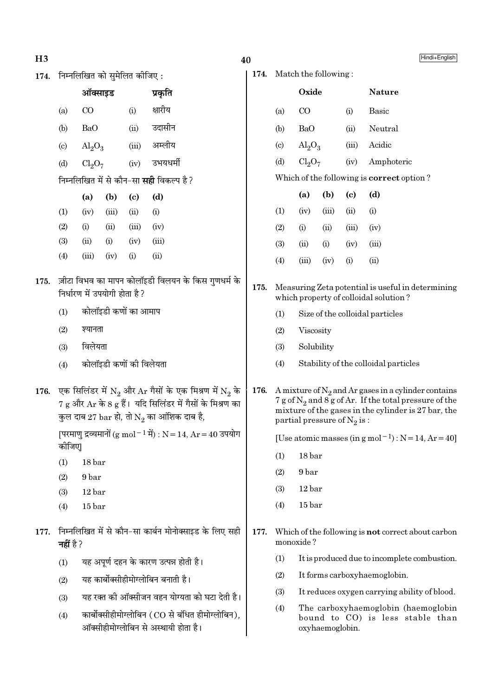- $H3$
- 174. निम्नलिखित को सुमेलित कीजिए:

|                            | ऑक्साइड                 |       |       | प्रकृति                                         |
|----------------------------|-------------------------|-------|-------|-------------------------------------------------|
| (a)                        | CO                      |       | (i)   | क्षारीय                                         |
| (b)                        | BaO                     |       | (ii)  | उदासीन                                          |
| $\left( \mathrm{c}\right)$ | $\text{Al}_2\text{O}_3$ |       | (iii) | अम्लीय                                          |
| (d)                        | $Cl_2O_7$               |       | (iv)  | उभयधर्मी                                        |
|                            |                         |       |       | निम्नलिखित में से कौन-सा <b>सही</b> विकल्प है ? |
|                            | (a)                     | (b)   | (c)   | (d)                                             |
| (1)                        | (iv)                    | (iii) | (ii)  | (i)                                             |
| (2)                        | (i)                     | (ii)  | (iii) | (iv)                                            |
| (3)                        | (ii)                    | (i)   | (iv)  | (iii)                                           |
| (4)                        | (iii)                   | (iv)  | (i)   | (ii)                                            |
|                            |                         |       |       |                                                 |

- 175. ज़ीटा विभव का मापन कोलॉइडी विलयन के किस गुणधर्म के निर्धारण में उपयोगी होता है?
	- कोलॉइडी कणों का आमाप  $(1)$
	- $(2)$ श्यानता
	- विलेयता  $(3)$
	- कोलॉइडी कणों की विलेयता  $(4)$
- 176. एक सिलिंडर में  $N_2$  और Ar गैसों के एक मिश्रण में  $N_2$  के  $7\,\mathrm{g}$  और  $\mathrm{Ar}\,$  के 8  $\mathrm{g}\,$  हैं। यदि सिलिंडर में गैसों के मिश्रण का कुल दाब 27  $\mathrm{bar}$  हो, तो  $\mathrm{N}_2$  का आंशिक दाब है,

[परमाणु द्रव्यमानों (g mol $^{-1}$ में) : N = 14, Ar = 40 उपयोग कीजिए|

- $18<sub>bar</sub>$  $(1)$
- $(2)$ 9 bar
- $(3)$  $12<sub>bar</sub>$
- $(4)$  $15<sub>bar</sub>$
- 177. निम्नलिखित में से कौन-सा कार्बन मोनोक्साइड के लिए सही नहीं है ?
	- यह अपूर्ण दहन के कारण उत्पन्न होती है।  $(1)$
	- यह कार्बोक्सीहीमोग्लोबिन बनाती है।  $(2)$
	- यह रक्त की ऑक्सीजन वहन योग्यता को घटा देती है।  $(3)$
	- कार्बोक्सीहीमोग्लोबिन (CO से बंधित हीमोग्लोबिन),  $(4)$ ऑक्सीहीमोग्लोबिन से अस्थायी होता है।

## 40

174. Match the following:

|      |                             | Oxide                                                                                                                                                                                                          |       |       | <b>Nature</b>                                                                              |  |  |
|------|-----------------------------|----------------------------------------------------------------------------------------------------------------------------------------------------------------------------------------------------------------|-------|-------|--------------------------------------------------------------------------------------------|--|--|
|      | (a)                         | $\rm CO$                                                                                                                                                                                                       |       | (i)   | <b>Basic</b>                                                                               |  |  |
|      | (b)                         | BaO                                                                                                                                                                                                            |       | (ii)  | Neutral                                                                                    |  |  |
|      | $\left( \mathrm{c} \right)$ | $\text{Al}_2\text{O}_3$                                                                                                                                                                                        |       | (iii) | Acidic                                                                                     |  |  |
|      | (d)                         | Cl <sub>2</sub> O <sub>7</sub>                                                                                                                                                                                 |       | (iv)  | Amphoteric                                                                                 |  |  |
|      |                             |                                                                                                                                                                                                                |       |       | Which of the following is <b>correct</b> option?                                           |  |  |
|      |                             | (a)                                                                                                                                                                                                            | (b)   | (c)   | (d)                                                                                        |  |  |
|      | (1)                         | (iv)                                                                                                                                                                                                           | (iii) | (ii)  | (i)                                                                                        |  |  |
|      | (2)                         | (i)                                                                                                                                                                                                            | (ii)  | (iii) | (iv)                                                                                       |  |  |
|      | (3)                         | (ii)                                                                                                                                                                                                           | (i)   | (iv)  | (iii)                                                                                      |  |  |
|      | (4)                         | (iii)                                                                                                                                                                                                          | (iv)  | (i)   | (ii)                                                                                       |  |  |
| 175. |                             |                                                                                                                                                                                                                |       |       | Measuring Zeta potential is useful in determining<br>which property of colloidal solution? |  |  |
|      | (1)                         |                                                                                                                                                                                                                |       |       | Size of the colloidal particles                                                            |  |  |
|      | (2)                         | Viscosity                                                                                                                                                                                                      |       |       |                                                                                            |  |  |
|      | (3)                         | Solubility                                                                                                                                                                                                     |       |       |                                                                                            |  |  |
|      | (4)                         |                                                                                                                                                                                                                |       |       | Stability of the colloidal particles                                                       |  |  |
| 176. |                             | A mixture of $N_2$ and Ar gases in a cylinder contains<br>$7 g$ of $N_2$ and $8 g$ of Ar. If the total pressure of the<br>mixture of the gases in the cylinder is 27 bar, the<br>partial pressure of $N_2$ is: |       |       |                                                                                            |  |  |
|      |                             |                                                                                                                                                                                                                |       |       | [Use atomic masses (in $g$ mol <sup>-1</sup> ) : $N = 14$ , $Ar = 40$ ]                    |  |  |
|      | (1)                         | 18 bar                                                                                                                                                                                                         |       |       |                                                                                            |  |  |
|      | (2)                         | 9 bar                                                                                                                                                                                                          |       |       |                                                                                            |  |  |
|      | (3)                         | 12 bar                                                                                                                                                                                                         |       |       |                                                                                            |  |  |
|      | (4)                         | 15 <sub>bar</sub>                                                                                                                                                                                              |       |       |                                                                                            |  |  |
| 177. |                             | monoxide?                                                                                                                                                                                                      |       |       | Which of the following is <b>not</b> correct about carbon                                  |  |  |
|      | (1)                         |                                                                                                                                                                                                                |       |       | It is produced due to incomplete combustion.                                               |  |  |
|      | (2)                         |                                                                                                                                                                                                                |       |       | It forms carboxyhaemoglobin.                                                               |  |  |
|      | (3)                         |                                                                                                                                                                                                                |       |       | It reduces oxygen carrying ability of blood.                                               |  |  |
|      | (4)                         |                                                                                                                                                                                                                |       |       | The carboxyhaemoglobin (haemoglobin<br>bound to CO) is less stable than                    |  |  |

oxyhaemoglobin.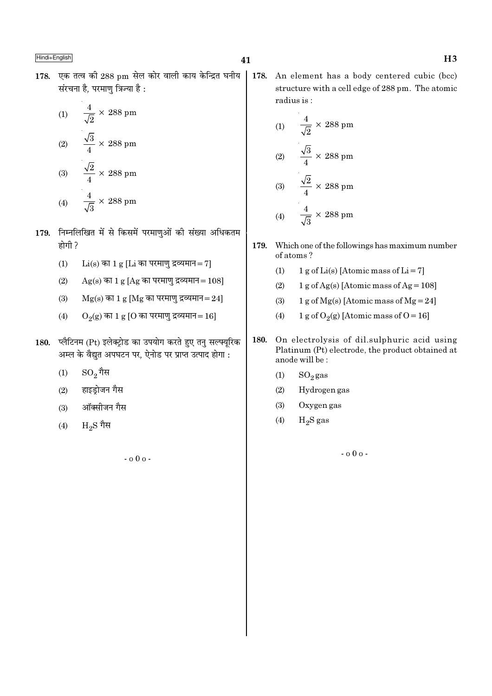178. एक तत्व की 288 pm सेल कोर वाली काय केन्द्रित घनीय संरचना है. परमाण त्रिज्या है :

(1) 
$$
\frac{4}{\sqrt{2}} \times 288 \text{ pm}
$$
  
(2) 
$$
\frac{\sqrt{3}}{4} \times 288 \text{ pm}
$$
  
(3) 
$$
\frac{\sqrt{2}}{4} \times 288 \text{ pm}
$$
  
(4) 
$$
\frac{4}{\sqrt{3}} \times 288 \text{ pm}
$$

- 179. निम्नलिखित में से किसमें परमाणुओं की संख्या अधिकतम होगी ?
	- $(1)$  $Li(s)$  का 1 g [Li का परमाणु द्रव्यमान= 7]
	- $(2)$  $Ag(s)$  का 1 g [Ag का परमाणु द्रव्यमान = 108]
	- $Mg(s)$  का 1 g [Mg का परमाणु द्रव्यमान=24]  $(3)$
	- $(4)$  $O_2(g)$  का 1 g [O का परमाणु द्रव्यमान=16]
- 180. प्लैटिनम (Pt) इलेक्ट्रोड का उपयोग करते हुए तन सल्फ्युरिक अम्ल के वैद्युत अपघटन पर, ऐनोड पर प्राप्त उत्पाद होगा :
	- $SO_2$ गैस  $(1)$
	- हाइड़ोजन गैस  $(2)$
	- ऑक्सीजन गैस  $(3)$
	- $H_2S$  गैस  $(4)$

 $-0.00 -$ 

- 41
	- 178. An element has a body centered cubic (bcc) structure with a cell edge of 288 pm. The atomic radius is:

(1) 
$$
\frac{4}{\sqrt{2}} \times 288 \text{ pm}
$$
  
(2) 
$$
\frac{\sqrt{3}}{4} \times 288 \text{ pm}
$$
  
(3) 
$$
\frac{\sqrt{2}}{4} \times 288 \text{ pm}
$$
  
(4) 
$$
\frac{4}{\sqrt{3}} \times 288 \text{ pm}
$$

- 179. Which one of the followings has maximum number of atoms?
	- $(1)$ 1 g of Li(s) [Atomic mass of Li = 7]
	- $(2)$  $1 g$  of Ag(s) [Atomic mass of Ag = 108]
	- $(3)$ 1 g of Mg(s) [Atomic mass of Mg = 24]
	- 1 g of  $O_2(g)$  [Atomic mass of O = 16]  $(4)$
- 180. On electrolysis of dil.sulphuric acid using Platinum (Pt) electrode, the product obtained at anode will be:
	- $(1)$  $SO_2$  gas
	- $(2)$ Hydrogen gas
	- Oxygen gas  $(3)$
	- $H_2S$  gas  $(4)$

 $-0.00 -$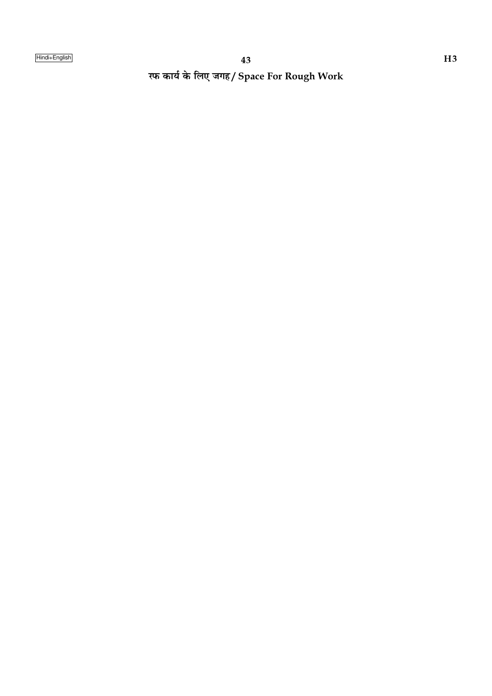रफ कार्य के लिए जगह/ Space For Rough Work